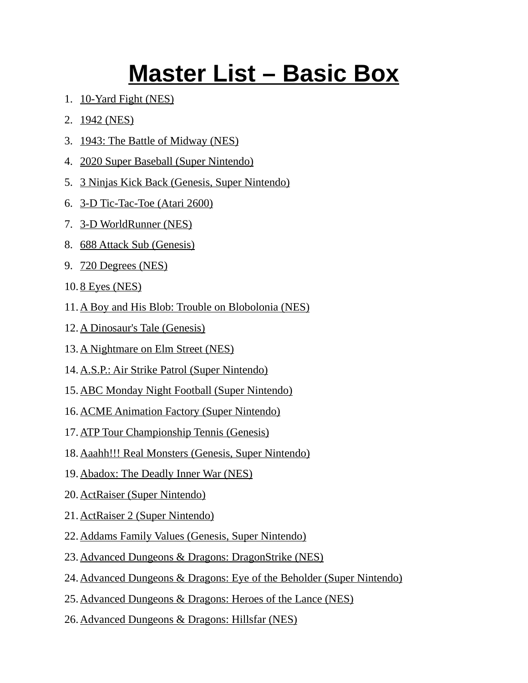## **Master List – Basic Box**

- 1. 10-Yard Fight (NES)
- 2. 1942 (NES)
- 3. 1943: The Battle of Midway (NES)
- 4. 2020 Super Baseball (Super Nintendo)
- 5. 3 Ninjas Kick Back (Genesis, Super Nintendo)
- 6. 3-D Tic-Tac-Toe (Atari 2600)
- 7. 3-D WorldRunner (NES)
- 8. 688 Attack Sub (Genesis)
- 9. 720 Degrees (NES)
- 10. 8 Eyes (NES)
- 11. A Boy and His Blob: Trouble on Blobolonia (NES)
- 12. A Dinosaur's Tale (Genesis)
- 13. A Nightmare on Elm Street (NES)
- 14.A.S.P.: Air Strike Patrol (Super Nintendo)
- 15.ABC Monday Night Football (Super Nintendo)
- 16.ACME Animation Factory (Super Nintendo)
- 17.ATP Tour Championship Tennis (Genesis)
- 18.Aaahh!!! Real Monsters (Genesis, Super Nintendo)
- 19.Abadox: The Deadly Inner War (NES)
- 20. ActRaiser (Super Nintendo)
- 21. ActRaiser 2 (Super Nintendo)
- 22.Addams Family Values (Genesis, Super Nintendo)
- 23.Advanced Dungeons & Dragons: DragonStrike (NES)
- 24.Advanced Dungeons & Dragons: Eye of the Beholder (Super Nintendo)
- 25.Advanced Dungeons & Dragons: Heroes of the Lance (NES)
- 26.Advanced Dungeons & Dragons: Hillsfar (NES)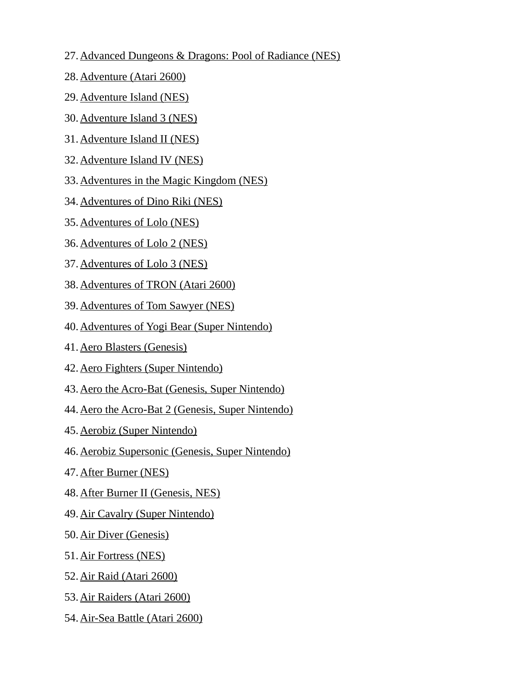- 27. Advanced Dungeons & Dragons: Pool of Radiance (NES)
- 28. Adventure (Atari 2600)
- 29. Adventure Island (NES)
- 30. Adventure Island 3 (NES)
- 31. Adventure Island II (NES)
- 32. Adventure Island IV (NES)
- 33.Adventures in the Magic Kingdom (NES)
- 34. Adventures of Dino Riki (NES)
- 35. Adventures of Lolo (NES)
- 36. Adventures of Lolo 2 (NES)
- 37. Adventures of Lolo 3 (NES)
- 38. Adventures of TRON (Atari 2600)
- 39. Adventures of Tom Sawyer (NES)
- 40.Adventures of Yogi Bear (Super Nintendo)
- 41. Aero Blasters (Genesis)
- 42. Aero Fighters (Super Nintendo)
- 43.Aero the Acro-Bat (Genesis, Super Nintendo)
- 44.Aero the Acro-Bat 2 (Genesis, Super Nintendo)
- 45. Aerobiz (Super Nintendo)
- 46.Aerobiz Supersonic (Genesis, Super Nintendo)
- 47. After Burner (NES)
- 48. After Burner II (Genesis, NES)
- 49. Air Cavalry (Super Nintendo)
- 50. Air Diver (Genesis)
- 51. Air Fortress (NES)
- 52. Air Raid (Atari 2600)
- 53. Air Raiders (Atari 2600)
- 54. Air-Sea Battle (Atari 2600)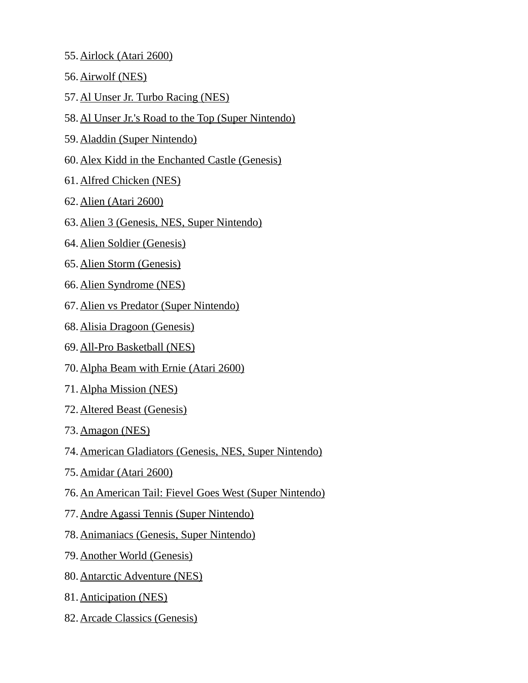- 55. Airlock (Atari 2600)
- 56. Airwolf (NES)
- 57. Al Unser Jr. Turbo Racing (NES)
- 58.Al Unser Jr.'s Road to the Top (Super Nintendo)
- 59. Aladdin (Super Nintendo)
- 60.Alex Kidd in the Enchanted Castle (Genesis)
- 61. Alfred Chicken (NES)
- 62. Alien (Atari 2600)
- 63.Alien 3 (Genesis, NES, Super Nintendo)
- 64. Alien Soldier (Genesis)
- 65. Alien Storm (Genesis)
- 66. Alien Syndrome (NES)
- 67. Alien vs Predator (Super Nintendo)
- 68. Alisia Dragoon (Genesis)
- 69. All-Pro Basketball (NES)
- 70. Alpha Beam with Ernie (Atari 2600)
- 71. Alpha Mission (NES)
- 72. Altered Beast (Genesis)
- 73. Amagon (NES)
- 74.American Gladiators (Genesis, NES, Super Nintendo)
- 75. Amidar (Atari 2600)
- 76.An American Tail: Fievel Goes West (Super Nintendo)
- 77.Andre Agassi Tennis (Super Nintendo)
- 78.Animaniacs (Genesis, Super Nintendo)
- 79. Another World (Genesis)
- 80. Antarctic Adventure (NES)
- 81. Anticipation (NES)
- 82. Arcade Classics (Genesis)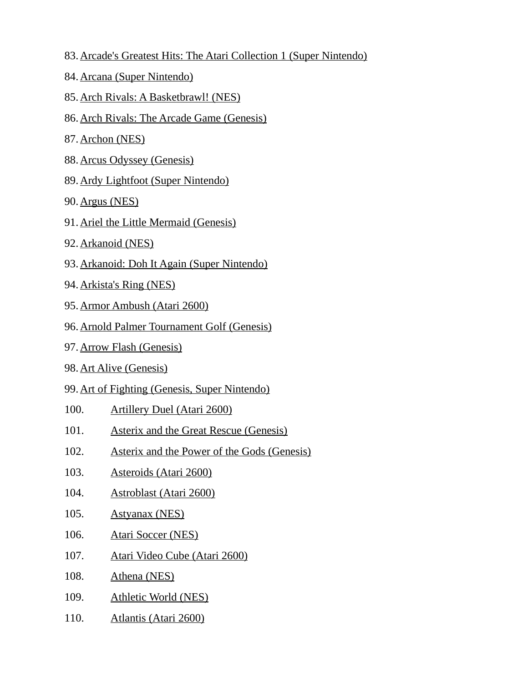- 83. Arcade's Greatest Hits: The Atari Collection 1 (Super Nintendo)
- 84. Arcana (Super Nintendo)
- 85. Arch Rivals: A Basketbrawl! (NES)
- 86.Arch Rivals: The Arcade Game (Genesis)
- 87. Archon (NES)
- 88. Arcus Odyssey (Genesis)
- 89. Ardy Lightfoot (Super Nintendo)
- 90. Argus (NES)
- 91. Ariel the Little Mermaid (Genesis)
- 92. Arkanoid (NES)
- 93.Arkanoid: Doh It Again (Super Nintendo)
- 94. Arkista's Ring (NES)
- 95. Armor Ambush (Atari 2600)
- 96.Arnold Palmer Tournament Golf (Genesis)
- 97. Arrow Flash (Genesis)
- 98. Art Alive (Genesis)
- 99.Art of Fighting (Genesis, Super Nintendo)
- 100. Artillery Duel (Atari 2600)
- 101. Asterix and the Great Rescue (Genesis)
- 102. Asterix and the Power of the Gods (Genesis)
- 103. Asteroids (Atari 2600)
- 104. Astroblast (Atari 2600)
- 105. Astyanax (NES)
- 106. Atari Soccer (NES)
- 107. Atari Video Cube (Atari 2600)
- 108. Athena (NES)
- 109. Athletic World (NES)
- 110. Atlantis (Atari 2600)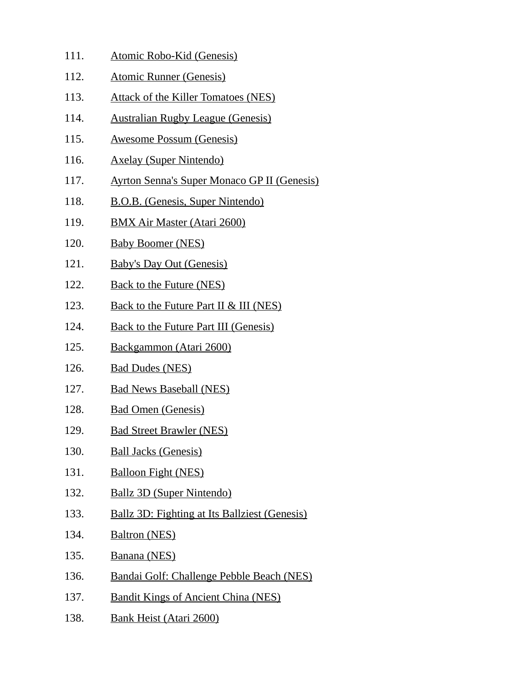- 111. Atomic Robo-Kid (Genesis)
- 112. Atomic Runner (Genesis)
- 113. Attack of the Killer Tomatoes (NES)
- 114. Australian Rugby League (Genesis)
- 115. Awesome Possum (Genesis)
- 116. Axelay (Super Nintendo)
- 117. Ayrton Senna's Super Monaco GP II (Genesis)
- 118. B.O.B. (Genesis, Super Nintendo)
- 119. BMX Air Master (Atari 2600)
- 120. Baby Boomer (NES)
- 121. Baby's Day Out (Genesis)
- 122. Back to the Future (NES)
- 123. Back to the Future Part II & III (NES)
- 124. Back to the Future Part III (Genesis)
- 125. Backgammon (Atari 2600)
- 126. Bad Dudes (NES)
- 127. Bad News Baseball (NES)
- 128. Bad Omen (Genesis)
- 129. Bad Street Brawler (NES)
- 130. Ball Jacks (Genesis)
- 131. Balloon Fight (NES)
- 132. Ballz 3D (Super Nintendo)
- 133. Ballz 3D: Fighting at Its Ballziest (Genesis)
- 134. Baltron (NES)
- 135. Banana (NES)
- 136. Bandai Golf: Challenge Pebble Beach (NES)
- 137. Bandit Kings of Ancient China (NES)
- 138. Bank Heist (Atari 2600)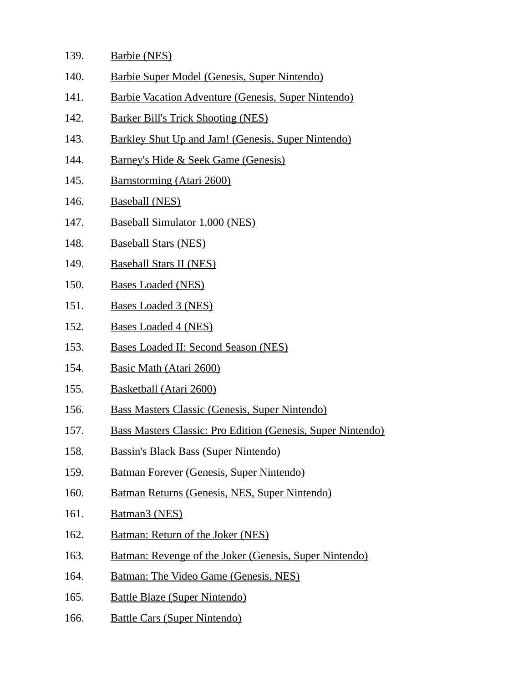- 139. Barbie (NES)
- 140. Barbie Super Model (Genesis, Super Nintendo)
- 141. Barbie Vacation Adventure (Genesis, Super Nintendo)
- 142. Barker Bill's Trick Shooting (NES)
- 143. Barkley Shut Up and Jam! (Genesis, Super Nintendo)
- 144. Barney's Hide & Seek Game (Genesis)
- 145. Barnstorming (Atari 2600)
- 146. Baseball (NES)
- 147. Baseball Simulator 1.000 (NES)
- 148. Baseball Stars (NES)
- 149. Baseball Stars II (NES)
- 150. Bases Loaded (NES)
- 151. Bases Loaded 3 (NES)
- 152. Bases Loaded 4 (NES)
- 153. Bases Loaded II: Second Season (NES)
- 154. Basic Math (Atari 2600)
- 155. Basketball (Atari 2600)
- 156. Bass Masters Classic (Genesis, Super Nintendo)
- 157. Bass Masters Classic: Pro Edition (Genesis, Super Nintendo)
- 158. Bassin's Black Bass (Super Nintendo)
- 159. Batman Forever (Genesis, Super Nintendo)
- 160. Batman Returns (Genesis, NES, Super Nintendo)
- 161. Batman3 (NES)
- 162. Batman: Return of the Joker (NES)
- 163. Batman: Revenge of the Joker (Genesis, Super Nintendo)
- 164. Batman: The Video Game (Genesis, NES)
- 165. Battle Blaze (Super Nintendo)
- 166. Battle Cars (Super Nintendo)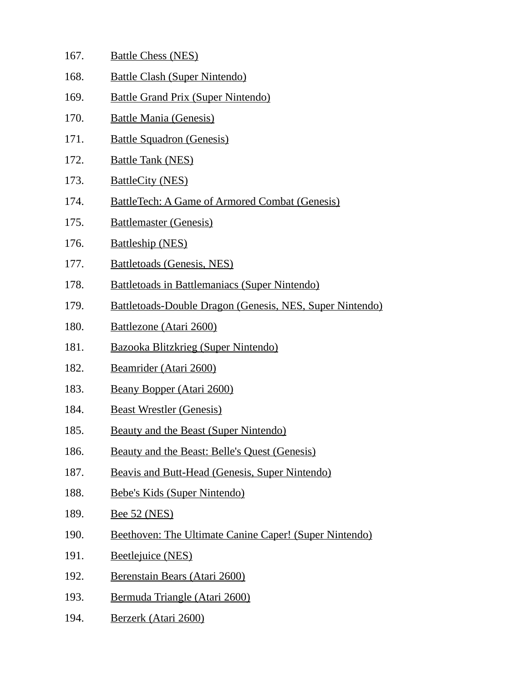| 167. | <b>Battle Chess (NES)</b>                                       |
|------|-----------------------------------------------------------------|
| 168. | <b>Battle Clash (Super Nintendo)</b>                            |
| 169. | <b>Battle Grand Prix (Super Nintendo)</b>                       |
| 170. | <b>Battle Mania (Genesis)</b>                                   |
| 171. | <b>Battle Squadron (Genesis)</b>                                |
| 172. | <b>Battle Tank (NES)</b>                                        |
| 173. | <b>BattleCity (NES)</b>                                         |
| 174. | <b>BattleTech: A Game of Armored Combat (Genesis)</b>           |
| 175. | <b>Battlemaster (Genesis)</b>                                   |
| 176. | <b>Battleship (NES)</b>                                         |
| 177. | <b>Battletoads (Genesis, NES)</b>                               |
| 178. | <b>Battletoads in Battlemaniacs (Super Nintendo)</b>            |
| 179. | <b>Battletoads-Double Dragon (Genesis, NES, Super Nintendo)</b> |
| 180. | Battlezone (Atari 2600)                                         |
| 181. | <b>Bazooka Blitzkrieg (Super Nintendo)</b>                      |
| 182. | Beamrider (Atari 2600)                                          |
| 183. | <b>Beany Bopper (Atari 2600)</b>                                |
| 184. | <b>Beast Wrestler (Genesis)</b>                                 |
| 185. | <b>Beauty and the Beast (Super Nintendo)</b>                    |
| 186. | Beauty and the Beast: Belle's Quest (Genesis)                   |
| 187. | Beavis and Butt-Head (Genesis, Super Nintendo)                  |
| 188. | Bebe's Kids (Super Nintendo)                                    |
| 189. | <b>Bee 52 (NES)</b>                                             |
| 190. | Beethoven: The Ultimate Canine Caper! (Super Nintendo)          |
| 191. | <b>Beetlejuice (NES)</b>                                        |
| 192. | Berenstain Bears (Atari 2600)                                   |
| 193. | Bermuda Triangle (Atari 2600)                                   |
| 194. | Berzerk (Atari 2600)                                            |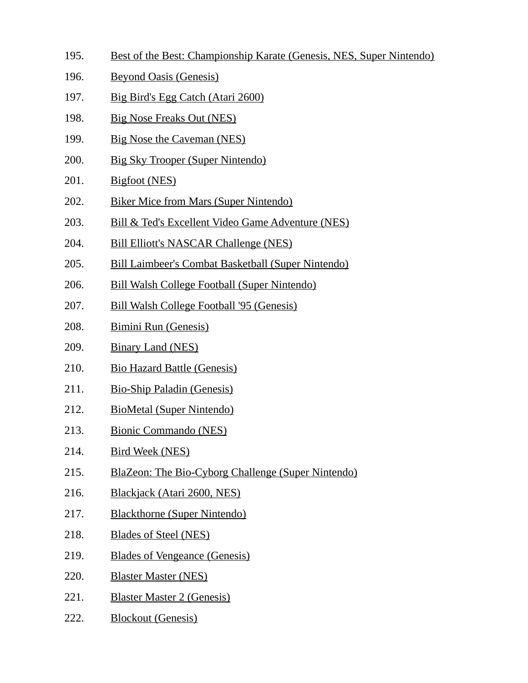- 195. Best of the Best: Championship Karate (Genesis, NES, Super Nintendo)
- 196. Beyond Oasis (Genesis)
- 197. Big Bird's Egg Catch (Atari 2600)
- 198. Big Nose Freaks Out (NES)
- 199. Big Nose the Caveman (NES)
- 200. Big Sky Trooper (Super Nintendo)
- 201. Bigfoot (NES)
- 202. Biker Mice from Mars (Super Nintendo)
- 203. Bill & Ted's Excellent Video Game Adventure (NES)
- 204. Bill Elliott's NASCAR Challenge (NES)
- 205. Bill Laimbeer's Combat Basketball (Super Nintendo)
- 206. Bill Walsh College Football (Super Nintendo)
- 207. Bill Walsh College Football '95 (Genesis)
- 208. Bimini Run (Genesis)
- 209. Binary Land (NES)
- 210. Bio Hazard Battle (Genesis)
- 211. Bio-Ship Paladin (Genesis)
- 212. BioMetal (Super Nintendo)
- 213. Bionic Commando (NES)
- 214. Bird Week (NES)
- 215. BlaZeon: The Bio-Cyborg Challenge (Super Nintendo)
- 216. Blackjack (Atari 2600, NES)
- 217. Blackthorne (Super Nintendo)
- 218. Blades of Steel (NES)
- 219. Blades of Vengeance (Genesis)
- 220. Blaster Master (NES)
- 221. Blaster Master 2 (Genesis)
- 222. Blockout (Genesis)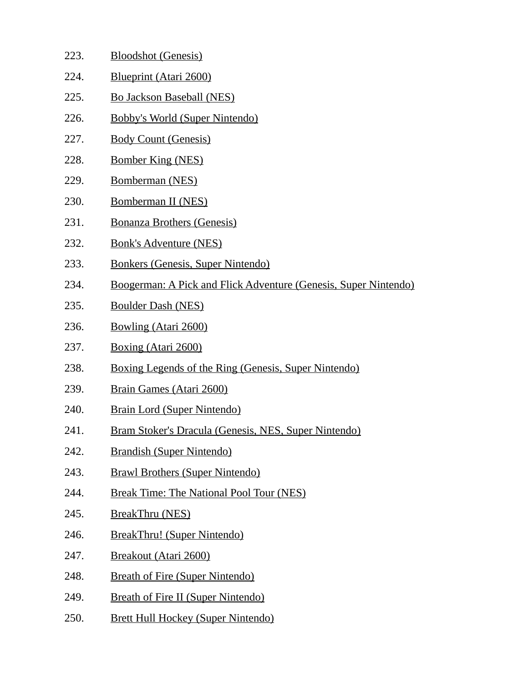| 223. | <b>Bloodshot (Genesis)</b>                                      |
|------|-----------------------------------------------------------------|
| 224. | <b>Blueprint (Atari 2600)</b>                                   |
| 225. | <b>Bo Jackson Baseball (NES)</b>                                |
| 226. | <b>Bobby's World (Super Nintendo)</b>                           |
| 227. | <b>Body Count (Genesis)</b>                                     |
| 228. | <b>Bomber King (NES)</b>                                        |
| 229. | Bomberman (NES)                                                 |
| 230. | Bomberman II (NES)                                              |
| 231. | <b>Bonanza Brothers (Genesis)</b>                               |
| 232. | <b>Bonk's Adventure (NES)</b>                                   |
| 233. | Bonkers (Genesis, Super Nintendo)                               |
| 234. | Boogerman: A Pick and Flick Adventure (Genesis, Super Nintendo) |
| 235. | <b>Boulder Dash (NES)</b>                                       |
| 236. | <b>Bowling (Atari 2600)</b>                                     |
| 237. | Boxing (Atari 2600)                                             |
| 238. | <b>Boxing Legends of the Ring (Genesis, Super Nintendo)</b>     |
| 239. | <b>Brain Games (Atari 2600)</b>                                 |
| 240. | <b>Brain Lord (Super Nintendo)</b>                              |
| 241. | Bram Stoker's Dracula (Genesis, NES, Super Nintendo)            |
| 242. | <b>Brandish (Super Nintendo)</b>                                |
| 243. | <b>Brawl Brothers (Super Nintendo)</b>                          |
| 244. | <b>Break Time: The National Pool Tour (NES)</b>                 |
| 245. | <b>BreakThru (NES)</b>                                          |
| 246. | BreakThru! (Super Nintendo)                                     |
| 247. | <b>Breakout (Atari 2600)</b>                                    |
| 248. | <b>Breath of Fire (Super Nintendo)</b>                          |
| 249. | <b>Breath of Fire II (Super Nintendo)</b>                       |
| 250. | <b>Brett Hull Hockey (Super Nintendo)</b>                       |
|      |                                                                 |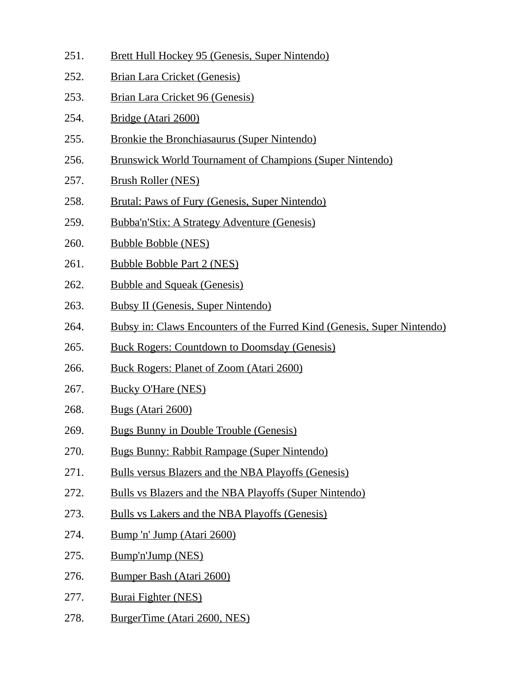- 251. Brett Hull Hockey 95 (Genesis, Super Nintendo)
- 252. Brian Lara Cricket (Genesis)
- 253. Brian Lara Cricket 96 (Genesis)
- 254. Bridge (Atari 2600)
- 255. Bronkie the Bronchiasaurus (Super Nintendo)
- 256. Brunswick World Tournament of Champions (Super Nintendo)
- 257. Brush Roller (NES)
- 258. Brutal: Paws of Fury (Genesis, Super Nintendo)
- 259. Bubba'n'Stix: A Strategy Adventure (Genesis)
- 260. Bubble Bobble (NES)
- 261. Bubble Bobble Part 2 (NES)
- 262. Bubble and Squeak (Genesis)
- 263. Bubsy II (Genesis, Super Nintendo)
- 264. Bubsy in: Claws Encounters of the Furred Kind (Genesis, Super Nintendo)
- 265. Buck Rogers: Countdown to Doomsday (Genesis)
- 266. Buck Rogers: Planet of Zoom (Atari 2600)
- 267. Bucky O'Hare (NES)
- 268. Bugs (Atari 2600)
- 269. Bugs Bunny in Double Trouble (Genesis)
- 270. Bugs Bunny: Rabbit Rampage (Super Nintendo)
- 271. Bulls versus Blazers and the NBA Playoffs (Genesis)
- 272. Bulls vs Blazers and the NBA Playoffs (Super Nintendo)
- 273. Bulls vs Lakers and the NBA Playoffs (Genesis)
- 274. Bump 'n' Jump (Atari 2600)
- 275. Bump'n'Jump (NES)
- 276. Bumper Bash (Atari 2600)
- 277. Burai Fighter (NES)
- 278. BurgerTime (Atari 2600, NES)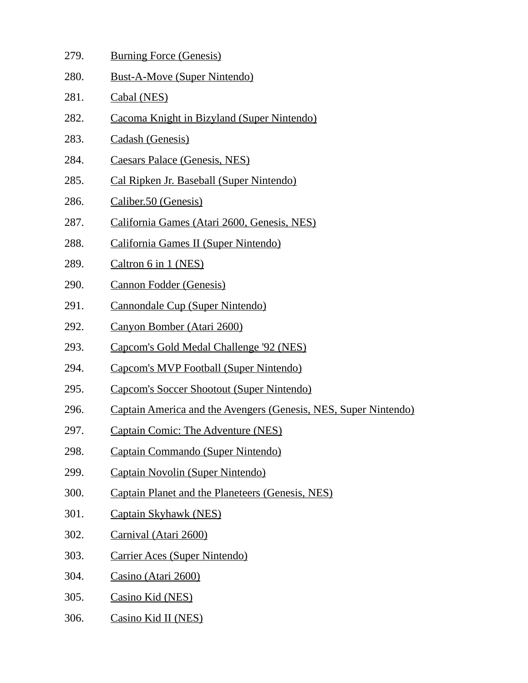- 279. Burning Force (Genesis)
- 280. Bust-A-Move (Super Nintendo)
- 281. Cabal (NES)
- 282. Cacoma Knight in Bizyland (Super Nintendo)
- 283. Cadash (Genesis)
- 284. Caesars Palace (Genesis, NES)
- 285. Cal Ripken Jr. Baseball (Super Nintendo)
- 286. Caliber.50 (Genesis)
- 287. California Games (Atari 2600, Genesis, NES)
- 288. California Games II (Super Nintendo)
- 289. Caltron 6 in 1 (NES)
- 290. Cannon Fodder (Genesis)
- 291. Cannondale Cup (Super Nintendo)
- 292. Canyon Bomber (Atari 2600)
- 293. Capcom's Gold Medal Challenge '92 (NES)
- 294. Capcom's MVP Football (Super Nintendo)
- 295. Capcom's Soccer Shootout (Super Nintendo)
- 296. Captain America and the Avengers (Genesis, NES, Super Nintendo)
- 297. Captain Comic: The Adventure (NES)
- 298. Captain Commando (Super Nintendo)
- 299. Captain Novolin (Super Nintendo)
- 300. Captain Planet and the Planeteers (Genesis, NES)
- 301. Captain Skyhawk (NES)
- 302. Carnival (Atari 2600)
- 303. Carrier Aces (Super Nintendo)
- 304. Casino (Atari 2600)
- 305. Casino Kid (NES)
- 306. Casino Kid II (NES)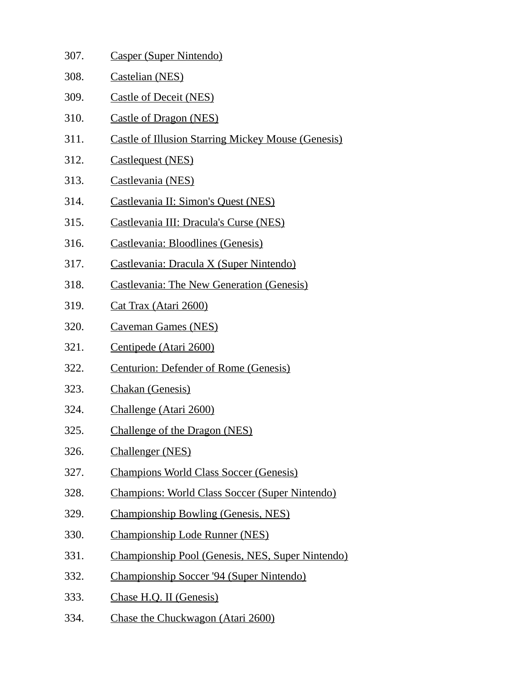307. Casper (Super Nintendo) 308. Castelian (NES) 309. Castle of Deceit (NES) 310. Castle of Dragon (NES) 311. Castle of Illusion Starring Mickey Mouse (Genesis) 312. Castlequest (NES) 313. Castlevania (NES) 314. Castlevania II: Simon's Quest (NES) 315. Castlevania III: Dracula's Curse (NES) 316. Castlevania: Bloodlines (Genesis) 317. Castlevania: Dracula X (Super Nintendo) 318. Castlevania: The New Generation (Genesis) 319. Cat Trax (Atari 2600) 320. Caveman Games (NES) 321. Centipede (Atari 2600) 322. Centurion: Defender of Rome (Genesis) 323. Chakan (Genesis) 324. Challenge (Atari 2600) 325. Challenge of the Dragon (NES) 326. Challenger (NES) 327. Champions World Class Soccer (Genesis) 328. Champions: World Class Soccer (Super Nintendo) 329. Championship Bowling (Genesis, NES) 330. Championship Lode Runner (NES) 331. Championship Pool (Genesis, NES, Super Nintendo) 332. Championship Soccer '94 (Super Nintendo) 333. Chase H.Q. II (Genesis) 334. Chase the Chuckwagon (Atari 2600)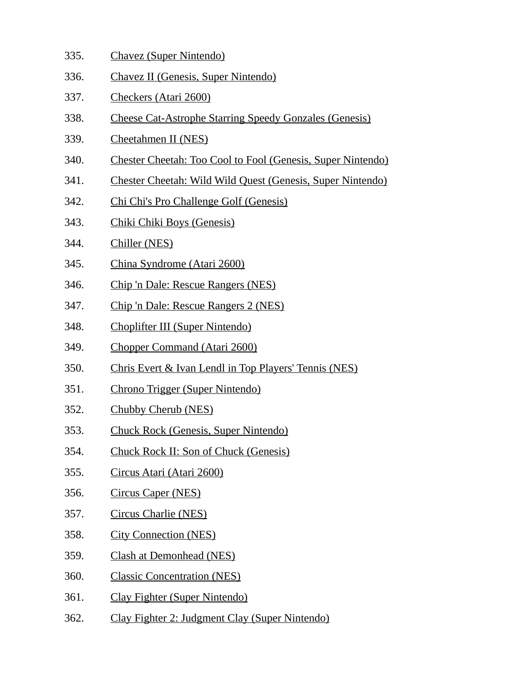- 335. Chavez (Super Nintendo)
- 336. Chavez II (Genesis, Super Nintendo)
- 337. Checkers (Atari 2600)
- 338. Cheese Cat-Astrophe Starring Speedy Gonzales (Genesis)
- 339. Cheetahmen II (NES)
- 340. Chester Cheetah: Too Cool to Fool (Genesis, Super Nintendo)
- 341. Chester Cheetah: Wild Wild Quest (Genesis, Super Nintendo)
- 342. Chi Chi's Pro Challenge Golf (Genesis)
- 343. Chiki Chiki Boys (Genesis)
- 344. Chiller (NES)
- 345. China Syndrome (Atari 2600)
- 346. Chip 'n Dale: Rescue Rangers (NES)
- 347. Chip 'n Dale: Rescue Rangers 2 (NES)
- 348. Choplifter III (Super Nintendo)
- 349. Chopper Command (Atari 2600)
- 350. Chris Evert & Ivan Lendl in Top Players' Tennis (NES)
- 351. Chrono Trigger (Super Nintendo)
- 352. Chubby Cherub (NES)
- 353. Chuck Rock (Genesis, Super Nintendo)
- 354. Chuck Rock II: Son of Chuck (Genesis)
- 355. Circus Atari (Atari 2600)
- 356. Circus Caper (NES)
- 357. Circus Charlie (NES)
- 358. City Connection (NES)
- 359. Clash at Demonhead (NES)
- 360. Classic Concentration (NES)
- 361. Clay Fighter (Super Nintendo)
- 362. Clay Fighter 2: Judgment Clay (Super Nintendo)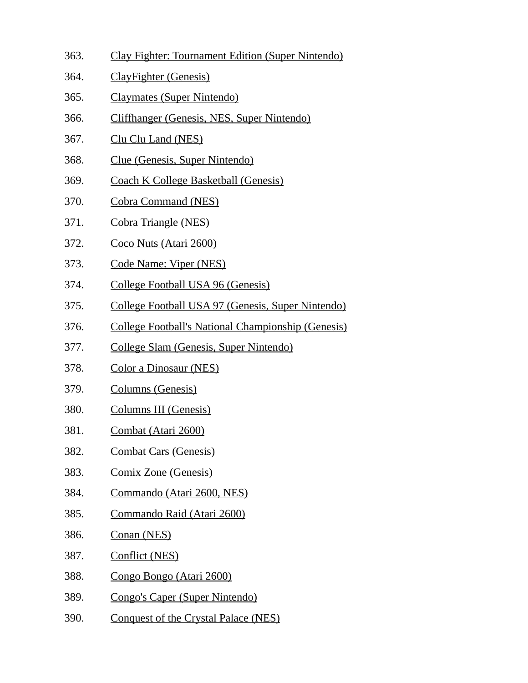- 363. Clay Fighter: Tournament Edition (Super Nintendo)
- 364. ClayFighter (Genesis)
- 365. Claymates (Super Nintendo)
- 366. Cliffhanger (Genesis, NES, Super Nintendo)
- 367. Clu Clu Land (NES)
- 368. Clue (Genesis, Super Nintendo)
- 369. Coach K College Basketball (Genesis)
- 370. Cobra Command (NES)
- 371. Cobra Triangle (NES)
- 372. Coco Nuts (Atari 2600)
- 373. Code Name: Viper (NES)
- 374. College Football USA 96 (Genesis)
- 375. College Football USA 97 (Genesis, Super Nintendo)
- 376. College Football's National Championship (Genesis)
- 377. College Slam (Genesis, Super Nintendo)
- 378. Color a Dinosaur (NES)
- 379. Columns (Genesis)
- 380. Columns III (Genesis)
- 381. Combat (Atari 2600)
- 382. Combat Cars (Genesis)
- 383. Comix Zone (Genesis)
- 384. Commando (Atari 2600, NES)
- 385. Commando Raid (Atari 2600)
- 386. Conan (NES)
- 387. Conflict (NES)
- 388. Congo Bongo (Atari 2600)
- 389. Congo's Caper (Super Nintendo)
- 390. Conquest of the Crystal Palace (NES)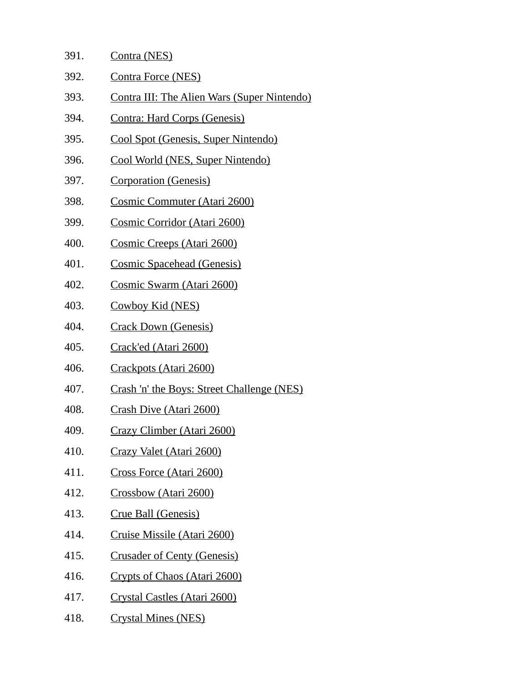| 391. | Contra (NES)                                |
|------|---------------------------------------------|
| 392. | <b>Contra Force (NES)</b>                   |
| 393. | Contra III: The Alien Wars (Super Nintendo) |
| 394. | Contra: Hard Corps (Genesis)                |
| 395. | <u>Cool Spot (Genesis, Super Nintendo)</u>  |
| 396. | Cool World (NES, Super Nintendo)            |
| 397. | Corporation (Genesis)                       |
| 398. | Cosmic Commuter (Atari 2600)                |

- 399. Cosmic Corridor (Atari 2600)
- 400. Cosmic Creeps (Atari 2600)
- 401. Cosmic Spacehead (Genesis)
- 402. Cosmic Swarm (Atari 2600)
- 403. Cowboy Kid (NES)
- 404. Crack Down (Genesis)
- 405. Crack'ed (Atari 2600)
- 406. Crackpots (Atari 2600)
- 407. Crash 'n' the Boys: Street Challenge (NES)
- 408. Crash Dive (Atari 2600)
- 409. Crazy Climber (Atari 2600)
- 410. Crazy Valet (Atari 2600)
- 411. Cross Force (Atari 2600)
- 412. Crossbow (Atari 2600)
- 413. Crue Ball (Genesis)
- 414. Cruise Missile (Atari 2600)
- 415. Crusader of Centy (Genesis)
- 416. Crypts of Chaos (Atari 2600)
- 417. Crystal Castles (Atari 2600)
- 418. Crystal Mines (NES)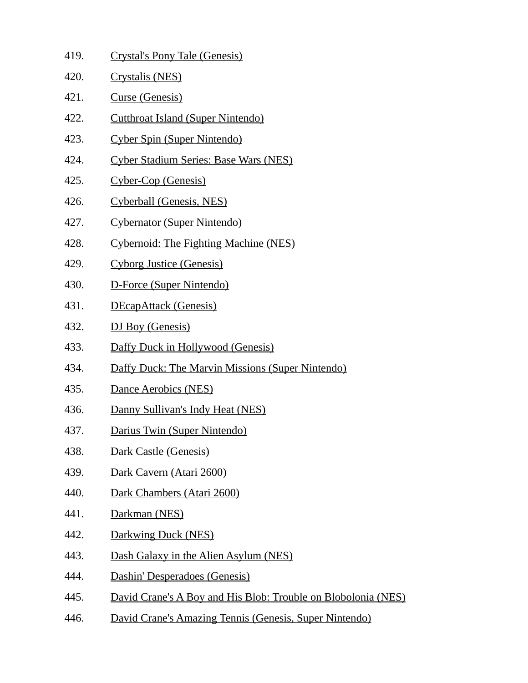| 419. | Crystal's Pony Tale (Genesis)                                 |
|------|---------------------------------------------------------------|
| 420. | Crystalis (NES)                                               |
| 421. | Curse (Genesis)                                               |
| 422. | <b>Cutthroat Island (Super Nintendo)</b>                      |
| 423. | Cyber Spin (Super Nintendo)                                   |
| 424. | <b>Cyber Stadium Series: Base Wars (NES)</b>                  |
| 425. | Cyber-Cop (Genesis)                                           |
| 426. | Cyberball (Genesis, NES)                                      |
| 427. | Cybernator (Super Nintendo)                                   |
| 428. | Cybernoid: The Fighting Machine (NES)                         |
| 429. | <b>Cyborg Justice (Genesis)</b>                               |
| 430. | D-Force (Super Nintendo)                                      |
| 431. | <b>DEcapAttack (Genesis)</b>                                  |
| 432. | DJ Boy (Genesis)                                              |
| 433. | Daffy Duck in Hollywood (Genesis)                             |
| 434. | <b>Daffy Duck: The Marvin Missions (Super Nintendo)</b>       |
| 435. | Dance Aerobics (NES)                                          |
| 436. | Danny Sullivan's Indy Heat (NES)                              |
| 437. | Darius Twin (Super Nintendo)                                  |
| 438. | Dark Castle (Genesis)                                         |
| 439. | Dark Cavern (Atari 2600)                                      |
| 440. | Dark Chambers (Atari 2600)                                    |
| 441. | Darkman (NES)                                                 |
| 442. | Darkwing Duck (NES)                                           |
| 443. | Dash Galaxy in the Alien Asylum (NES)                         |
| 444. | Dashin' Desperadoes (Genesis)                                 |
| 445. | David Crane's A Boy and His Blob: Trouble on Blobolonia (NES) |
| 446. | David Crane's Amazing Tennis (Genesis, Super Nintendo)        |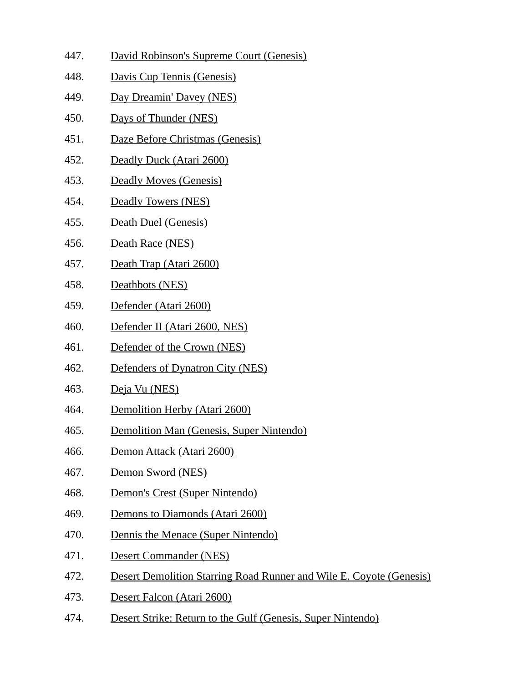- 447. David Robinson's Supreme Court (Genesis)
- 448. Davis Cup Tennis (Genesis)
- 449. Day Dreamin' Davey (NES)
- 450. Days of Thunder (NES)
- 451. Daze Before Christmas (Genesis)
- 452. Deadly Duck (Atari 2600)
- 453. Deadly Moves (Genesis)
- 454. Deadly Towers (NES)
- 455. Death Duel (Genesis)
- 456. Death Race (NES)
- 457. Death Trap (Atari 2600)
- 458. Deathbots (NES)
- 459. Defender (Atari 2600)
- 460. Defender II (Atari 2600, NES)
- 461. Defender of the Crown (NES)
- 462. Defenders of Dynatron City (NES)
- 463. Deja Vu (NES)
- 464. Demolition Herby (Atari 2600)
- 465. Demolition Man (Genesis, Super Nintendo)
- 466. Demon Attack (Atari 2600)
- 467. Demon Sword (NES)
- 468. Demon's Crest (Super Nintendo)
- 469. Demons to Diamonds (Atari 2600)
- 470. Dennis the Menace (Super Nintendo)
- 471. Desert Commander (NES)
- 472. Desert Demolition Starring Road Runner and Wile E. Coyote (Genesis)
- 473. Desert Falcon (Atari 2600)
- 474. Desert Strike: Return to the Gulf (Genesis, Super Nintendo)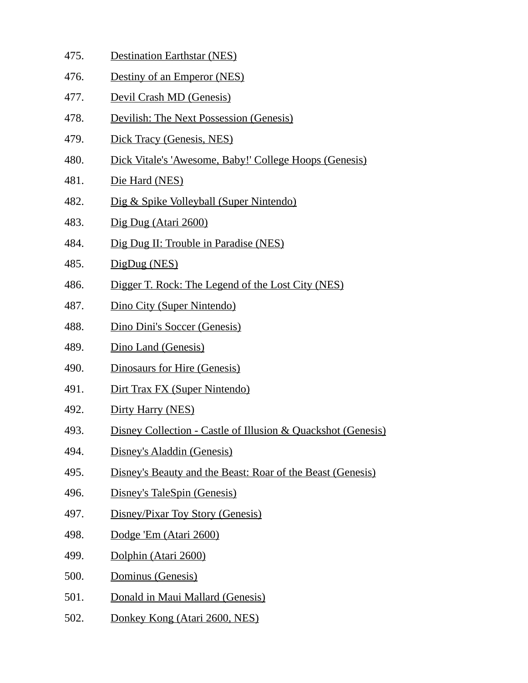- 475. Destination Earthstar (NES)
- 476. Destiny of an Emperor (NES)
- 477. Devil Crash MD (Genesis)
- 478. Devilish: The Next Possession (Genesis)
- 479. Dick Tracy (Genesis, NES)
- 480. Dick Vitale's 'Awesome, Baby!' College Hoops (Genesis)
- 481. Die Hard (NES)
- 482. Dig & Spike Volleyball (Super Nintendo)
- 483. Dig Dug (Atari 2600)
- 484. Dig Dug II: Trouble in Paradise (NES)
- 485. DigDug (NES)
- 486. Digger T. Rock: The Legend of the Lost City (NES)
- 487. Dino City (Super Nintendo)
- 488. Dino Dini's Soccer (Genesis)
- 489. Dino Land (Genesis)
- 490. Dinosaurs for Hire (Genesis)
- 491. Dirt Trax FX (Super Nintendo)
- 492. Dirty Harry (NES)
- 493. Disney Collection Castle of Illusion & Quackshot (Genesis)
- 494. Disney's Aladdin (Genesis)
- 495. Disney's Beauty and the Beast: Roar of the Beast (Genesis)
- 496. Disney's TaleSpin (Genesis)
- 497. Disney/Pixar Toy Story (Genesis)
- 498. Dodge 'Em (Atari 2600)
- 499. Dolphin (Atari 2600)
- 500. Dominus (Genesis)
- 501. Donald in Maui Mallard (Genesis)
- 502. Donkey Kong (Atari 2600, NES)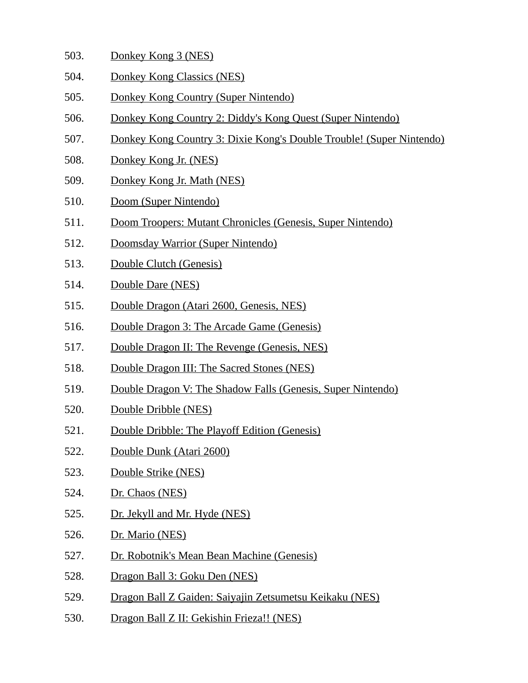- 503. Donkey Kong 3 (NES)
- 504. Donkey Kong Classics (NES)
- 505. Donkey Kong Country (Super Nintendo)
- 506. Donkey Kong Country 2: Diddy's Kong Quest (Super Nintendo)
- 507. Donkey Kong Country 3: Dixie Kong's Double Trouble! (Super Nintendo)
- 508. Donkey Kong Jr. (NES)
- 509. Donkey Kong Jr. Math (NES)
- 510. Doom (Super Nintendo)
- 511. Doom Troopers: Mutant Chronicles (Genesis, Super Nintendo)
- 512. Doomsday Warrior (Super Nintendo)
- 513. Double Clutch (Genesis)
- 514. Double Dare (NES)
- 515. Double Dragon (Atari 2600, Genesis, NES)
- 516. Double Dragon 3: The Arcade Game (Genesis)
- 517. Double Dragon II: The Revenge (Genesis, NES)
- 518. Double Dragon III: The Sacred Stones (NES)
- 519. Double Dragon V: The Shadow Falls (Genesis, Super Nintendo)
- 520. Double Dribble (NES)
- 521. Double Dribble: The Playoff Edition (Genesis)
- 522. Double Dunk (Atari 2600)
- 523. Double Strike (NES)
- 524. Dr. Chaos (NES)
- 525. Dr. Jekyll and Mr. Hyde (NES)
- 526. Dr. Mario (NES)
- 527. Dr. Robotnik's Mean Bean Machine (Genesis)
- 528. Dragon Ball 3: Goku Den (NES)
- 529. Dragon Ball Z Gaiden: Saiyajin Zetsumetsu Keikaku (NES)
- 530. Dragon Ball Z II: Gekishin Frieza!! (NES)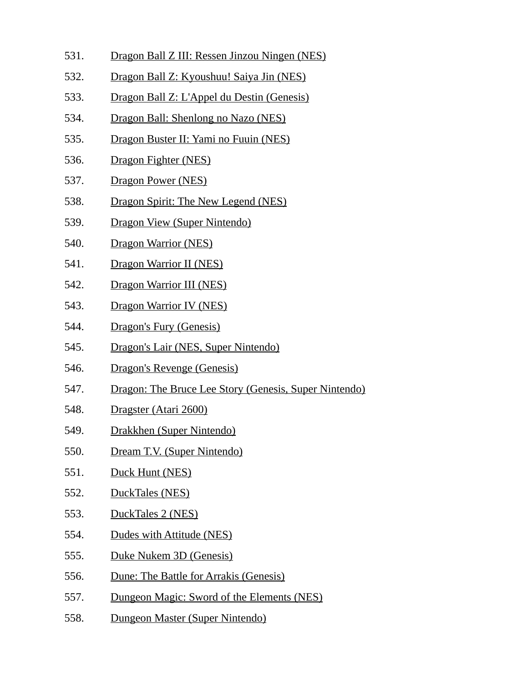- 531. Dragon Ball Z III: Ressen Jinzou Ningen (NES)
- 532. Dragon Ball Z: Kyoushuu! Saiya Jin (NES)
- 533. Dragon Ball Z: L'Appel du Destin (Genesis)
- 534. Dragon Ball: Shenlong no Nazo (NES)
- 535. Dragon Buster II: Yami no Fuuin (NES)
- 536. Dragon Fighter (NES)
- 537. Dragon Power (NES)
- 538. Dragon Spirit: The New Legend (NES)
- 539. Dragon View (Super Nintendo)
- 540. Dragon Warrior (NES)
- 541. Dragon Warrior II (NES)
- 542. Dragon Warrior III (NES)
- 543. Dragon Warrior IV (NES)
- 544. Dragon's Fury (Genesis)
- 545. Dragon's Lair (NES, Super Nintendo)
- 546. Dragon's Revenge (Genesis)
- 547. Dragon: The Bruce Lee Story (Genesis, Super Nintendo)
- 548. Dragster (Atari 2600)
- 549. Drakkhen (Super Nintendo)
- 550. Dream T.V. (Super Nintendo)
- 551. Duck Hunt (NES)
- 552. DuckTales (NES)
- 553. DuckTales 2 (NES)
- 554. Dudes with Attitude (NES)
- 555. Duke Nukem 3D (Genesis)
- 556. Dune: The Battle for Arrakis (Genesis)
- 557. Dungeon Magic: Sword of the Elements (NES)
- 558. Dungeon Master (Super Nintendo)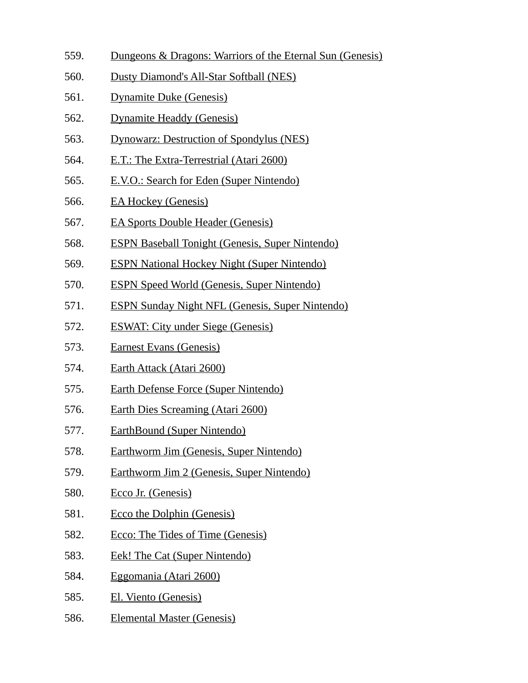- 559. Dungeons & Dragons: Warriors of the Eternal Sun (Genesis)
- 560. Dusty Diamond's All-Star Softball (NES)
- 561. Dynamite Duke (Genesis)
- 562. Dynamite Headdy (Genesis)
- 563. Dynowarz: Destruction of Spondylus (NES)
- 564. E.T.: The Extra-Terrestrial (Atari 2600)
- 565. E.V.O.: Search for Eden (Super Nintendo)
- 566. EA Hockey (Genesis)
- 567. EA Sports Double Header (Genesis)
- 568. ESPN Baseball Tonight (Genesis, Super Nintendo)
- 569. ESPN National Hockey Night (Super Nintendo)
- 570. ESPN Speed World (Genesis, Super Nintendo)
- 571. ESPN Sunday Night NFL (Genesis, Super Nintendo)
- 572. ESWAT: City under Siege (Genesis)
- 573. Earnest Evans (Genesis)
- 574. Earth Attack (Atari 2600)
- 575. Earth Defense Force (Super Nintendo)
- 576. Earth Dies Screaming (Atari 2600)
- 577. EarthBound (Super Nintendo)
- 578. Earthworm Jim (Genesis, Super Nintendo)
- 579. Earthworm Jim 2 (Genesis, Super Nintendo)
- 580. Ecco Jr. (Genesis)
- 581. Ecco the Dolphin (Genesis)
- 582. Ecco: The Tides of Time (Genesis)
- 583. Eek! The Cat (Super Nintendo)
- 584. Eggomania (Atari 2600)
- 585. El. Viento (Genesis)
- 586. Elemental Master (Genesis)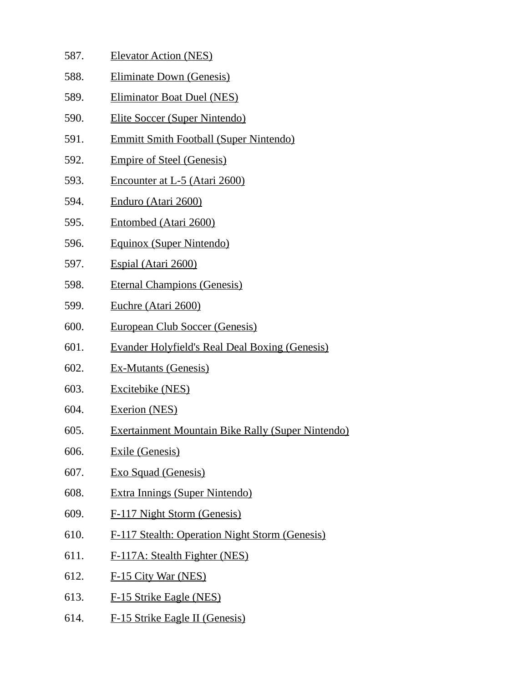- 587. Elevator Action (NES)
- 588. Eliminate Down (Genesis)
- 589. Eliminator Boat Duel (NES)
- 590. Elite Soccer (Super Nintendo)
- 591. Emmitt Smith Football (Super Nintendo)
- 592. Empire of Steel (Genesis)
- 593. Encounter at L-5 (Atari 2600)
- 594. Enduro (Atari 2600)
- 595. Entombed (Atari 2600)
- 596. Equinox (Super Nintendo)
- 597. Espial (Atari 2600)
- 598. Eternal Champions (Genesis)
- 599. Euchre (Atari 2600)
- 600. European Club Soccer (Genesis)
- 601. Evander Holyfield's Real Deal Boxing (Genesis)
- 602. Ex-Mutants (Genesis)
- 603. Excitebike (NES)
- 604. Exerion (NES)
- 605. Exertainment Mountain Bike Rally (Super Nintendo)
- 606. Exile (Genesis)
- 607. Exo Squad (Genesis)
- 608. Extra Innings (Super Nintendo)
- 609. F-117 Night Storm (Genesis)
- 610. F-117 Stealth: Operation Night Storm (Genesis)
- 611. F-117A: Stealth Fighter (NES)
- 612. F-15 City War (NES)
- 613. F-15 Strike Eagle (NES)
- 614. F-15 Strike Eagle II (Genesis)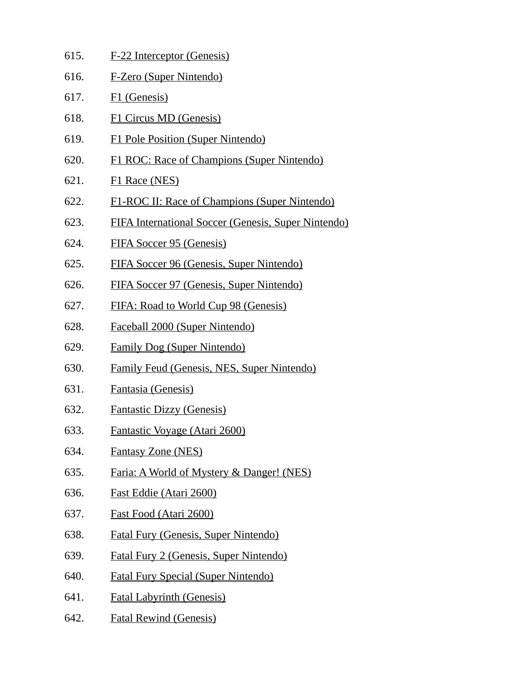- 615. F-22 Interceptor (Genesis)
- 616. F-Zero (Super Nintendo)
- 617. F1 (Genesis)
- 618. F1 Circus MD (Genesis)
- 619. F1 Pole Position (Super Nintendo)
- 620. F1 ROC: Race of Champions (Super Nintendo)
- 621. F1 Race (NES)
- 622. F1-ROC II: Race of Champions (Super Nintendo)
- 623. FIFA International Soccer (Genesis, Super Nintendo)
- 624. FIFA Soccer 95 (Genesis)
- 625. FIFA Soccer 96 (Genesis, Super Nintendo)
- 626. FIFA Soccer 97 (Genesis, Super Nintendo)
- 627. FIFA: Road to World Cup 98 (Genesis)
- 628. Faceball 2000 (Super Nintendo)
- 629. Family Dog (Super Nintendo)
- 630. Family Feud (Genesis, NES, Super Nintendo)
- 631. Fantasia (Genesis)
- 632. Fantastic Dizzy (Genesis)
- 633. Fantastic Voyage (Atari 2600)
- 634. Fantasy Zone (NES)
- 635. Faria: A World of Mystery & Danger! (NES)
- 636. Fast Eddie (Atari 2600)
- 637. Fast Food (Atari 2600)
- 638. Fatal Fury (Genesis, Super Nintendo)
- 639. Fatal Fury 2 (Genesis, Super Nintendo)
- 640. Fatal Fury Special (Super Nintendo)
- 641. Fatal Labyrinth (Genesis)
- 642. Fatal Rewind (Genesis)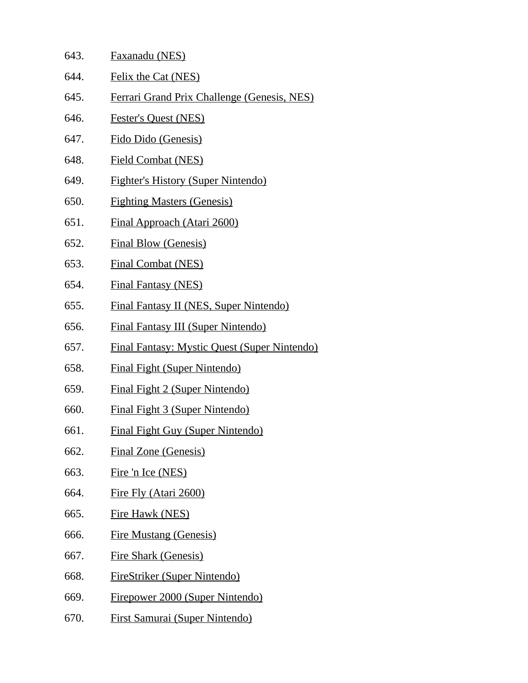| 643. | Faxanadu (NES)                                      |
|------|-----------------------------------------------------|
| 644. | Felix the Cat (NES)                                 |
| 645. | Ferrari Grand Prix Challenge (Genesis, NES)         |
| 646. | <b>Fester's Quest (NES)</b>                         |
| 647. | Fido Dido (Genesis)                                 |
| 648. | <b>Field Combat (NES)</b>                           |
| 649. | <b>Fighter's History (Super Nintendo)</b>           |
| 650. | <b>Fighting Masters (Genesis)</b>                   |
| 651. | <b>Final Approach (Atari 2600)</b>                  |
| 652. | <b>Final Blow (Genesis)</b>                         |
| 653. | <b>Final Combat (NES)</b>                           |
| 654. | <b>Final Fantasy (NES)</b>                          |
| 655. | <b>Final Fantasy II (NES, Super Nintendo)</b>       |
| 656. | <b>Final Fantasy III (Super Nintendo)</b>           |
| 657. | <b>Final Fantasy: Mystic Quest (Super Nintendo)</b> |
| 658. | <b>Final Fight (Super Nintendo)</b>                 |
| 659. | <b>Final Fight 2 (Super Nintendo)</b>               |
| 660. | <b>Final Fight 3 (Super Nintendo)</b>               |
| 661. | <b>Final Fight Guy (Super Nintendo)</b>             |
| 662. | <b>Final Zone (Genesis)</b>                         |
| 663. | Fire 'n Ice (NES)                                   |
| 664. | Fire Fly (Atari 2600)                               |
| 665. | <b>Fire Hawk (NES)</b>                              |
| 666. | <b>Fire Mustang (Genesis)</b>                       |
| 667. | <b>Fire Shark (Genesis)</b>                         |
| 668. | <b>FireStriker (Super Nintendo)</b>                 |
| 669. | Firepower 2000 (Super Nintendo)                     |
| 670. | <u>First Samurai (Super Nintendo)</u>               |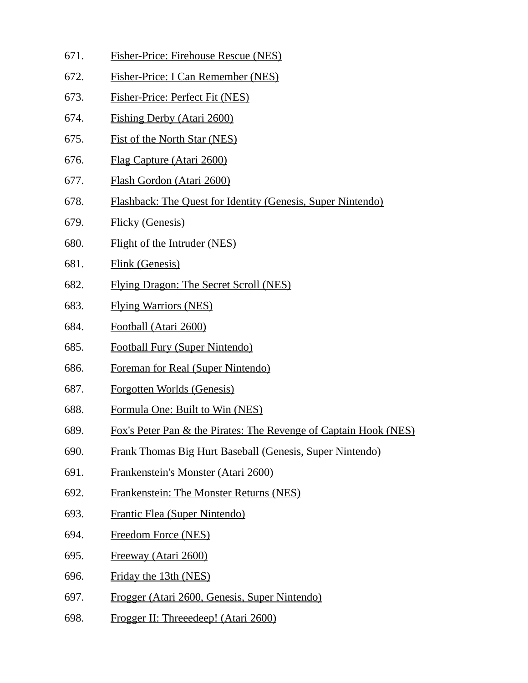- 671. Fisher-Price: Firehouse Rescue (NES)
- 672. Fisher-Price: I Can Remember (NES)
- 673. Fisher-Price: Perfect Fit (NES)
- 674. Fishing Derby (Atari 2600)
- 675. Fist of the North Star (NES)
- 676. Flag Capture (Atari 2600)
- 677. Flash Gordon (Atari 2600)
- 678. Flashback: The Quest for Identity (Genesis, Super Nintendo)
- 679. Flicky (Genesis)
- 680. Flight of the Intruder (NES)
- 681. Flink (Genesis)
- 682. Flying Dragon: The Secret Scroll (NES)
- 683. Flying Warriors (NES)
- 684. Football (Atari 2600)
- 685. Football Fury (Super Nintendo)
- 686. Foreman for Real (Super Nintendo)
- 687. Forgotten Worlds (Genesis)
- 688. Formula One: Built to Win (NES)
- 689. Fox's Peter Pan & the Pirates: The Revenge of Captain Hook (NES)
- 690. Frank Thomas Big Hurt Baseball (Genesis, Super Nintendo)
- 691. Frankenstein's Monster (Atari 2600)
- 692. Frankenstein: The Monster Returns (NES)
- 693. Frantic Flea (Super Nintendo)
- 694. Freedom Force (NES)
- 695. Freeway (Atari 2600)
- 696. Friday the 13th (NES)
- 697. Frogger (Atari 2600, Genesis, Super Nintendo)
- 698. Frogger II: Threeedeep! (Atari 2600)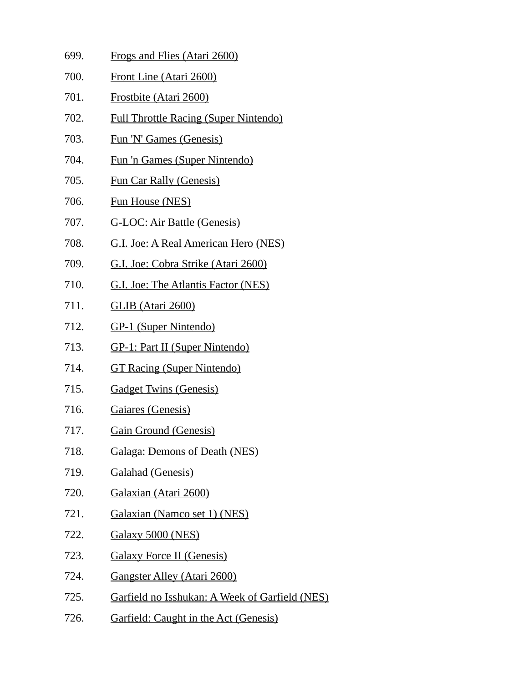699. Frogs and Flies (Atari 2600) 700. Front Line (Atari 2600) 701. Frostbite (Atari 2600) 702. Full Throttle Racing (Super Nintendo) 703. Fun 'N' Games (Genesis) 704. Fun 'n Games (Super Nintendo) 705. Fun Car Rally (Genesis) 706. Fun House (NES) 707. G-LOC: Air Battle (Genesis) 708. G.I. Joe: A Real American Hero (NES) 709. G.I. Joe: Cobra Strike (Atari 2600) 710. G.I. Joe: The Atlantis Factor (NES) 711. GLIB (Atari 2600) 712. GP-1 (Super Nintendo) 713. GP-1: Part II (Super Nintendo) 714. GT Racing (Super Nintendo) 715. Gadget Twins (Genesis) 716. Gaiares (Genesis) 717. Gain Ground (Genesis) 718. Galaga: Demons of Death (NES) 719. Galahad (Genesis) 720. Galaxian (Atari 2600) 721. Galaxian (Namco set 1) (NES) 722. Galaxy 5000 (NES) 723. Galaxy Force II (Genesis) 724. Gangster Alley (Atari 2600) 725. Garfield no Isshukan: A Week of Garfield (NES) 726. Garfield: Caught in the Act (Genesis)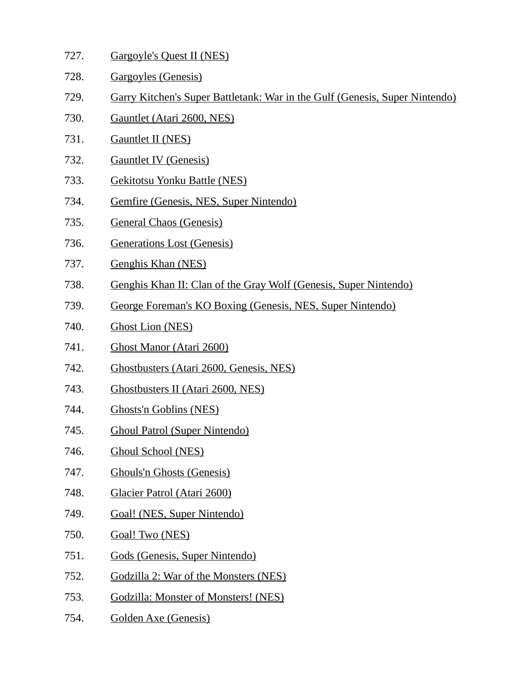| 727. | Gargoyle's Quest II (NES)                                                   |
|------|-----------------------------------------------------------------------------|
| 728. | Gargoyles (Genesis)                                                         |
| 729. | Garry Kitchen's Super Battletank: War in the Gulf (Genesis, Super Nintendo) |
| 730. | Gauntlet (Atari 2600, NES)                                                  |
| 731. | <b>Gauntlet II (NES)</b>                                                    |
| 732. | <b>Gauntlet IV (Genesis)</b>                                                |
| 733. | <b>Gekitotsu Yonku Battle (NES)</b>                                         |
| 734. | Gemfire (Genesis, NES, Super Nintendo)                                      |
| 735. | <b>General Chaos (Genesis)</b>                                              |
| 736. | <b>Generations Lost (Genesis)</b>                                           |
| 737. | Genghis Khan (NES)                                                          |
| 738. | Genghis Khan II: Clan of the Gray Wolf (Genesis, Super Nintendo)            |
| 739. | George Foreman's KO Boxing (Genesis, NES, Super Nintendo)                   |
| 740. | <b>Ghost Lion (NES)</b>                                                     |
| 741. | Ghost Manor (Atari 2600)                                                    |
| 742. | Ghostbusters (Atari 2600, Genesis, NES)                                     |
| 743. | Ghostbusters II (Atari 2600, NES)                                           |
|      |                                                                             |

- 744. Ghosts'n Goblins (NES)
- 745. Ghoul Patrol (Super Nintendo)
- 746. Ghoul School (NES)
- 747. Ghouls'n Ghosts (Genesis)
- 748. Glacier Patrol (Atari 2600)
- 749. Goal! (NES, Super Nintendo)
- 750. Goal! Two (NES)
- 751. Gods (Genesis, Super Nintendo)
- 752. Godzilla 2: War of the Monsters (NES)
- 753. Godzilla: Monster of Monsters! (NES)
- 754. Golden Axe (Genesis)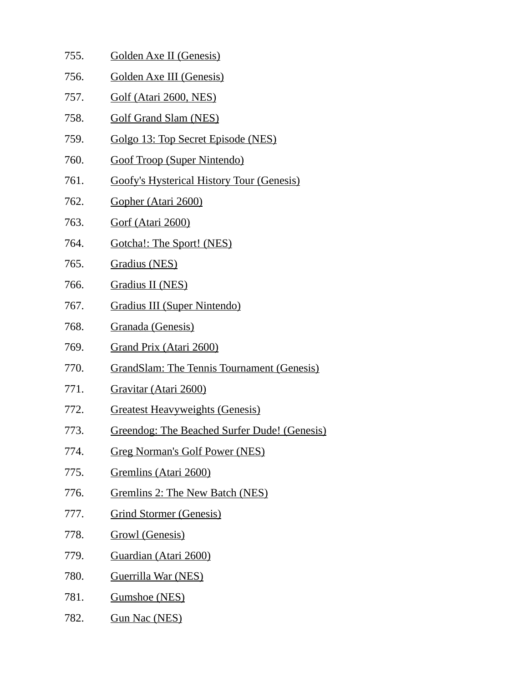- 755. Golden Axe II (Genesis)
- 756. Golden Axe III (Genesis)
- 757. Golf (Atari 2600, NES)
- 758. Golf Grand Slam (NES)
- 759. Golgo 13: Top Secret Episode (NES)
- 760. Goof Troop (Super Nintendo)
- 761. Goofy's Hysterical History Tour (Genesis)
- 762. Gopher (Atari 2600)
- 763. Gorf (Atari 2600)
- 764. Gotcha!: The Sport! (NES)
- 765. Gradius (NES)
- 766. Gradius II (NES)
- 767. Gradius III (Super Nintendo)
- 768. Granada (Genesis)
- 769. Grand Prix (Atari 2600)
- 770. GrandSlam: The Tennis Tournament (Genesis)
- 771. Gravitar (Atari 2600)
- 772. Greatest Heavyweights (Genesis)
- 773. Greendog: The Beached Surfer Dude! (Genesis)
- 774. Greg Norman's Golf Power (NES)
- 775. Gremlins (Atari 2600)
- 776. Gremlins 2: The New Batch (NES)
- 777. Grind Stormer (Genesis)
- 778. Growl (Genesis)
- 779. Guardian (Atari 2600)
- 780. Guerrilla War (NES)
- 781. Gumshoe (NES)
- 782. Gun Nac (NES)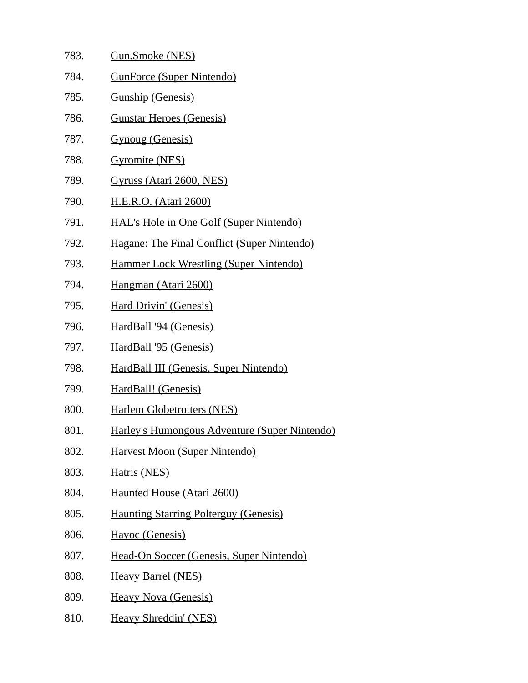| 783. | <b>Gun.Smoke (NES)</b>                             |
|------|----------------------------------------------------|
| 784. | <b>GunForce (Super Nintendo)</b>                   |
| 785. | <b>Gunship (Genesis)</b>                           |
| 786. | <b>Gunstar Heroes (Genesis)</b>                    |
| 787. | <b>Gynoug (Genesis)</b>                            |
| 788. | <b>Gyromite (NES)</b>                              |
| 789. | Gyruss (Atari 2600, NES)                           |
| 790. | <u> H.E.R.O. (Atari 2600)</u>                      |
| 791. | <b>HAL's Hole in One Golf (Super Nintendo)</b>     |
| 792. | <b>Hagane: The Final Conflict (Super Nintendo)</b> |
| 793. | <b>Hammer Lock Wrestling (Super Nintendo)</b>      |
| 794. | Hangman (Atari 2600)                               |
| 795. | <b>Hard Drivin' (Genesis)</b>                      |
| 796. | HardBall '94 (Genesis)                             |
| 797. | HardBall '95 (Genesis)                             |
| 798. | HardBall III (Genesis, Super Nintendo)             |
| 799. | HardBall! (Genesis)                                |
| 800. | <b>Harlem Globetrotters (NES)</b>                  |
| 801. | Harley's Humongous Adventure (Super Nintendo)      |
| 802. | Harvest Moon (Super Nintendo)                      |
| 803. | Hatris (NES)                                       |
| 804. | Haunted House (Atari 2600)                         |
| 805. | <b>Haunting Starring Polterguy (Genesis)</b>       |
| 806. | Havoc (Genesis)                                    |
| 807. | Head-On Soccer (Genesis, Super Nintendo)           |
| 808. | <b>Heavy Barrel (NES)</b>                          |
| 809. | <b>Heavy Nova (Genesis)</b>                        |
| 810. | <b>Heavy Shreddin' (NES)</b>                       |
|      |                                                    |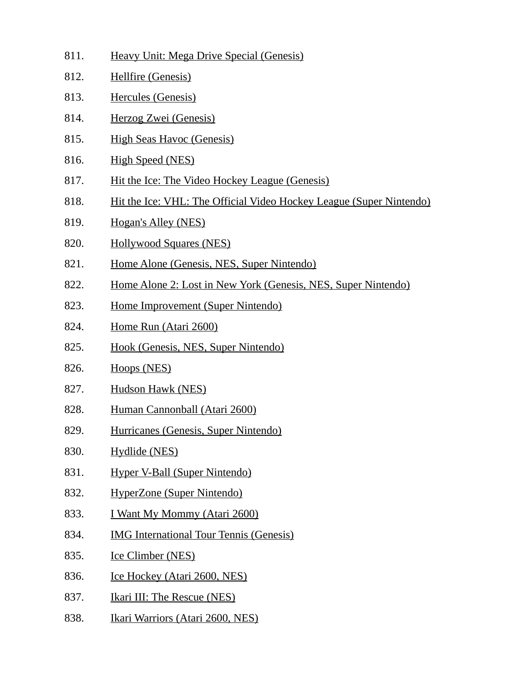- 811. Heavy Unit: Mega Drive Special (Genesis)
- 812. Hellfire (Genesis)
- 813. Hercules (Genesis)
- 814. Herzog Zwei (Genesis)
- 815. High Seas Havoc (Genesis)
- 816. High Speed (NES)
- 817. Hit the Ice: The Video Hockey League (Genesis)
- 818. Hit the Ice: VHL: The Official Video Hockey League (Super Nintendo)
- 819. Hogan's Alley (NES)
- 820. Hollywood Squares (NES)
- 821. Home Alone (Genesis, NES, Super Nintendo)
- 822. Home Alone 2: Lost in New York (Genesis, NES, Super Nintendo)
- 823. Home Improvement (Super Nintendo)
- 824. Home Run (Atari 2600)
- 825. Hook (Genesis, NES, Super Nintendo)
- 826. Hoops (NES)
- 827. Hudson Hawk (NES)
- 828. Human Cannonball (Atari 2600)
- 829. Hurricanes (Genesis, Super Nintendo)
- 830. Hydlide (NES)
- 831. Hyper V-Ball (Super Nintendo)
- 832. HyperZone (Super Nintendo)
- 833. I Want My Mommy (Atari 2600)
- 834. IMG International Tour Tennis (Genesis)
- 835. Ice Climber (NES)
- 836. Ice Hockey (Atari 2600, NES)
- 837. Ikari III: The Rescue (NES)
- 838. Ikari Warriors (Atari 2600, NES)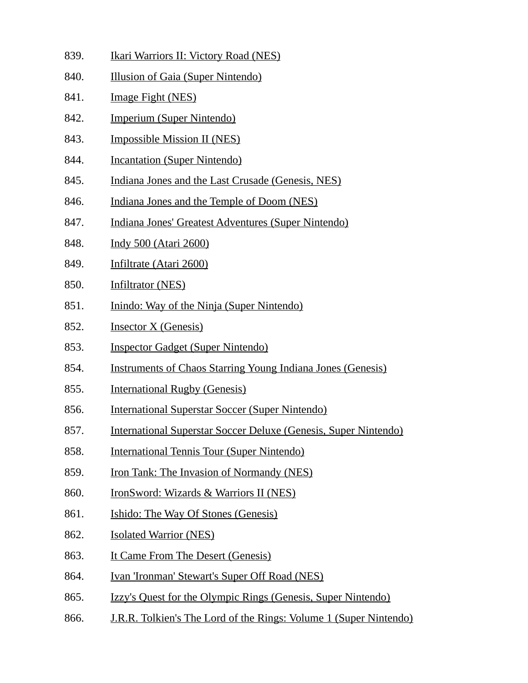- 839. Ikari Warriors II: Victory Road (NES)
- 840. Illusion of Gaia (Super Nintendo)
- 841. Image Fight (NES)
- 842. Imperium (Super Nintendo)
- 843. Impossible Mission II (NES)
- 844. Incantation (Super Nintendo)
- 845. Indiana Jones and the Last Crusade (Genesis, NES)
- 846. Indiana Jones and the Temple of Doom (NES)
- 847. Indiana Jones' Greatest Adventures (Super Nintendo)
- 848. Indy 500 (Atari 2600)
- 849. Infiltrate (Atari 2600)
- 850. Infiltrator (NES)
- 851. Inindo: Way of the Ninja (Super Nintendo)
- 852. Insector X (Genesis)
- 853. Inspector Gadget (Super Nintendo)
- 854. Instruments of Chaos Starring Young Indiana Jones (Genesis)
- 855. International Rugby (Genesis)
- 856. International Superstar Soccer (Super Nintendo)
- 857. International Superstar Soccer Deluxe (Genesis, Super Nintendo)
- 858. International Tennis Tour (Super Nintendo)
- 859. Iron Tank: The Invasion of Normandy (NES)
- 860. IronSword: Wizards & Warriors II (NES)
- 861. Ishido: The Way Of Stones (Genesis)
- 862. Isolated Warrior (NES)
- 863. It Came From The Desert (Genesis)
- 864. Ivan 'Ironman' Stewart's Super Off Road (NES)
- 865. Izzy's Quest for the Olympic Rings (Genesis, Super Nintendo)
- 866. J.R.R. Tolkien's The Lord of the Rings: Volume 1 (Super Nintendo)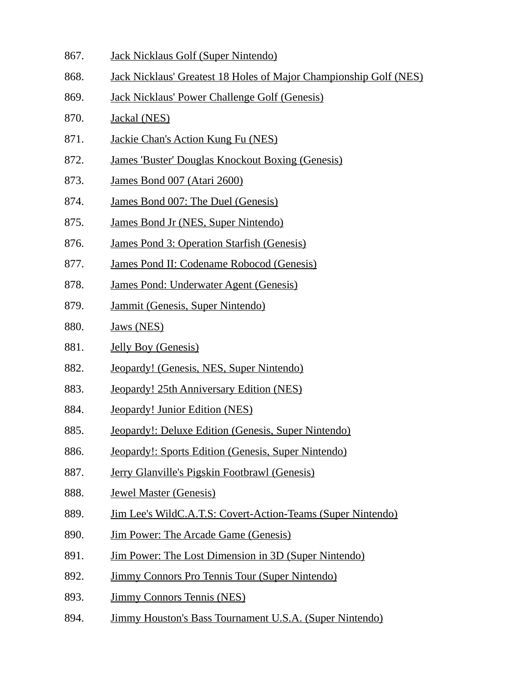- 867. Jack Nicklaus Golf (Super Nintendo)
- 868. Jack Nicklaus' Greatest 18 Holes of Major Championship Golf (NES)
- 869. Jack Nicklaus' Power Challenge Golf (Genesis)
- 870. Jackal (NES)
- 871. Jackie Chan's Action Kung Fu (NES)
- 872. James 'Buster' Douglas Knockout Boxing (Genesis)
- 873. James Bond 007 (Atari 2600)
- 874. James Bond 007: The Duel (Genesis)
- 875. James Bond Jr (NES, Super Nintendo)
- 876. James Pond 3: Operation Starfish (Genesis)
- 877. James Pond II: Codename Robocod (Genesis)
- 878. James Pond: Underwater Agent (Genesis)
- 879. Jammit (Genesis, Super Nintendo)
- 880. Jaws (NES)
- 881. Jelly Boy (Genesis)
- 882. Jeopardy! (Genesis, NES, Super Nintendo)
- 883. Jeopardy! 25th Anniversary Edition (NES)
- 884. Jeopardy! Junior Edition (NES)
- 885. Jeopardy!: Deluxe Edition (Genesis, Super Nintendo)
- 886. Jeopardy!: Sports Edition (Genesis, Super Nintendo)
- 887. Jerry Glanville's Pigskin Footbrawl (Genesis)
- 888. Jewel Master (Genesis)
- 889. Jim Lee's WildC.A.T.S: Covert-Action-Teams (Super Nintendo)
- 890. Jim Power: The Arcade Game (Genesis)
- 891. Jim Power: The Lost Dimension in 3D (Super Nintendo)
- 892. Jimmy Connors Pro Tennis Tour (Super Nintendo)
- 893. Jimmy Connors Tennis (NES)
- 894. Jimmy Houston's Bass Tournament U.S.A. (Super Nintendo)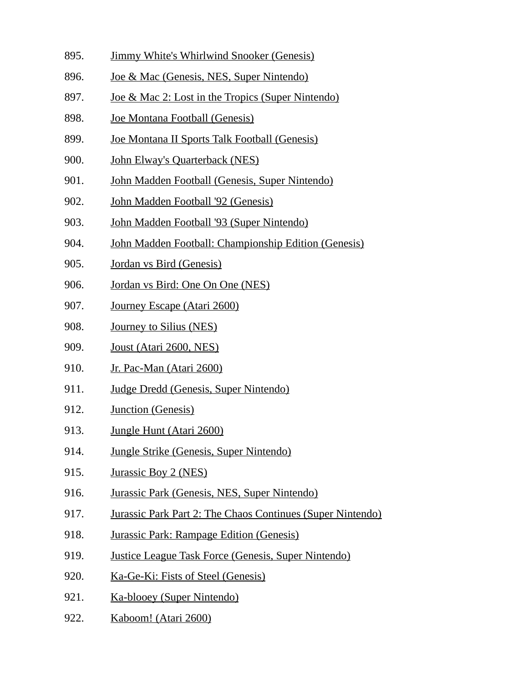- 895. Jimmy White's Whirlwind Snooker (Genesis)
- 896. Joe & Mac (Genesis, NES, Super Nintendo)
- 897. Joe & Mac 2: Lost in the Tropics (Super Nintendo)
- 898. Joe Montana Football (Genesis)
- 899. Joe Montana II Sports Talk Football (Genesis)
- 900. John Elway's Quarterback (NES)
- 901. John Madden Football (Genesis, Super Nintendo)
- 902. John Madden Football '92 (Genesis)
- 903. John Madden Football '93 (Super Nintendo)
- 904. John Madden Football: Championship Edition (Genesis)
- 905. Jordan vs Bird (Genesis)
- 906. Jordan vs Bird: One On One (NES)
- 907. Journey Escape (Atari 2600)
- 908. Journey to Silius (NES)
- 909. Joust (Atari 2600, NES)
- 910. Jr. Pac-Man (Atari 2600)
- 911. Judge Dredd (Genesis, Super Nintendo)
- 912. Junction (Genesis)
- 913. Jungle Hunt (Atari 2600)
- 914. Jungle Strike (Genesis, Super Nintendo)
- 915. Jurassic Boy 2 (NES)
- 916. Jurassic Park (Genesis, NES, Super Nintendo)
- 917. Jurassic Park Part 2: The Chaos Continues (Super Nintendo)
- 918. Jurassic Park: Rampage Edition (Genesis)
- 919. Justice League Task Force (Genesis, Super Nintendo)
- 920. Ka-Ge-Ki: Fists of Steel (Genesis)
- 921. Ka-blooey (Super Nintendo)
- 922. Kaboom! (Atari 2600)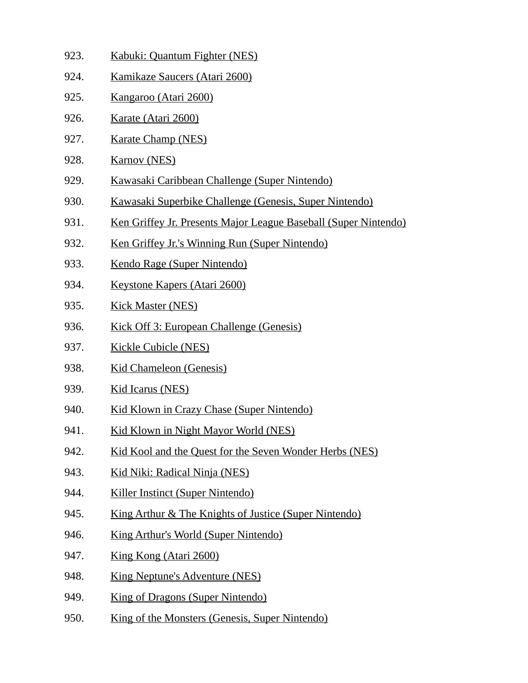- 923. Kabuki: Quantum Fighter (NES)
- 924. Kamikaze Saucers (Atari 2600)
- 925. Kangaroo (Atari 2600)
- 926. Karate (Atari 2600)
- 927. Karate Champ (NES)
- 928. Karnov (NES)
- 929. Kawasaki Caribbean Challenge (Super Nintendo)
- 930. Kawasaki Superbike Challenge (Genesis, Super Nintendo)
- 931. Ken Griffey Jr. Presents Major League Baseball (Super Nintendo)
- 932. Ken Griffey Jr.'s Winning Run (Super Nintendo)
- 933. Kendo Rage (Super Nintendo)
- 934. Keystone Kapers (Atari 2600)
- 935. Kick Master (NES)
- 936. Kick Off 3: European Challenge (Genesis)
- 937. Kickle Cubicle (NES)
- 938. Kid Chameleon (Genesis)
- 939. Kid Icarus (NES)
- 940. Kid Klown in Crazy Chase (Super Nintendo)
- 941. Kid Klown in Night Mayor World (NES)
- 942. Kid Kool and the Quest for the Seven Wonder Herbs (NES)
- 943. Kid Niki: Radical Ninja (NES)
- 944. Killer Instinct (Super Nintendo)
- 945. King Arthur & The Knights of Justice (Super Nintendo)
- 946. King Arthur's World (Super Nintendo)
- 947. King Kong (Atari 2600)
- 948. King Neptune's Adventure (NES)
- 949. King of Dragons (Super Nintendo)
- 950. King of the Monsters (Genesis, Super Nintendo)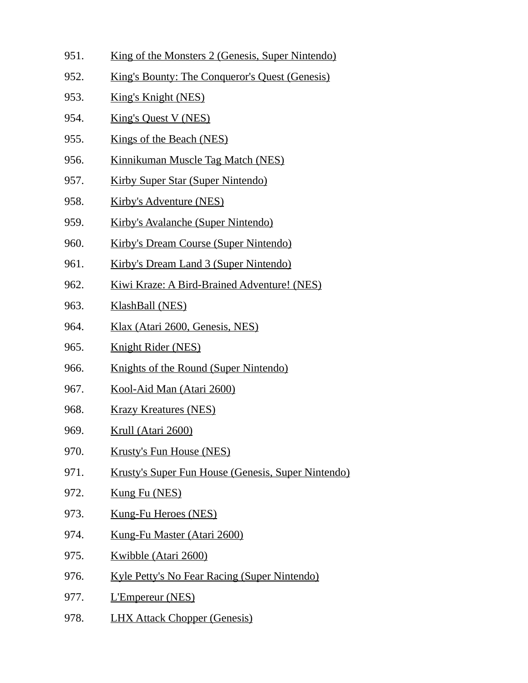- 951. King of the Monsters 2 (Genesis, Super Nintendo)
- 952. King's Bounty: The Conqueror's Quest (Genesis)
- 953. King's Knight (NES)
- 954. King's Quest V (NES)
- 955. Kings of the Beach (NES)
- 956. Kinnikuman Muscle Tag Match (NES)
- 957. Kirby Super Star (Super Nintendo)
- 958. Kirby's Adventure (NES)
- 959. Kirby's Avalanche (Super Nintendo)
- 960. Kirby's Dream Course (Super Nintendo)
- 961. Kirby's Dream Land 3 (Super Nintendo)
- 962. Kiwi Kraze: A Bird-Brained Adventure! (NES)
- 963. KlashBall (NES)
- 964. Klax (Atari 2600, Genesis, NES)
- 965. Knight Rider (NES)
- 966. Knights of the Round (Super Nintendo)
- 967. Kool-Aid Man (Atari 2600)
- 968. Krazy Kreatures (NES)
- 969. Krull (Atari 2600)
- 970. Krusty's Fun House (NES)
- 971. Krusty's Super Fun House (Genesis, Super Nintendo)
- 972. Kung Fu (NES)
- 973. Kung-Fu Heroes (NES)
- 974. Kung-Fu Master (Atari 2600)
- 975. Kwibble (Atari 2600)
- 976. Kyle Petty's No Fear Racing (Super Nintendo)
- 977. L'Empereur (NES)
- 978. LHX Attack Chopper (Genesis)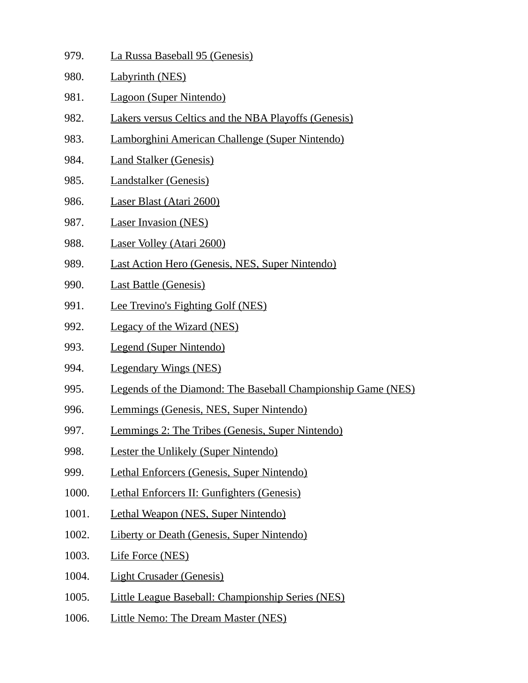- 979. La Russa Baseball 95 (Genesis)
- 980. Labyrinth (NES)
- 981. Lagoon (Super Nintendo)
- 982. Lakers versus Celtics and the NBA Playoffs (Genesis)
- 983. Lamborghini American Challenge (Super Nintendo)
- 984. Land Stalker (Genesis)
- 985. Landstalker (Genesis)
- 986. Laser Blast (Atari 2600)
- 987. Laser Invasion (NES)
- 988. Laser Volley (Atari 2600)
- 989. Last Action Hero (Genesis, NES, Super Nintendo)
- 990. Last Battle (Genesis)
- 991. Lee Trevino's Fighting Golf (NES)
- 992. Legacy of the Wizard (NES)
- 993. Legend (Super Nintendo)
- 994. Legendary Wings (NES)
- 995. Legends of the Diamond: The Baseball Championship Game (NES)
- 996. Lemmings (Genesis, NES, Super Nintendo)
- 997. Lemmings 2: The Tribes (Genesis, Super Nintendo)
- 998. Lester the Unlikely (Super Nintendo)
- 999. Lethal Enforcers (Genesis, Super Nintendo)
- 1000. Lethal Enforcers II: Gunfighters (Genesis)
- 1001. Lethal Weapon (NES, Super Nintendo)
- 1002. Liberty or Death (Genesis, Super Nintendo)
- 1003. Life Force (NES)
- 1004. Light Crusader (Genesis)
- 1005. Little League Baseball: Championship Series (NES)
- 1006. Little Nemo: The Dream Master (NES)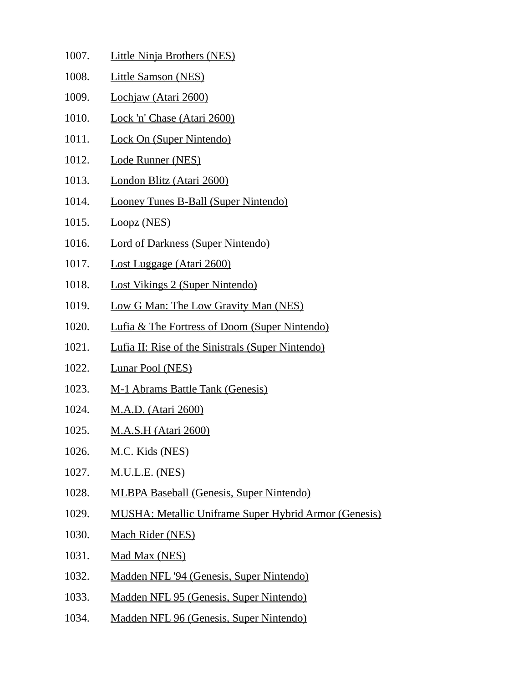- 1007. Little Ninja Brothers (NES) 1008. Little Samson (NES) 1009. Lochjaw (Atari 2600) 1010. Lock 'n' Chase (Atari 2600) 1011. Lock On (Super Nintendo) 1012. Lode Runner (NES) 1013. London Blitz (Atari 2600) 1014. Looney Tunes B-Ball (Super Nintendo) 1015. Loopz (NES) 1016. Lord of Darkness (Super Nintendo) 1017. Lost Luggage (Atari 2600) 1018. Lost Vikings 2 (Super Nintendo) 1019. Low G Man: The Low Gravity Man (NES) 1020. Lufia & The Fortress of Doom (Super Nintendo) 1021. Lufia II: Rise of the Sinistrals (Super Nintendo) 1022. Lunar Pool (NES) 1023. M-1 Abrams Battle Tank (Genesis) 1024. M.A.D. (Atari 2600) 1025. M.A.S.H (Atari 2600) 1026. M.C. Kids (NES) 1027. M.U.L.E. (NES) 1028. MLBPA Baseball (Genesis, Super Nintendo) 1029. MUSHA: Metallic Uniframe Super Hybrid Armor (Genesis) 1030. Mach Rider (NES) 1031. Mad Max (NES) 1032. Madden NFL '94 (Genesis, Super Nintendo) 1033. Madden NFL 95 (Genesis, Super Nintendo)
- 1034. Madden NFL 96 (Genesis, Super Nintendo)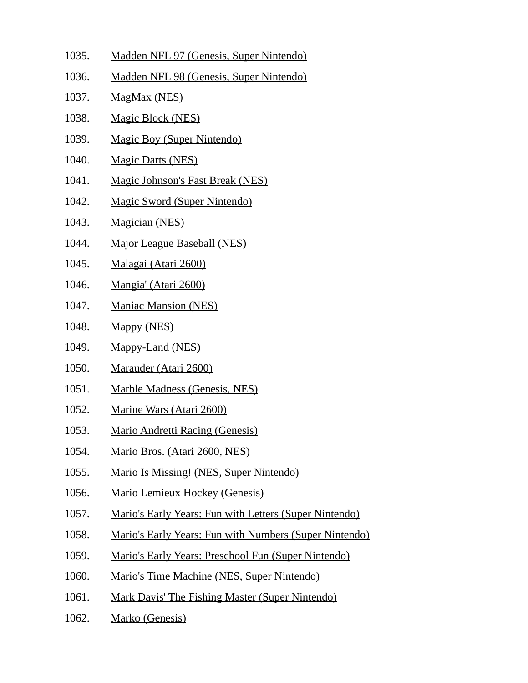- 1035. Madden NFL 97 (Genesis, Super Nintendo)
- 1036. Madden NFL 98 (Genesis, Super Nintendo)
- 1037. MagMax (NES)
- 1038. Magic Block (NES)
- 1039. Magic Boy (Super Nintendo)
- 1040. Magic Darts (NES)
- 1041. Magic Johnson's Fast Break (NES)
- 1042. Magic Sword (Super Nintendo)
- 1043. Magician (NES)
- 1044. Major League Baseball (NES)
- 1045. Malagai (Atari 2600)
- 1046. Mangia' (Atari 2600)
- 1047. Maniac Mansion (NES)
- 1048. Mappy (NES)
- 1049. Mappy-Land (NES)
- 1050. Marauder (Atari 2600)
- 1051. Marble Madness (Genesis, NES)
- 1052. Marine Wars (Atari 2600)
- 1053. Mario Andretti Racing (Genesis)
- 1054. Mario Bros. (Atari 2600, NES)
- 1055. Mario Is Missing! (NES, Super Nintendo)
- 1056. Mario Lemieux Hockey (Genesis)
- 1057. Mario's Early Years: Fun with Letters (Super Nintendo)
- 1058. Mario's Early Years: Fun with Numbers (Super Nintendo)
- 1059. Mario's Early Years: Preschool Fun (Super Nintendo)
- 1060. Mario's Time Machine (NES, Super Nintendo)
- 1061. Mark Davis' The Fishing Master (Super Nintendo)
- 1062. Marko (Genesis)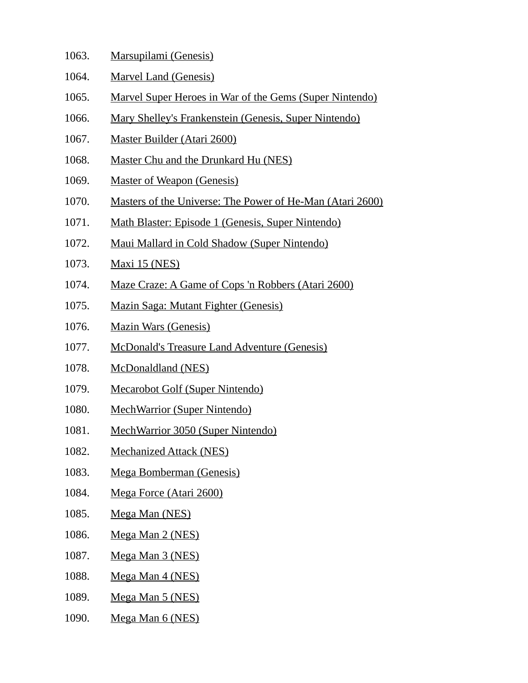| 1063. | <u> Marsupilami (Genesis)</u> |  |
|-------|-------------------------------|--|
| 1064. | <b>Marvel Land (Genesis)</b>  |  |

- 1065. Marvel Super Heroes in War of the Gems (Super Nintendo)
- 1066. Mary Shelley's Frankenstein (Genesis, Super Nintendo)
- 1067. Master Builder (Atari 2600)
- 1068. Master Chu and the Drunkard Hu (NES)
- 1069. Master of Weapon (Genesis)
- 1070. Masters of the Universe: The Power of He-Man (Atari 2600)
- 1071. Math Blaster: Episode 1 (Genesis, Super Nintendo)
- 1072. Maui Mallard in Cold Shadow (Super Nintendo)
- 1073. Maxi 15 (NES)
- 1074. Maze Craze: A Game of Cops 'n Robbers (Atari 2600)
- 1075. Mazin Saga: Mutant Fighter (Genesis)
- 1076. Mazin Wars (Genesis)
- 1077. McDonald's Treasure Land Adventure (Genesis)
- 1078. McDonaldland (NES)
- 1079. Mecarobot Golf (Super Nintendo)
- 1080. MechWarrior (Super Nintendo)
- 1081. MechWarrior 3050 (Super Nintendo)
- 1082. Mechanized Attack (NES)
- 1083. Mega Bomberman (Genesis)
- 1084. Mega Force (Atari 2600)
- 1085. Mega Man (NES)
- 1086. Mega Man 2 (NES)
- 1087. Mega Man 3 (NES)
- 1088. Mega Man 4 (NES)
- 1089. Mega Man 5 (NES)
- 1090. Mega Man 6 (NES)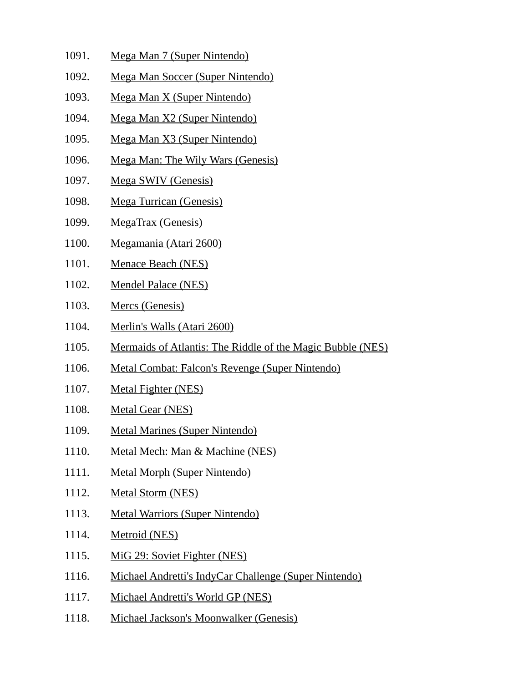- 1091. Mega Man 7 (Super Nintendo)
- 1092. Mega Man Soccer (Super Nintendo)
- 1093. Mega Man X (Super Nintendo)
- 1094. Mega Man X2 (Super Nintendo)
- 1095. Mega Man X3 (Super Nintendo)
- 1096. Mega Man: The Wily Wars (Genesis)
- 1097. Mega SWIV (Genesis)
- 1098. Mega Turrican (Genesis)
- 1099. MegaTrax (Genesis)
- 1100. Megamania (Atari 2600)
- 1101. Menace Beach (NES)
- 1102. Mendel Palace (NES)
- 1103. Mercs (Genesis)
- 1104. Merlin's Walls (Atari 2600)
- 1105. Mermaids of Atlantis: The Riddle of the Magic Bubble (NES)
- 1106. Metal Combat: Falcon's Revenge (Super Nintendo)
- 1107. Metal Fighter (NES)
- 1108. Metal Gear (NES)
- 1109. Metal Marines (Super Nintendo)
- 1110. Metal Mech: Man & Machine (NES)
- 1111. Metal Morph (Super Nintendo)
- 1112. Metal Storm (NES)
- 1113. Metal Warriors (Super Nintendo)
- 1114. Metroid (NES)
- 1115. MiG 29: Soviet Fighter (NES)
- 1116. Michael Andretti's IndyCar Challenge (Super Nintendo)
- 1117. Michael Andretti's World GP (NES)
- 1118. Michael Jackson's Moonwalker (Genesis)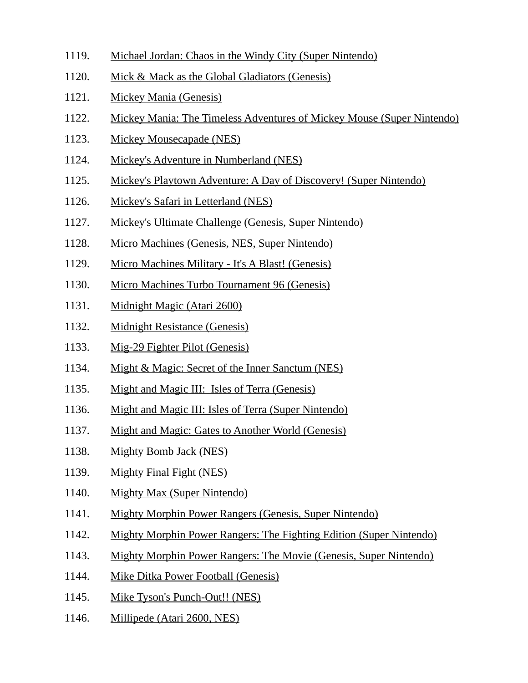- 1119. Michael Jordan: Chaos in the Windy City (Super Nintendo)
- 1120. Mick & Mack as the Global Gladiators (Genesis)
- 1121. Mickey Mania (Genesis)
- 1122. Mickey Mania: The Timeless Adventures of Mickey Mouse (Super Nintendo)
- 1123. Mickey Mousecapade (NES)
- 1124. Mickey's Adventure in Numberland (NES)
- 1125. Mickey's Playtown Adventure: A Day of Discovery! (Super Nintendo)
- 1126. Mickey's Safari in Letterland (NES)
- 1127. Mickey's Ultimate Challenge (Genesis, Super Nintendo)
- 1128. Micro Machines (Genesis, NES, Super Nintendo)
- 1129. Micro Machines Military It's A Blast! (Genesis)
- 1130. Micro Machines Turbo Tournament 96 (Genesis)
- 1131. Midnight Magic (Atari 2600)
- 1132. Midnight Resistance (Genesis)
- 1133. Mig-29 Fighter Pilot (Genesis)
- 1134. Might & Magic: Secret of the Inner Sanctum (NES)
- 1135. Might and Magic III: Isles of Terra (Genesis)
- 1136. Might and Magic III: Isles of Terra (Super Nintendo)
- 1137. Might and Magic: Gates to Another World (Genesis)
- 1138. Mighty Bomb Jack (NES)
- 1139. Mighty Final Fight (NES)
- 1140. Mighty Max (Super Nintendo)
- 1141. Mighty Morphin Power Rangers (Genesis, Super Nintendo)
- 1142. Mighty Morphin Power Rangers: The Fighting Edition (Super Nintendo)
- 1143. Mighty Morphin Power Rangers: The Movie (Genesis, Super Nintendo)
- 1144. Mike Ditka Power Football (Genesis)
- 1145. Mike Tyson's Punch-Out!! (NES)
- 1146. Millipede (Atari 2600, NES)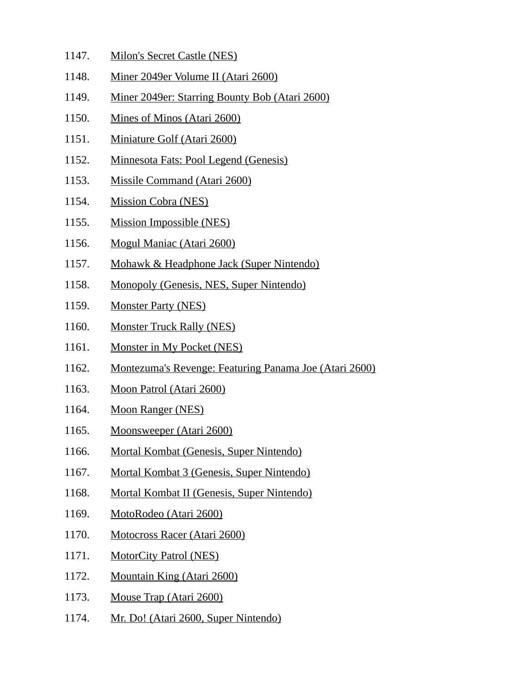- 1147. Milon's Secret Castle (NES)
- 1148. Miner 2049er Volume II (Atari 2600)
- 1149. Miner 2049er: Starring Bounty Bob (Atari 2600)
- 1150. Mines of Minos (Atari 2600)
- 1151. Miniature Golf (Atari 2600)
- 1152. Minnesota Fats: Pool Legend (Genesis)
- 1153. Missile Command (Atari 2600)
- 1154. Mission Cobra (NES)
- 1155. Mission Impossible (NES)
- 1156. Mogul Maniac (Atari 2600)
- 1157. Mohawk & Headphone Jack (Super Nintendo)
- 1158. Monopoly (Genesis, NES, Super Nintendo)
- 1159. Monster Party (NES)
- 1160. Monster Truck Rally (NES)
- 1161. Monster in My Pocket (NES)
- 1162. Montezuma's Revenge: Featuring Panama Joe (Atari 2600)
- 1163. Moon Patrol (Atari 2600)
- 1164. Moon Ranger (NES)
- 1165. Moonsweeper (Atari 2600)
- 1166. Mortal Kombat (Genesis, Super Nintendo)
- 1167. Mortal Kombat 3 (Genesis, Super Nintendo)
- 1168. Mortal Kombat II (Genesis, Super Nintendo)
- 1169. MotoRodeo (Atari 2600)
- 1170. Motocross Racer (Atari 2600)
- 1171. MotorCity Patrol (NES)
- 1172. Mountain King (Atari 2600)
- 1173. Mouse Trap (Atari 2600)
- 1174. Mr. Do! (Atari 2600, Super Nintendo)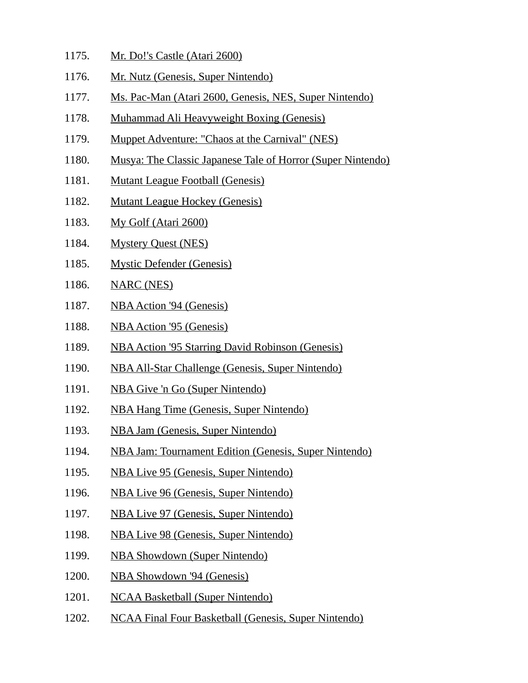- 1175. Mr. Do!'s Castle (Atari 2600)
- 1176. Mr. Nutz (Genesis, Super Nintendo)
- 1177. Ms. Pac-Man (Atari 2600, Genesis, NES, Super Nintendo)
- 1178. Muhammad Ali Heavyweight Boxing (Genesis)
- 1179. Muppet Adventure: "Chaos at the Carnival" (NES)
- 1180. Musya: The Classic Japanese Tale of Horror (Super Nintendo)
- 1181. Mutant League Football (Genesis)
- 1182. Mutant League Hockey (Genesis)
- 1183. My Golf (Atari 2600)
- 1184. Mystery Quest (NES)
- 1185. Mystic Defender (Genesis)
- 1186. NARC (NES)
- 1187. NBA Action '94 (Genesis)
- 1188. NBA Action '95 (Genesis)
- 1189. NBA Action '95 Starring David Robinson (Genesis)
- 1190. NBA All-Star Challenge (Genesis, Super Nintendo)
- 1191. NBA Give 'n Go (Super Nintendo)
- 1192. NBA Hang Time (Genesis, Super Nintendo)
- 1193. NBA Jam (Genesis, Super Nintendo)
- 1194. NBA Jam: Tournament Edition (Genesis, Super Nintendo)
- 1195. NBA Live 95 (Genesis, Super Nintendo)
- 1196. NBA Live 96 (Genesis, Super Nintendo)
- 1197. NBA Live 97 (Genesis, Super Nintendo)
- 1198. NBA Live 98 (Genesis, Super Nintendo)
- 1199. NBA Showdown (Super Nintendo)
- 1200. NBA Showdown '94 (Genesis)
- 1201. NCAA Basketball (Super Nintendo)
- 1202. NCAA Final Four Basketball (Genesis, Super Nintendo)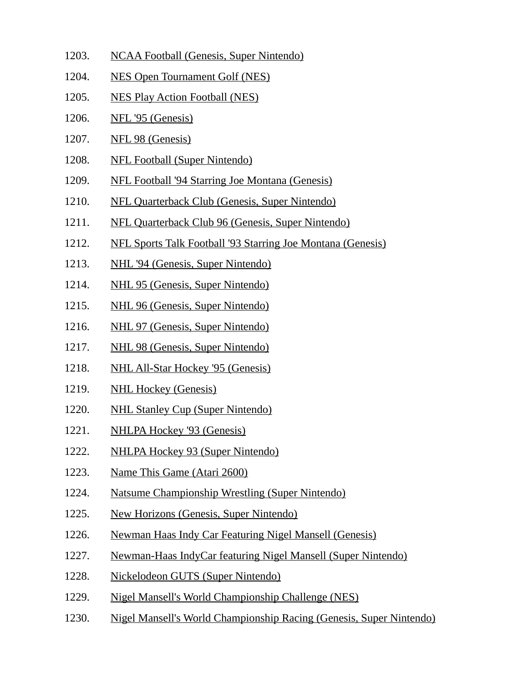- 1203. NCAA Football (Genesis, Super Nintendo)
- 1204. NES Open Tournament Golf (NES)
- 1205. NES Play Action Football (NES)
- 1206. NFL '95 (Genesis)
- 1207. NFL 98 (Genesis)
- 1208. NFL Football (Super Nintendo)
- 1209. NFL Football '94 Starring Joe Montana (Genesis)
- 1210. NFL Quarterback Club (Genesis, Super Nintendo)
- 1211. NFL Quarterback Club 96 (Genesis, Super Nintendo)
- 1212. NFL Sports Talk Football '93 Starring Joe Montana (Genesis)
- 1213. NHL '94 (Genesis, Super Nintendo)
- 1214. NHL 95 (Genesis, Super Nintendo)
- 1215. NHL 96 (Genesis, Super Nintendo)
- 1216. NHL 97 (Genesis, Super Nintendo)
- 1217. NHL 98 (Genesis, Super Nintendo)
- 1218. NHL All-Star Hockey '95 (Genesis)
- 1219. NHL Hockey (Genesis)
- 1220. NHL Stanley Cup (Super Nintendo)
- 1221. NHLPA Hockey '93 (Genesis)
- 1222. NHLPA Hockey 93 (Super Nintendo)
- 1223. Name This Game (Atari 2600)
- 1224. Natsume Championship Wrestling (Super Nintendo)
- 1225. New Horizons (Genesis, Super Nintendo)
- 1226. Newman Haas Indy Car Featuring Nigel Mansell (Genesis)
- 1227. Newman-Haas IndyCar featuring Nigel Mansell (Super Nintendo)
- 1228. Nickelodeon GUTS (Super Nintendo)
- 1229. Nigel Mansell's World Championship Challenge (NES)
- 1230. Nigel Mansell's World Championship Racing (Genesis, Super Nintendo)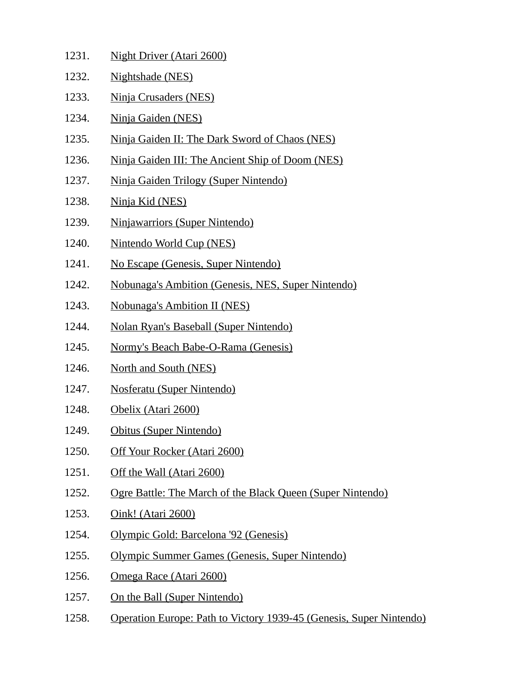- 1231. Night Driver (Atari 2600) 1232. Nightshade (NES) 1233. Ninja Crusaders (NES) 1234. Ninja Gaiden (NES) 1235. Ninja Gaiden II: The Dark Sword of Chaos (NES) 1236. Ninja Gaiden III: The Ancient Ship of Doom (NES) 1237. Ninja Gaiden Trilogy (Super Nintendo) 1238. Ninja Kid (NES) 1239. Ninjawarriors (Super Nintendo) 1240. Nintendo World Cup (NES) 1241. No Escape (Genesis, Super Nintendo) 1242. Nobunaga's Ambition (Genesis, NES, Super Nintendo) 1243. Nobunaga's Ambition II (NES) 1244. Nolan Ryan's Baseball (Super Nintendo) 1245. Normy's Beach Babe-O-Rama (Genesis) 1246. North and South (NES) 1247. Nosferatu (Super Nintendo) 1248. Obelix (Atari 2600) 1249. Obitus (Super Nintendo) 1250. Off Your Rocker (Atari 2600)
- 1251. Off the Wall (Atari 2600)
- 1252. Ogre Battle: The March of the Black Queen (Super Nintendo)
- 1253. Oink! (Atari 2600)
- 1254. Olympic Gold: Barcelona '92 (Genesis)
- 1255. Olympic Summer Games (Genesis, Super Nintendo)
- 1256. Omega Race (Atari 2600)
- 1257. On the Ball (Super Nintendo)
- 1258. Operation Europe: Path to Victory 1939-45 (Genesis, Super Nintendo)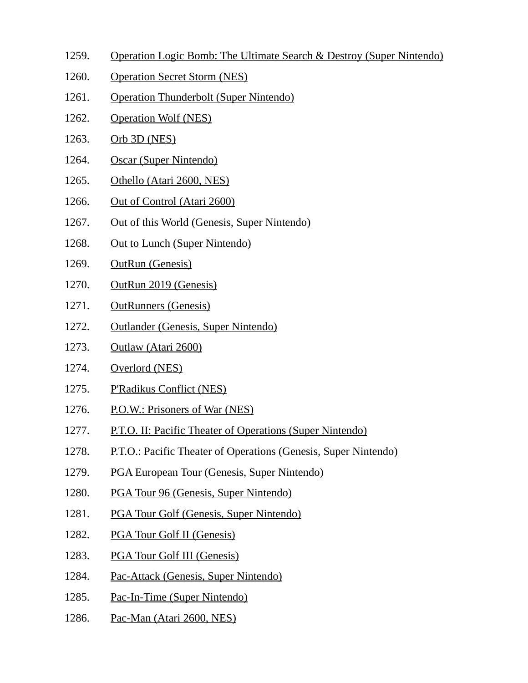- 1259. Operation Logic Bomb: The Ultimate Search & Destroy (Super Nintendo)
- 1260. Operation Secret Storm (NES)
- 1261. Operation Thunderbolt (Super Nintendo)
- 1262. Operation Wolf (NES)
- 1263. Orb 3D (NES)
- 1264. Oscar (Super Nintendo)
- 1265. Othello (Atari 2600, NES)
- 1266. Out of Control (Atari 2600)
- 1267. Out of this World (Genesis, Super Nintendo)
- 1268. Out to Lunch (Super Nintendo)
- 1269. OutRun (Genesis)
- 1270. OutRun 2019 (Genesis)
- 1271. OutRunners (Genesis)
- 1272. Outlander (Genesis, Super Nintendo)
- 1273. Outlaw (Atari 2600)
- 1274. Overlord (NES)
- 1275. P'Radikus Conflict (NES)
- 1276. P.O.W.: Prisoners of War (NES)
- 1277. P.T.O. II: Pacific Theater of Operations (Super Nintendo)
- 1278. P.T.O.: Pacific Theater of Operations (Genesis, Super Nintendo)
- 1279. PGA European Tour (Genesis, Super Nintendo)
- 1280. PGA Tour 96 (Genesis, Super Nintendo)
- 1281. PGA Tour Golf (Genesis, Super Nintendo)
- 1282. PGA Tour Golf II (Genesis)
- 1283. PGA Tour Golf III (Genesis)
- 1284. Pac-Attack (Genesis, Super Nintendo)
- 1285. Pac-In-Time (Super Nintendo)
- 1286. Pac-Man (Atari 2600, NES)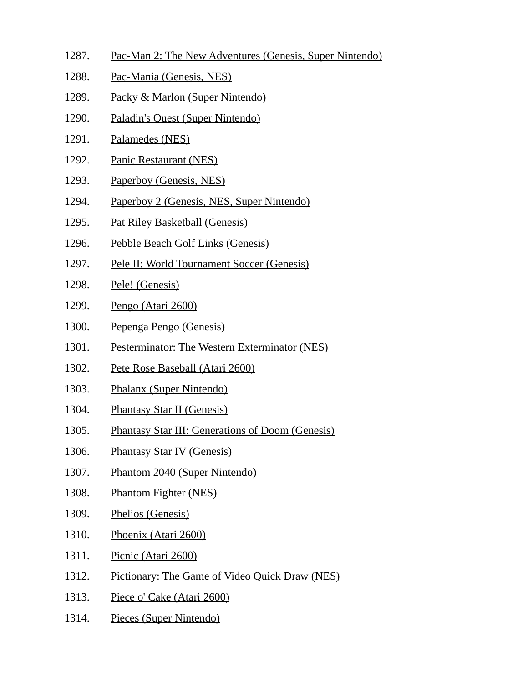- 1287. Pac-Man 2: The New Adventures (Genesis, Super Nintendo)
- 1288. Pac-Mania (Genesis, NES)
- 1289. Packy & Marlon (Super Nintendo)
- 1290. Paladin's Quest (Super Nintendo)
- 1291. Palamedes (NES)
- 1292. Panic Restaurant (NES)
- 1293. Paperboy (Genesis, NES)
- 1294. Paperboy 2 (Genesis, NES, Super Nintendo)
- 1295. Pat Riley Basketball (Genesis)
- 1296. Pebble Beach Golf Links (Genesis)
- 1297. Pele II: World Tournament Soccer (Genesis)
- 1298. Pele! (Genesis)
- 1299. Pengo (Atari 2600)
- 1300. Pepenga Pengo (Genesis)
- 1301. Pesterminator: The Western Exterminator (NES)
- 1302. Pete Rose Baseball (Atari 2600)
- 1303. Phalanx (Super Nintendo)
- 1304. Phantasy Star II (Genesis)
- 1305. Phantasy Star III: Generations of Doom (Genesis)
- 1306. Phantasy Star IV (Genesis)
- 1307. Phantom 2040 (Super Nintendo)
- 1308. Phantom Fighter (NES)
- 1309. Phelios (Genesis)
- 1310. Phoenix (Atari 2600)
- 1311. Picnic (Atari 2600)
- 1312. Pictionary: The Game of Video Quick Draw (NES)
- 1313. Piece o' Cake (Atari 2600)
- 1314. Pieces (Super Nintendo)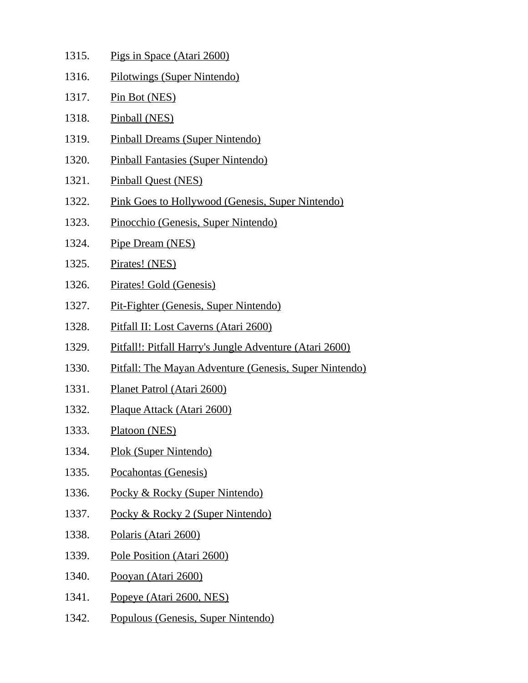| 1315. | Pigs in Space (Atari 2600)                                    |
|-------|---------------------------------------------------------------|
| 1316. | Pilotwings (Super Nintendo)                                   |
| 1317. | Pin Bot (NES)                                                 |
| 1318. | Pinball (NES)                                                 |
| 1319. | <b>Pinball Dreams (Super Nintendo)</b>                        |
| 1320. | Pinball Fantasies (Super Nintendo)                            |
| 1321. | <b>Pinball Quest (NES)</b>                                    |
| 1322. | <b>Pink Goes to Hollywood (Genesis, Super Nintendo)</b>       |
| 1323. | Pinocchio (Genesis, Super Nintendo)                           |
| 1324. | Pipe Dream (NES)                                              |
| 1325. | Pirates! (NES)                                                |
| 1326. | Pirates! Gold (Genesis)                                       |
| 1327. | Pit-Fighter (Genesis, Super Nintendo)                         |
| 1328. | Pitfall II: Lost Caverns (Atari 2600)                         |
| 1329. | Pitfall!: Pitfall Harry's Jungle Adventure (Atari 2600)       |
| 1330. | <b>Pitfall: The Mayan Adventure (Genesis, Super Nintendo)</b> |
| 1331. | Planet Patrol (Atari 2600)                                    |
| 1332. | Plaque Attack (Atari 2600)                                    |
| 1333. | Platoon (NES)                                                 |
| 1334. | Plok (Super Nintendo)                                         |
| 1335. | Pocahontas (Genesis)                                          |
| 1336. | Pocky & Rocky (Super Nintendo)                                |
| 1337. | Pocky & Rocky 2 (Super Nintendo)                              |
| 1338. | Polaris (Atari 2600)                                          |
| 1339. | Pole Position (Atari 2600)                                    |
| 1340. | Pooyan (Atari 2600)                                           |
| 1341. | Popeye (Atari 2600, NES)                                      |
| 1342. | Populous (Genesis, Super Nintendo)                            |
|       |                                                               |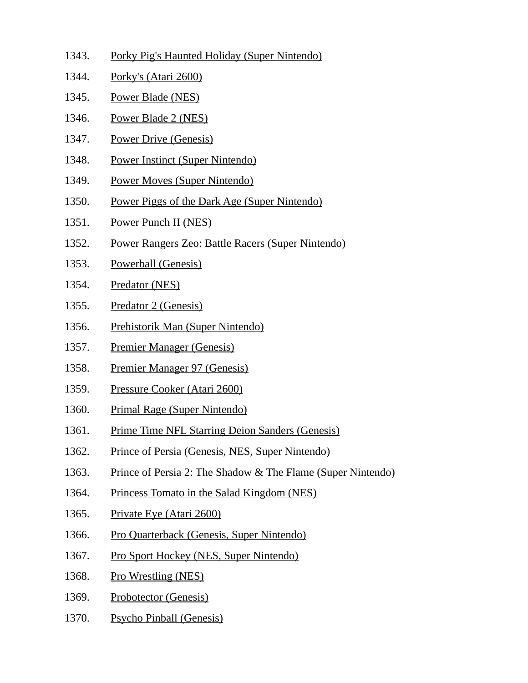- 1343. Porky Pig's Haunted Holiday (Super Nintendo)
- 1344. Porky's (Atari 2600)
- 1345. Power Blade (NES)
- 1346. Power Blade 2 (NES)
- 1347. Power Drive (Genesis)
- 1348. Power Instinct (Super Nintendo)
- 1349. Power Moves (Super Nintendo)
- 1350. Power Piggs of the Dark Age (Super Nintendo)
- 1351. Power Punch II (NES)
- 1352. Power Rangers Zeo: Battle Racers (Super Nintendo)
- 1353. Powerball (Genesis)
- 1354. Predator (NES)
- 1355. Predator 2 (Genesis)
- 1356. Prehistorik Man (Super Nintendo)
- 1357. Premier Manager (Genesis)
- 1358. Premier Manager 97 (Genesis)
- 1359. Pressure Cooker (Atari 2600)
- 1360. Primal Rage (Super Nintendo)
- 1361. Prime Time NFL Starring Deion Sanders (Genesis)
- 1362. Prince of Persia (Genesis, NES, Super Nintendo)
- 1363. Prince of Persia 2: The Shadow & The Flame (Super Nintendo)
- 1364. Princess Tomato in the Salad Kingdom (NES)
- 1365. Private Eye (Atari 2600)
- 1366. Pro Quarterback (Genesis, Super Nintendo)
- 1367. Pro Sport Hockey (NES, Super Nintendo)
- 1368. Pro Wrestling (NES)
- 1369. Probotector (Genesis)
- 1370. Psycho Pinball (Genesis)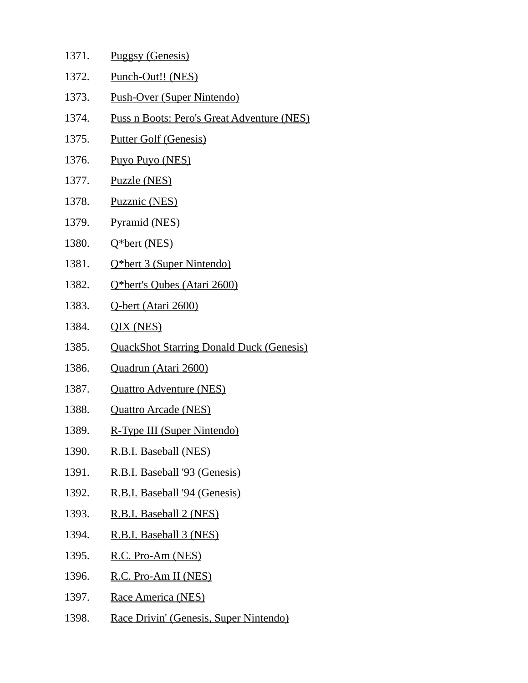| 1371. | <b>Puggsy (Genesis)</b> |
|-------|-------------------------|
|       |                         |

- 1372. Punch-Out!! (NES)
- 1373. Push-Over (Super Nintendo)
- 1374. Puss n Boots: Pero's Great Adventure (NES)
- 1375. Putter Golf (Genesis)
- 1376. Puyo Puyo (NES)
- 1377. Puzzle (NES)
- 1378. Puzznic (NES)
- 1379. Pyramid (NES)
- 1380. Q\*bert (NES)
- 1381. Q\*bert 3 (Super Nintendo)
- 1382. Q\*bert's Qubes (Atari 2600)
- 1383. Q-bert (Atari 2600)
- 1384. QIX (NES)
- 1385. QuackShot Starring Donald Duck (Genesis)
- 1386. Quadrun (Atari 2600)
- 1387. Quattro Adventure (NES)
- 1388. Quattro Arcade (NES)
- 1389. R-Type III (Super Nintendo)
- 1390. R.B.I. Baseball (NES)
- 1391. R.B.I. Baseball '93 (Genesis)
- 1392. R.B.I. Baseball '94 (Genesis)
- 1393. R.B.I. Baseball 2 (NES)
- 1394. R.B.I. Baseball 3 (NES)
- 1395. R.C. Pro-Am (NES)
- 1396. R.C. Pro-Am II (NES)
- 1397. Race America (NES)
- 1398. Race Drivin' (Genesis, Super Nintendo)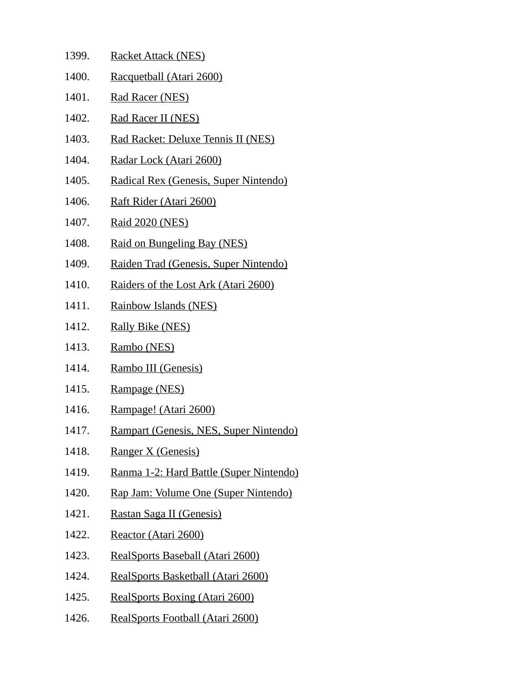- 1399. Racket Attack (NES) 1400. Racquetball (Atari 2600) 1401. Rad Racer (NES) 1402. Rad Racer II (NES) 1403. Rad Racket: Deluxe Tennis II (NES) 1404. Radar Lock (Atari 2600) 1405. Radical Rex (Genesis, Super Nintendo) 1406. Raft Rider (Atari 2600) 1407. Raid 2020 (NES) 1408. Raid on Bungeling Bay (NES) 1409. Raiden Trad (Genesis, Super Nintendo) 1410. Raiders of the Lost Ark (Atari 2600) 1411. Rainbow Islands (NES) 1412. Rally Bike (NES) 1413. Rambo (NES) 1414. Rambo III (Genesis) 1415. Rampage (NES) 1416. Rampage! (Atari 2600) 1417. Rampart (Genesis, NES, Super Nintendo) 1418. Ranger X (Genesis) 1419. Ranma 1-2: Hard Battle (Super Nintendo) 1420. Rap Jam: Volume One (Super Nintendo) 1421. Rastan Saga II (Genesis) 1422. Reactor (Atari 2600)
- 1423. RealSports Baseball (Atari 2600)
- 1424. RealSports Basketball (Atari 2600)
- 1425. RealSports Boxing (Atari 2600)
- 1426. RealSports Football (Atari 2600)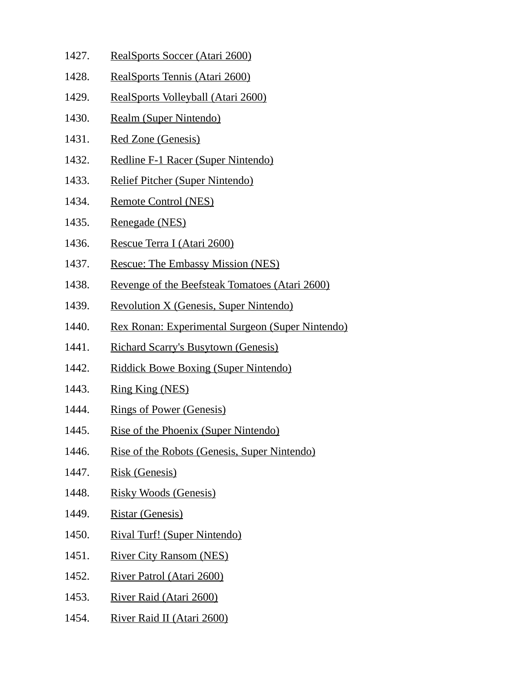- 1427. RealSports Soccer (Atari 2600)
- 1428. RealSports Tennis (Atari 2600)
- 1429. RealSports Volleyball (Atari 2600)
- 1430. Realm (Super Nintendo)
- 1431. Red Zone (Genesis)
- 1432. Redline F-1 Racer (Super Nintendo)
- 1433. Relief Pitcher (Super Nintendo)
- 1434. Remote Control (NES)
- 1435. Renegade (NES)
- 1436. Rescue Terra I (Atari 2600)
- 1437. Rescue: The Embassy Mission (NES)
- 1438. Revenge of the Beefsteak Tomatoes (Atari 2600)
- 1439. Revolution X (Genesis, Super Nintendo)
- 1440. Rex Ronan: Experimental Surgeon (Super Nintendo)
- 1441. Richard Scarry's Busytown (Genesis)
- 1442. Riddick Bowe Boxing (Super Nintendo)
- 1443. Ring King (NES)
- 1444. Rings of Power (Genesis)
- 1445. Rise of the Phoenix (Super Nintendo)
- 1446. Rise of the Robots (Genesis, Super Nintendo)
- 1447. Risk (Genesis)
- 1448. Risky Woods (Genesis)
- 1449. Ristar (Genesis)
- 1450. Rival Turf! (Super Nintendo)
- 1451. River City Ransom (NES)
- 1452. River Patrol (Atari 2600)
- 1453. River Raid (Atari 2600)
- 1454. River Raid II (Atari 2600)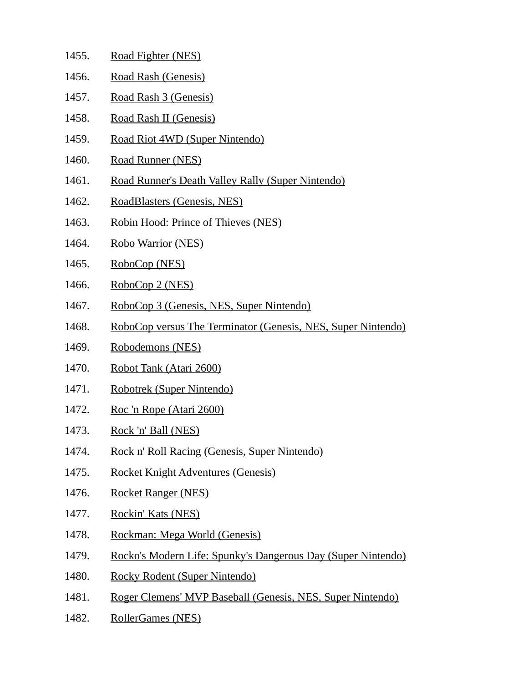| 1455. | Road Fighter (NES)                                           |
|-------|--------------------------------------------------------------|
| 1456. | Road Rash (Genesis)                                          |
| 1457. | Road Rash 3 (Genesis)                                        |
| 1458. | Road Rash II (Genesis)                                       |
| 1459. | Road Riot 4WD (Super Nintendo)                               |
| 1460. | Road Runner (NES)                                            |
| 1461. | Road Runner's Death Valley Rally (Super Nintendo)            |
| 1462. | RoadBlasters (Genesis, NES)                                  |
| 1463. | Robin Hood: Prince of Thieves (NES)                          |
| 1464. | Robo Warrior (NES)                                           |
| 1465. | RoboCop (NES)                                                |
| 1466. | RoboCop 2 (NES)                                              |
| 1467. | RoboCop 3 (Genesis, NES, Super Nintendo)                     |
| 1468. | RoboCop versus The Terminator (Genesis, NES, Super Nintendo) |
| 1469. | Robodemons (NES)                                             |
| 1470. | Robot Tank (Atari 2600)                                      |
| 1471. | Robotrek (Super Nintendo)                                    |
| 1472. | <u>Roc 'n Rope (Atari 2600)</u>                              |
| 1473. | Rock 'n' Ball (NES)                                          |
| 1474. | Rock n' Roll Racing (Genesis, Super Nintendo)                |
| 1475. | <b>Rocket Knight Adventures (Genesis)</b>                    |
| 1476. | <b>Rocket Ranger (NES)</b>                                   |
| 1477. | Rockin' Kats (NES)                                           |
| 1478. | Rockman: Mega World (Genesis)                                |
| 1479. | Rocko's Modern Life: Spunky's Dangerous Day (Super Nintendo) |
| 1480. | Rocky Rodent (Super Nintendo)                                |
| 1481. | Roger Clemens' MVP Baseball (Genesis, NES, Super Nintendo)   |
| 1482. | RollerGames (NES)                                            |
|       |                                                              |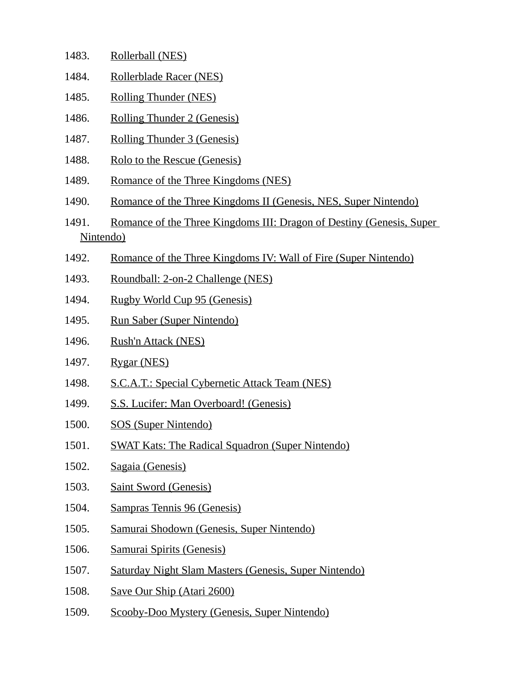| 1483.     | Rollerball (NES)                                                     |
|-----------|----------------------------------------------------------------------|
| 1484.     | Rollerblade Racer (NES)                                              |
| 1485.     | <b>Rolling Thunder (NES)</b>                                         |
| 1486.     | <b>Rolling Thunder 2 (Genesis)</b>                                   |
| 1487.     | Rolling Thunder 3 (Genesis)                                          |
| 1488.     | Rolo to the Rescue (Genesis)                                         |
| 1489.     | Romance of the Three Kingdoms (NES)                                  |
| 1490.     | Romance of the Three Kingdoms II (Genesis, NES, Super Nintendo)      |
| 1491.     | Romance of the Three Kingdoms III: Dragon of Destiny (Genesis, Super |
| Nintendo) |                                                                      |
| 1492.     | Romance of the Three Kingdoms IV: Wall of Fire (Super Nintendo)      |
| 1493.     | Roundball: 2-on-2 Challenge (NES)                                    |
| 1494.     | Rugby World Cup 95 (Genesis)                                         |
| 1495.     | <b>Run Saber (Super Nintendo)</b>                                    |
| 1496.     | <b>Rush'n Attack (NES)</b>                                           |
| 1497.     | Rygar (NES)                                                          |
| 1498.     | <b>S.C.A.T.: Special Cybernetic Attack Team (NES)</b>                |
| 1499.     | <b>S.S. Lucifer: Man Overboard! (Genesis)</b>                        |
| 1500.     | <b>SOS (Super Nintendo)</b>                                          |
| 1501.     | <b>SWAT Kats: The Radical Squadron (Super Nintendo)</b>              |
| 1502.     | Sagaia (Genesis)                                                     |
| 1503.     | <b>Saint Sword (Genesis)</b>                                         |
| 1504.     | <b>Sampras Tennis 96 (Genesis)</b>                                   |
| 1505.     | Samurai Shodown (Genesis, Super Nintendo)                            |

- 1506. Samurai Spirits (Genesis)
- 1507. Saturday Night Slam Masters (Genesis, Super Nintendo)
- 1508. Save Our Ship (Atari 2600)
- 1509. Scooby-Doo Mystery (Genesis, Super Nintendo)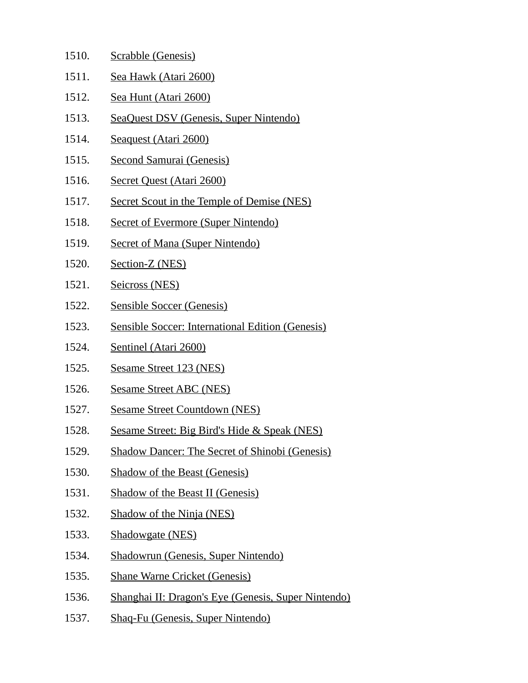| Scrabble (Genesis)                                      |
|---------------------------------------------------------|
| Sea Hawk (Atari 2600)                                   |
| Sea Hunt (Atari 2600)                                   |
| SeaQuest DSV (Genesis, Super Nintendo)                  |
| Seaquest (Atari 2600)                                   |
| <b>Second Samurai (Genesis)</b>                         |
| Secret Quest (Atari 2600)                               |
| <b>Secret Scout in the Temple of Demise (NES)</b>       |
| <b>Secret of Evermore (Super Nintendo)</b>              |
| <b>Secret of Mana (Super Nintendo)</b>                  |
| Section-Z (NES)                                         |
| <b>Seicross (NES)</b>                                   |
| <b>Sensible Soccer (Genesis)</b>                        |
| <b>Sensible Soccer: International Edition (Genesis)</b> |
| Sentinel (Atari 2600)                                   |
| Sesame Street 123 (NES)                                 |
| <b>Sesame Street ABC (NES)</b>                          |
| <b>Sesame Street Countdown (NES)</b>                    |
| Sesame Street: Big Bird's Hide & Speak (NES)            |
| <b>Shadow Dancer: The Secret of Shinobi (Genesis)</b>   |
| <b>Shadow of the Beast (Genesis)</b>                    |
| <b>Shadow of the Beast II (Genesis)</b>                 |
| <b>Shadow of the Ninja (NES)</b>                        |
| <b>Shadowgate (NES)</b>                                 |
| <b>Shadowrun (Genesis, Super Nintendo)</b>              |
| <b>Shane Warne Cricket (Genesis)</b>                    |
| Shanghai II: Dragon's Eye (Genesis, Super Nintendo)     |
| <b>Shaq-Fu (Genesis, Super Nintendo)</b>                |
|                                                         |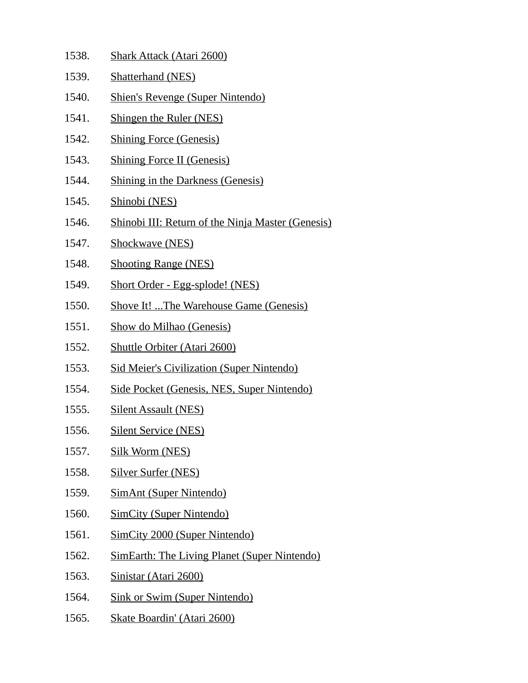| 1538. | <b>Shark Attack (Atari 2600)</b>                         |
|-------|----------------------------------------------------------|
| 1539. | <b>Shatterhand (NES)</b>                                 |
| 1540. | <b>Shien's Revenge (Super Nintendo)</b>                  |
| 1541. | <b>Shingen the Ruler (NES)</b>                           |
| 1542. | <b>Shining Force (Genesis)</b>                           |
| 1543. | <b>Shining Force II (Genesis)</b>                        |
| 1544. | <b>Shining in the Darkness (Genesis)</b>                 |
| 1545. | Shinobi (NES)                                            |
| 1546. | <b>Shinobi III: Return of the Ninja Master (Genesis)</b> |
| 1547. | Shockwave (NES)                                          |
| 1548. | <b>Shooting Range (NES)</b>                              |
| 1549. | <b>Short Order - Egg-splode! (NES)</b>                   |
| 1550. | <b>Shove It! The Warehouse Game (Genesis)</b>            |
| 1551. | Show do Milhao (Genesis)                                 |
| 1552. | <b>Shuttle Orbiter (Atari 2600)</b>                      |
| 1553. | <b>Sid Meier's Civilization (Super Nintendo)</b>         |
| 1554. | Side Pocket (Genesis, NES, Super Nintendo)               |
| 1555. | <b>Silent Assault (NES)</b>                              |
| 1556. | <b>Silent Service (NES)</b>                              |
| 1557. | <b>Silk Worm (NES)</b>                                   |
| 1558. | <b>Silver Surfer (NES)</b>                               |
| 1559. | <b>SimAnt (Super Nintendo)</b>                           |
| 1560. | <b>SimCity (Super Nintendo)</b>                          |
| 1561. | <b>SimCity 2000 (Super Nintendo)</b>                     |
| 1562. | <b>SimEarth: The Living Planet (Super Nintendo)</b>      |
| 1563. | Sinistar (Atari 2600)                                    |
| 1564. | <b>Sink or Swim (Super Nintendo)</b>                     |
| 1565. | <b>Skate Boardin' (Atari 2600)</b>                       |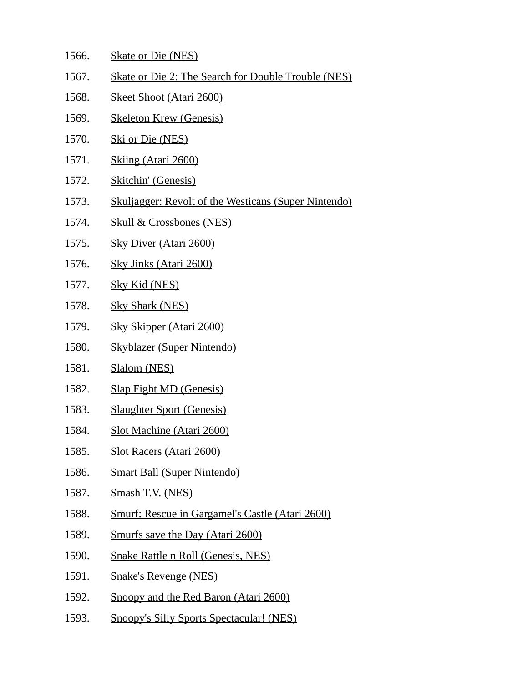- 1566. Skate or Die (NES)
- 1567. Skate or Die 2: The Search for Double Trouble (NES)
- 1568. Skeet Shoot (Atari 2600)
- 1569. Skeleton Krew (Genesis)
- 1570. Ski or Die (NES)
- 1571. Skiing (Atari 2600)
- 1572. Skitchin' (Genesis)
- 1573. Skuljagger: Revolt of the Westicans (Super Nintendo)
- 1574. Skull & Crossbones (NES)
- 1575. Sky Diver (Atari 2600)
- 1576. Sky Jinks (Atari 2600)
- 1577. Sky Kid (NES)
- 1578. Sky Shark (NES)
- 1579. Sky Skipper (Atari 2600)
- 1580. Skyblazer (Super Nintendo)
- 1581. Slalom (NES)
- 1582. Slap Fight MD (Genesis)
- 1583. Slaughter Sport (Genesis)
- 1584. Slot Machine (Atari 2600)
- 1585. Slot Racers (Atari 2600)
- 1586. Smart Ball (Super Nintendo)
- 1587. Smash T.V. (NES)
- 1588. Smurf: Rescue in Gargamel's Castle (Atari 2600)
- 1589. Smurfs save the Day (Atari 2600)
- 1590. Snake Rattle n Roll (Genesis, NES)
- 1591. Snake's Revenge (NES)
- 1592. Snoopy and the Red Baron (Atari 2600)
- 1593. Snoopy's Silly Sports Spectacular! (NES)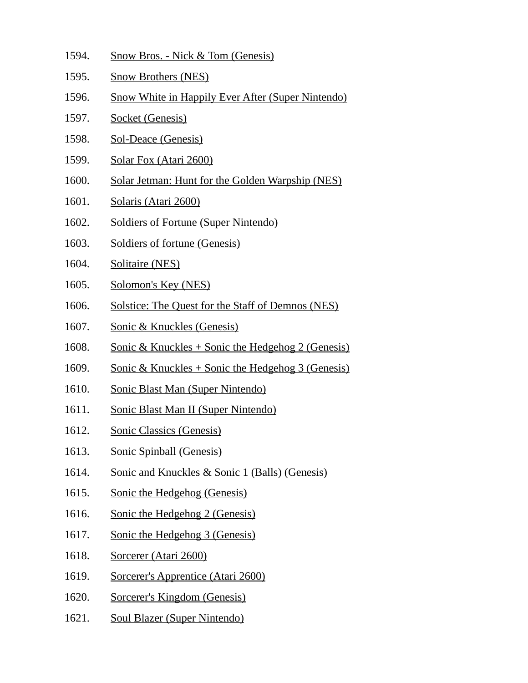| 1594. | <b>Snow Bros. - Nick &amp; Tom (Genesis)</b>             |
|-------|----------------------------------------------------------|
| 1595. | <b>Snow Brothers (NES)</b>                               |
| 1596. | <b>Snow White in Happily Ever After (Super Nintendo)</b> |
| 1597. | <b>Socket (Genesis)</b>                                  |
| 1598. | <b>Sol-Deace (Genesis)</b>                               |
| 1599. | Solar Fox (Atari 2600)                                   |
| 1600. | Solar Jetman: Hunt for the Golden Warpship (NES)         |
| 1601. | Solaris (Atari 2600)                                     |
| 1602. | <b>Soldiers of Fortune (Super Nintendo)</b>              |
| 1603. | <b>Soldiers of fortune (Genesis)</b>                     |
| 1604. | Solitaire (NES)                                          |
| 1605. | Solomon's Key (NES)                                      |
| 1606. | Solstice: The Quest for the Staff of Demnos (NES)        |
| 1607. | <b>Sonic &amp; Knuckles (Genesis)</b>                    |
| 1608. | Sonic & Knuckles + Sonic the Hedgehog 2 (Genesis)        |
| 1609. | Sonic & Knuckles + Sonic the Hedgehog 3 (Genesis)        |
| 1610. | <b>Sonic Blast Man (Super Nintendo)</b>                  |
| 1611. | <b>Sonic Blast Man II (Super Nintendo)</b>               |
| 1612  | <b>Sonic Classics (Genesis)</b>                          |
| 1613. | <b>Sonic Spinball (Genesis)</b>                          |
| 1614. | Sonic and Knuckles & Sonic 1 (Balls) (Genesis)           |
| 1615. | <b>Sonic the Hedgehog (Genesis)</b>                      |
| 1616. | Sonic the Hedgehog 2 (Genesis)                           |
| 1617. | Sonic the Hedgehog 3 (Genesis)                           |
| 1618. | Sorcerer (Atari 2600)                                    |
| 1619. | Sorcerer's Apprentice (Atari 2600)                       |
| 1620. | <b>Sorcerer's Kingdom (Genesis)</b>                      |
| 1621. | <b>Soul Blazer (Super Nintendo)</b>                      |
|       |                                                          |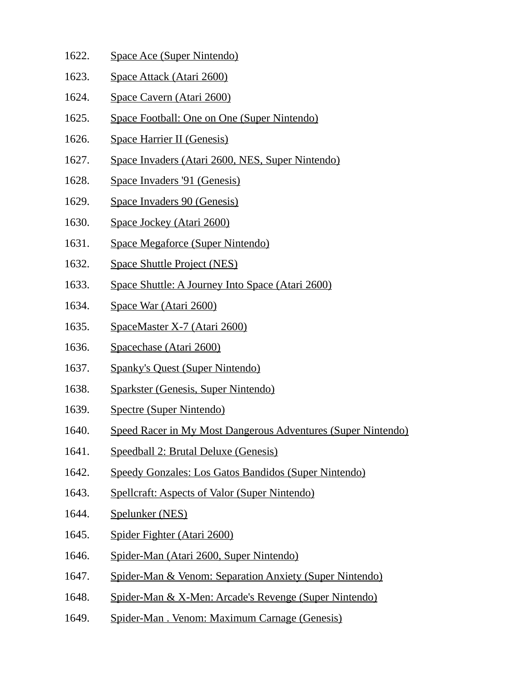- 1622. Space Ace (Super Nintendo)
- 1623. Space Attack (Atari 2600)
- 1624. Space Cavern (Atari 2600)
- 1625. Space Football: One on One (Super Nintendo)
- 1626. Space Harrier II (Genesis)
- 1627. Space Invaders (Atari 2600, NES, Super Nintendo)
- 1628. Space Invaders '91 (Genesis)
- 1629. Space Invaders 90 (Genesis)
- 1630. Space Jockey (Atari 2600)
- 1631. Space Megaforce (Super Nintendo)
- 1632. Space Shuttle Project (NES)
- 1633. Space Shuttle: A Journey Into Space (Atari 2600)
- 1634. Space War (Atari 2600)
- 1635. SpaceMaster X-7 (Atari 2600)
- 1636. Spacechase (Atari 2600)
- 1637. Spanky's Quest (Super Nintendo)
- 1638. Sparkster (Genesis, Super Nintendo)
- 1639. Spectre (Super Nintendo)
- 1640. Speed Racer in My Most Dangerous Adventures (Super Nintendo)
- 1641. Speedball 2: Brutal Deluxe (Genesis)
- 1642. Speedy Gonzales: Los Gatos Bandidos (Super Nintendo)
- 1643. Spellcraft: Aspects of Valor (Super Nintendo)
- 1644. Spelunker (NES)
- 1645. Spider Fighter (Atari 2600)
- 1646. Spider-Man (Atari 2600, Super Nintendo)
- 1647. Spider-Man & Venom: Separation Anxiety (Super Nintendo)
- 1648. Spider-Man & X-Men: Arcade's Revenge (Super Nintendo)
- 1649. Spider-Man . Venom: Maximum Carnage (Genesis)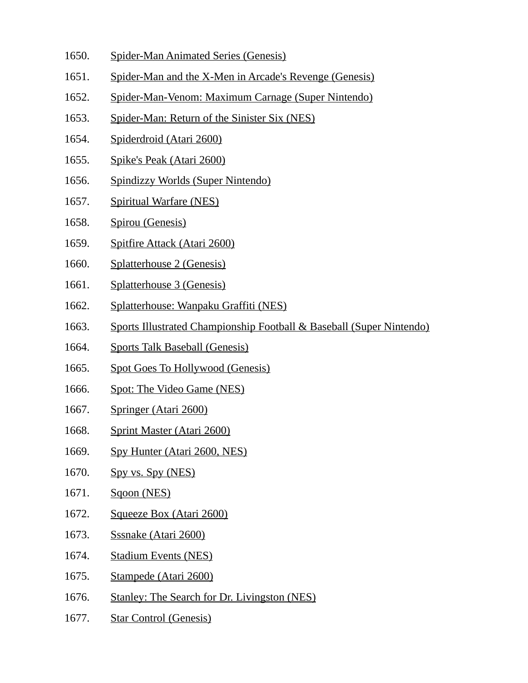- 1650. Spider-Man Animated Series (Genesis)
- 1651. Spider-Man and the X-Men in Arcade's Revenge (Genesis)
- 1652. Spider-Man-Venom: Maximum Carnage (Super Nintendo)
- 1653. Spider-Man: Return of the Sinister Six (NES)
- 1654. Spiderdroid (Atari 2600)
- 1655. Spike's Peak (Atari 2600)
- 1656. Spindizzy Worlds (Super Nintendo)
- 1657. Spiritual Warfare (NES)
- 1658. Spirou (Genesis)
- 1659. Spitfire Attack (Atari 2600)
- 1660. Splatterhouse 2 (Genesis)
- 1661. Splatterhouse 3 (Genesis)
- 1662. Splatterhouse: Wanpaku Graffiti (NES)
- 1663. Sports Illustrated Championship Football & Baseball (Super Nintendo)
- 1664. Sports Talk Baseball (Genesis)
- 1665. Spot Goes To Hollywood (Genesis)
- 1666. Spot: The Video Game (NES)
- 1667. Springer (Atari 2600)
- 1668. Sprint Master (Atari 2600)
- 1669. Spy Hunter (Atari 2600, NES)
- 1670. Spy vs. Spy (NES)
- 1671. Sqoon (NES)
- 1672. Squeeze Box (Atari 2600)
- 1673. Sssnake (Atari 2600)
- 1674. Stadium Events (NES)
- 1675. Stampede (Atari 2600)
- 1676. Stanley: The Search for Dr. Livingston (NES)
- 1677. Star Control (Genesis)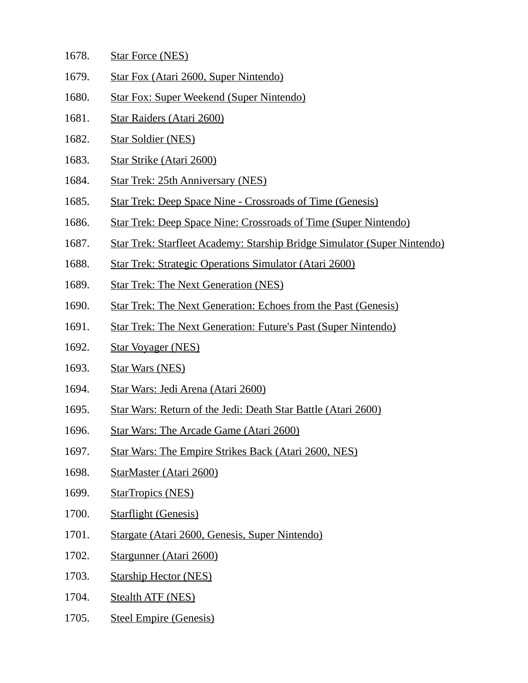- 1678. Star Force (NES)
- 1679. Star Fox (Atari 2600, Super Nintendo)
- 1680. Star Fox: Super Weekend (Super Nintendo)
- 1681. Star Raiders (Atari 2600)
- 1682. Star Soldier (NES)
- 1683. Star Strike (Atari 2600)
- 1684. Star Trek: 25th Anniversary (NES)
- 1685. Star Trek: Deep Space Nine Crossroads of Time (Genesis)
- 1686. Star Trek: Deep Space Nine: Crossroads of Time (Super Nintendo)
- 1687. Star Trek: Starfleet Academy: Starship Bridge Simulator (Super Nintendo)
- 1688. Star Trek: Strategic Operations Simulator (Atari 2600)
- 1689. Star Trek: The Next Generation (NES)
- 1690. Star Trek: The Next Generation: Echoes from the Past (Genesis)
- 1691. Star Trek: The Next Generation: Future's Past (Super Nintendo)
- 1692. Star Voyager (NES)
- 1693. Star Wars (NES)
- 1694. Star Wars: Jedi Arena (Atari 2600)
- 1695. Star Wars: Return of the Jedi: Death Star Battle (Atari 2600)
- 1696. Star Wars: The Arcade Game (Atari 2600)
- 1697. Star Wars: The Empire Strikes Back (Atari 2600, NES)
- 1698. StarMaster (Atari 2600)
- 1699. StarTropics (NES)
- 1700. Starflight (Genesis)
- 1701. Stargate (Atari 2600, Genesis, Super Nintendo)
- 1702. Stargunner (Atari 2600)
- 1703. Starship Hector (NES)
- 1704. Stealth ATF (NES)
- 1705. Steel Empire (Genesis)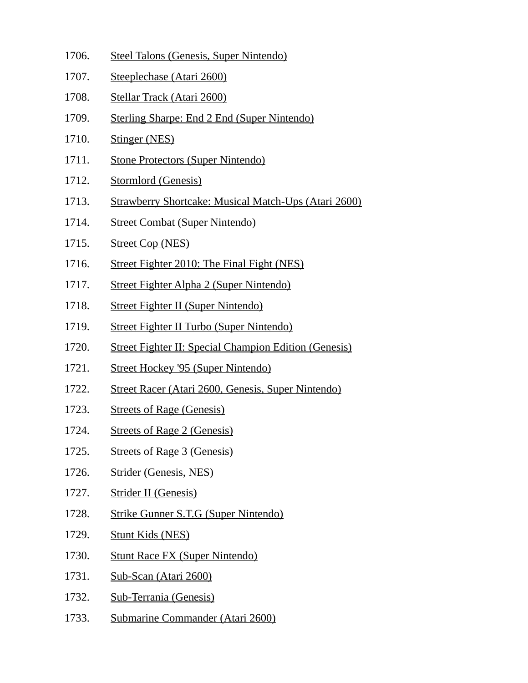1706. Steel Talons (Genesis, Super Nintendo) 1707. Steeplechase (Atari 2600) 1708. Stellar Track (Atari 2600) 1709. Sterling Sharpe: End 2 End (Super Nintendo) 1710. Stinger (NES) 1711. Stone Protectors (Super Nintendo) 1712. Stormlord (Genesis) 1713. Strawberry Shortcake: Musical Match-Ups (Atari 2600) 1714. Street Combat (Super Nintendo) 1715. Street Cop (NES) 1716. Street Fighter 2010: The Final Fight (NES) 1717. Street Fighter Alpha 2 (Super Nintendo) 1718. Street Fighter II (Super Nintendo) 1719. Street Fighter II Turbo (Super Nintendo) 1720. Street Fighter II: Special Champion Edition (Genesis) 1721. Street Hockey '95 (Super Nintendo) 1722. Street Racer (Atari 2600, Genesis, Super Nintendo) 1723. Streets of Rage (Genesis) 1724. Streets of Rage 2 (Genesis) 1725. Streets of Rage 3 (Genesis) 1726. Strider (Genesis, NES) 1727. Strider II (Genesis) 1728. Strike Gunner S.T.G (Super Nintendo) 1729. Stunt Kids (NES) 1730. Stunt Race FX (Super Nintendo) 1731. Sub-Scan (Atari 2600) 1732. Sub-Terrania (Genesis) 1733. Submarine Commander (Atari 2600)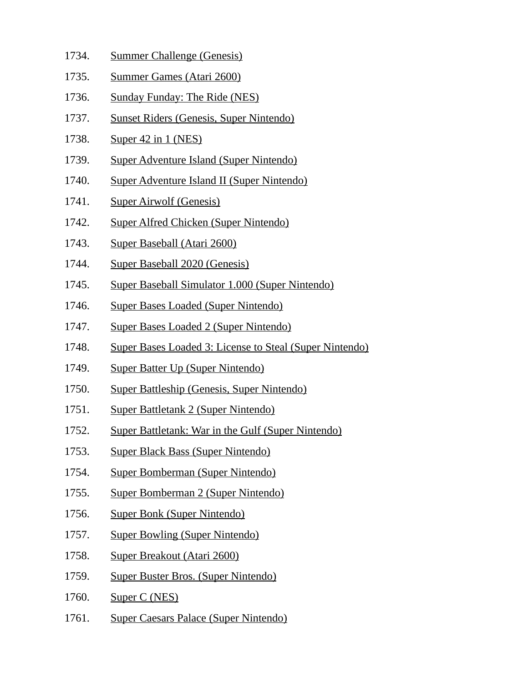- 1734. Summer Challenge (Genesis)
- 1735. Summer Games (Atari 2600)
- 1736. Sunday Funday: The Ride (NES)
- 1737. Sunset Riders (Genesis, Super Nintendo)
- 1738. Super 42 in 1 (NES)
- 1739. Super Adventure Island (Super Nintendo)
- 1740. Super Adventure Island II (Super Nintendo)
- 1741. Super Airwolf (Genesis)
- 1742. Super Alfred Chicken (Super Nintendo)
- 1743. Super Baseball (Atari 2600)
- 1744. Super Baseball 2020 (Genesis)
- 1745. Super Baseball Simulator 1.000 (Super Nintendo)
- 1746. Super Bases Loaded (Super Nintendo)
- 1747. Super Bases Loaded 2 (Super Nintendo)
- 1748. Super Bases Loaded 3: License to Steal (Super Nintendo)
- 1749. Super Batter Up (Super Nintendo)
- 1750. Super Battleship (Genesis, Super Nintendo)
- 1751. Super Battletank 2 (Super Nintendo)
- 1752. Super Battletank: War in the Gulf (Super Nintendo)
- 1753. Super Black Bass (Super Nintendo)
- 1754. Super Bomberman (Super Nintendo)
- 1755. Super Bomberman 2 (Super Nintendo)
- 1756. Super Bonk (Super Nintendo)
- 1757. Super Bowling (Super Nintendo)
- 1758. Super Breakout (Atari 2600)
- 1759. Super Buster Bros. (Super Nintendo)
- 1760. Super C (NES)
- 1761. Super Caesars Palace (Super Nintendo)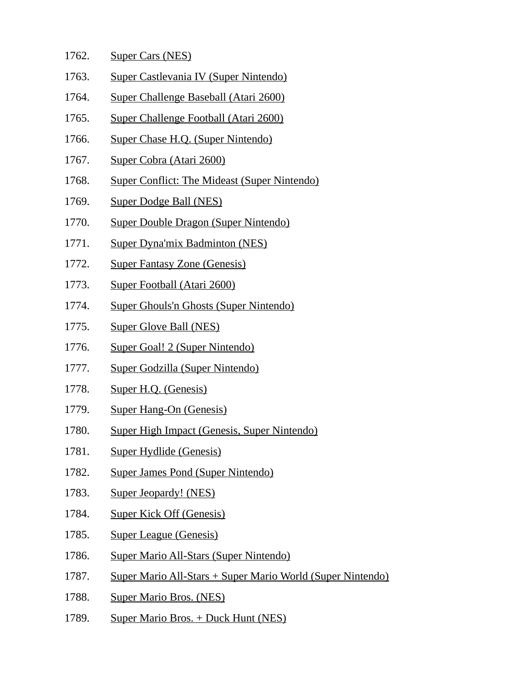| 1762. | <b>Super Cars (NES)</b>                                            |
|-------|--------------------------------------------------------------------|
| 1763. | Super Castlevania IV (Super Nintendo)                              |
| 1764. | Super Challenge Baseball (Atari 2600)                              |
| 1765. | Super Challenge Football (Atari 2600)                              |
| 1766. | Super Chase H.Q. (Super Nintendo)                                  |
| 1767. | Super Cobra (Atari 2600)                                           |
| 1768. | <b>Super Conflict: The Mideast (Super Nintendo)</b>                |
| 1769. | <b>Super Dodge Ball (NES)</b>                                      |
| 1770. | <b>Super Double Dragon (Super Nintendo)</b>                        |
| 1771. | <b>Super Dyna'mix Badminton (NES)</b>                              |
| 1772. | <b>Super Fantasy Zone (Genesis)</b>                                |
| 1773. | <b>Super Football (Atari 2600)</b>                                 |
| 1774. | <b>Super Ghouls'n Ghosts (Super Nintendo)</b>                      |
| 1775. | <b>Super Glove Ball (NES)</b>                                      |
| 1776. | Super Goal! 2 (Super Nintendo)                                     |
| 1777. | Super Godzilla (Super Nintendo)                                    |
| 1778. | Super H.Q. (Genesis)                                               |
| 1779. | <b>Super Hang-On (Genesis)</b>                                     |
| 1780. | Super High Impact (Genesis, Super Nintendo)                        |
| 1781. | <b>Super Hydlide (Genesis)</b>                                     |
| 1782. | <b>Super James Pond (Super Nintendo)</b>                           |
| 1783. | <b>Super Jeopardy! (NES)</b>                                       |
| 1784. | <b>Super Kick Off (Genesis)</b>                                    |
| 1785. | <b>Super League (Genesis)</b>                                      |
| 1786. | <b>Super Mario All-Stars (Super Nintendo)</b>                      |
| 1787. | <u> Super Mario All-Stars + Super Mario World (Super Nintendo)</u> |
| 1788. | <b>Super Mario Bros. (NES)</b>                                     |
| 1789. | Super Mario Bros. + Duck Hunt (NES)                                |
|       |                                                                    |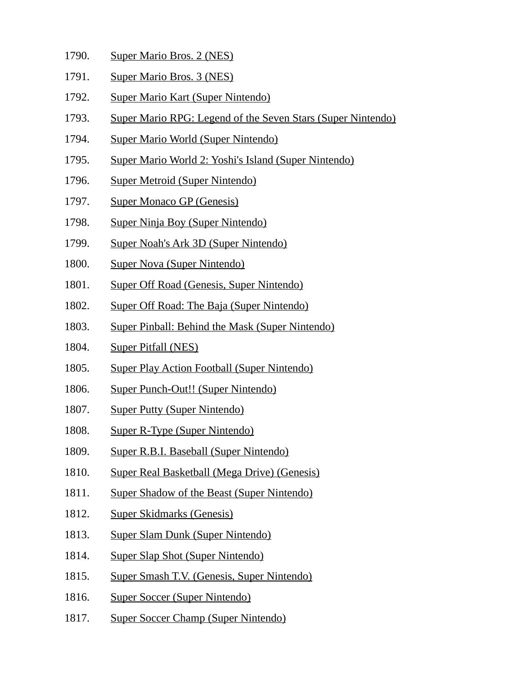- 1790. Super Mario Bros. 2 (NES)
- 1791. Super Mario Bros. 3 (NES)
- 1792. Super Mario Kart (Super Nintendo)
- 1793. Super Mario RPG: Legend of the Seven Stars (Super Nintendo)
- 1794. Super Mario World (Super Nintendo)
- 1795. Super Mario World 2: Yoshi's Island (Super Nintendo)
- 1796. Super Metroid (Super Nintendo)
- 1797. Super Monaco GP (Genesis)
- 1798. Super Ninja Boy (Super Nintendo)
- 1799. Super Noah's Ark 3D (Super Nintendo)
- 1800. Super Nova (Super Nintendo)
- 1801. Super Off Road (Genesis, Super Nintendo)
- 1802. Super Off Road: The Baja (Super Nintendo)
- 1803. Super Pinball: Behind the Mask (Super Nintendo)
- 1804. Super Pitfall (NES)
- 1805. Super Play Action Football (Super Nintendo)
- 1806. Super Punch-Out!! (Super Nintendo)
- 1807. Super Putty (Super Nintendo)
- 1808. Super R-Type (Super Nintendo)
- 1809. Super R.B.I. Baseball (Super Nintendo)
- 1810. Super Real Basketball (Mega Drive) (Genesis)
- 1811. Super Shadow of the Beast (Super Nintendo)
- 1812. Super Skidmarks (Genesis)
- 1813. Super Slam Dunk (Super Nintendo)
- 1814. Super Slap Shot (Super Nintendo)
- 1815. Super Smash T.V. (Genesis, Super Nintendo)
- 1816. Super Soccer (Super Nintendo)
- 1817. Super Soccer Champ (Super Nintendo)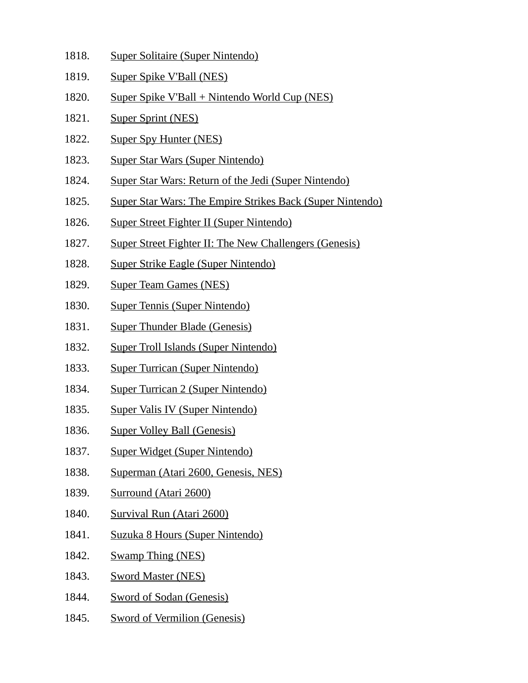- 1818. Super Solitaire (Super Nintendo)
- 1819. Super Spike V'Ball (NES)
- 1820. Super Spike V'Ball + Nintendo World Cup (NES)
- 1821. Super Sprint (NES)
- 1822. Super Spy Hunter (NES)
- 1823. Super Star Wars (Super Nintendo)
- 1824. Super Star Wars: Return of the Jedi (Super Nintendo)
- 1825. Super Star Wars: The Empire Strikes Back (Super Nintendo)
- 1826. Super Street Fighter II (Super Nintendo)
- 1827. Super Street Fighter II: The New Challengers (Genesis)
- 1828. Super Strike Eagle (Super Nintendo)
- 1829. Super Team Games (NES)
- 1830. Super Tennis (Super Nintendo)
- 1831. Super Thunder Blade (Genesis)
- 1832. Super Troll Islands (Super Nintendo)
- 1833. Super Turrican (Super Nintendo)
- 1834. Super Turrican 2 (Super Nintendo)
- 1835. Super Valis IV (Super Nintendo)
- 1836. Super Volley Ball (Genesis)
- 1837. Super Widget (Super Nintendo)
- 1838. Superman (Atari 2600, Genesis, NES)
- 1839. Surround (Atari 2600)
- 1840. Survival Run (Atari 2600)
- 1841. Suzuka 8 Hours (Super Nintendo)
- 1842. Swamp Thing (NES)
- 1843. Sword Master (NES)
- 1844. Sword of Sodan (Genesis)
- 1845. Sword of Vermilion (Genesis)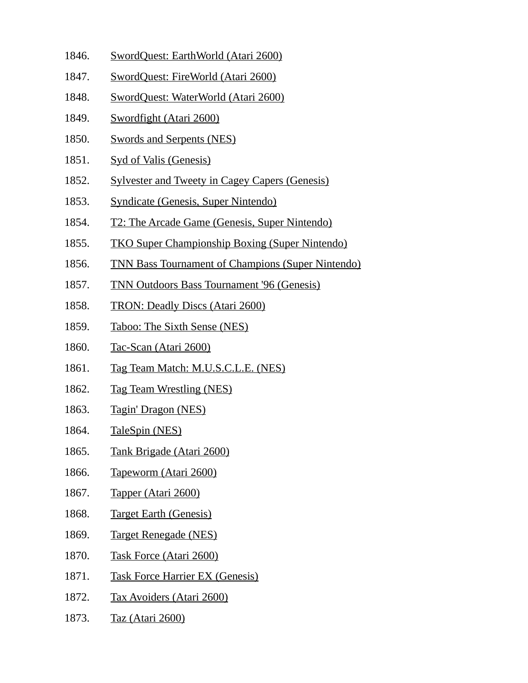- 1846. SwordQuest: EarthWorld (Atari 2600)
- 1847. SwordQuest: FireWorld (Atari 2600)
- 1848. SwordQuest: WaterWorld (Atari 2600)
- 1849. Swordfight (Atari 2600)
- 1850. Swords and Serpents (NES)
- 1851. Syd of Valis (Genesis)
- 1852. Sylvester and Tweety in Cagey Capers (Genesis)
- 1853. Syndicate (Genesis, Super Nintendo)
- 1854. T2: The Arcade Game (Genesis, Super Nintendo)
- 1855. TKO Super Championship Boxing (Super Nintendo)
- 1856. TNN Bass Tournament of Champions (Super Nintendo)
- 1857. TNN Outdoors Bass Tournament '96 (Genesis)
- 1858. TRON: Deadly Discs (Atari 2600)
- 1859. Taboo: The Sixth Sense (NES)
- 1860. Tac-Scan (Atari 2600)
- 1861. Tag Team Match: M.U.S.C.L.E. (NES)
- 1862. Tag Team Wrestling (NES)
- 1863. Tagin' Dragon (NES)
- 1864. TaleSpin (NES)
- 1865. Tank Brigade (Atari 2600)
- 1866. Tapeworm (Atari 2600)
- 1867. Tapper (Atari 2600)
- 1868. Target Earth (Genesis)
- 1869. Target Renegade (NES)
- 1870. Task Force (Atari 2600)
- 1871. Task Force Harrier EX (Genesis)
- 1872. Tax Avoiders (Atari 2600)
- 1873. Taz (Atari 2600)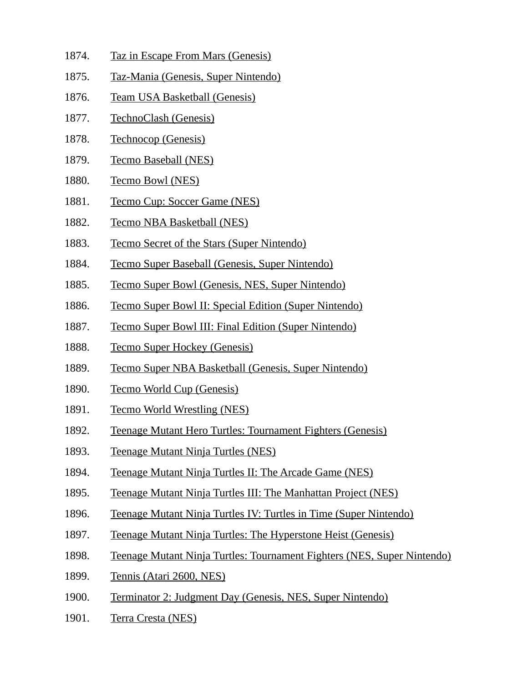- 1874. Taz in Escape From Mars (Genesis)
- 1875. Taz-Mania (Genesis, Super Nintendo)
- 1876. Team USA Basketball (Genesis)
- 1877. TechnoClash (Genesis)
- 1878. Technocop (Genesis)
- 1879. Tecmo Baseball (NES)
- 1880. Tecmo Bowl (NES)
- 1881. Tecmo Cup: Soccer Game (NES)
- 1882. Tecmo NBA Basketball (NES)
- 1883. Tecmo Secret of the Stars (Super Nintendo)
- 1884. Tecmo Super Baseball (Genesis, Super Nintendo)
- 1885. Tecmo Super Bowl (Genesis, NES, Super Nintendo)
- 1886. Tecmo Super Bowl II: Special Edition (Super Nintendo)
- 1887. Tecmo Super Bowl III: Final Edition (Super Nintendo)
- 1888. Tecmo Super Hockey (Genesis)
- 1889. Tecmo Super NBA Basketball (Genesis, Super Nintendo)
- 1890. Tecmo World Cup (Genesis)
- 1891. Tecmo World Wrestling (NES)
- 1892. Teenage Mutant Hero Turtles: Tournament Fighters (Genesis)
- 1893. Teenage Mutant Ninja Turtles (NES)
- 1894. Teenage Mutant Ninja Turtles II: The Arcade Game (NES)
- 1895. Teenage Mutant Ninja Turtles III: The Manhattan Project (NES)
- 1896. Teenage Mutant Ninja Turtles IV: Turtles in Time (Super Nintendo)
- 1897. Teenage Mutant Ninja Turtles: The Hyperstone Heist (Genesis)
- 1898. Teenage Mutant Ninja Turtles: Tournament Fighters (NES, Super Nintendo)
- 1899. Tennis (Atari 2600, NES)
- 1900. Terminator 2: Judgment Day (Genesis, NES, Super Nintendo)
- 1901. Terra Cresta (NES)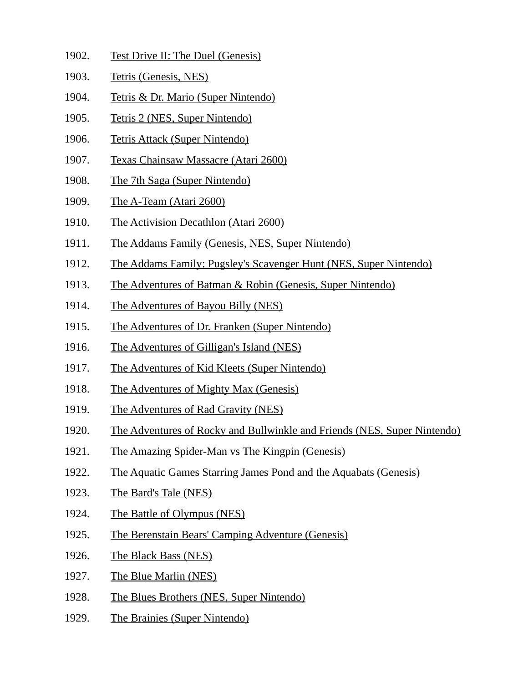- 1902. Test Drive II: The Duel (Genesis)
- 1903. Tetris (Genesis, NES)
- 1904. Tetris & Dr. Mario (Super Nintendo)
- 1905. Tetris 2 (NES, Super Nintendo)
- 1906. Tetris Attack (Super Nintendo)
- 1907. Texas Chainsaw Massacre (Atari 2600)
- 1908. The 7th Saga (Super Nintendo)
- 1909. The A-Team (Atari 2600)
- 1910. The Activision Decathlon (Atari 2600)
- 1911. The Addams Family (Genesis, NES, Super Nintendo)
- 1912. The Addams Family: Pugsley's Scavenger Hunt (NES, Super Nintendo)
- 1913. The Adventures of Batman & Robin (Genesis, Super Nintendo)
- 1914. The Adventures of Bayou Billy (NES)
- 1915. The Adventures of Dr. Franken (Super Nintendo)
- 1916. The Adventures of Gilligan's Island (NES)
- 1917. The Adventures of Kid Kleets (Super Nintendo)
- 1918. The Adventures of Mighty Max (Genesis)
- 1919. The Adventures of Rad Gravity (NES)
- 1920. The Adventures of Rocky and Bullwinkle and Friends (NES, Super Nintendo)
- 1921. The Amazing Spider-Man vs The Kingpin (Genesis)
- 1922. The Aquatic Games Starring James Pond and the Aquabats (Genesis)
- 1923. The Bard's Tale (NES)
- 1924. The Battle of Olympus (NES)
- 1925. The Berenstain Bears' Camping Adventure (Genesis)
- 1926. The Black Bass (NES)
- 1927. The Blue Marlin (NES)
- 1928. The Blues Brothers (NES, Super Nintendo)
- 1929. The Brainies (Super Nintendo)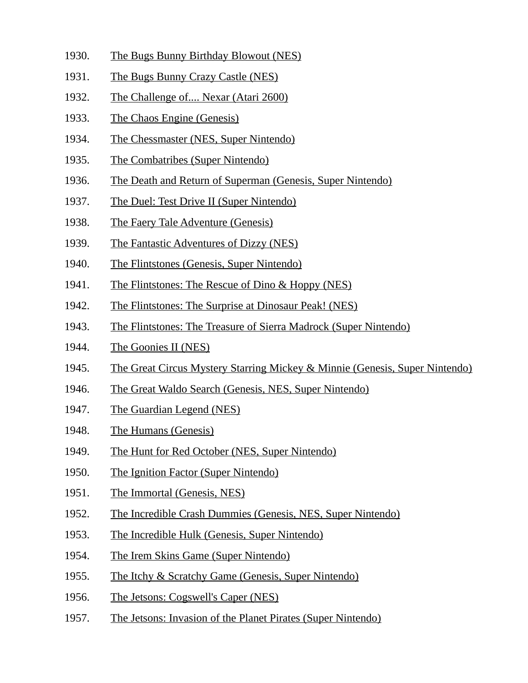- 1930. The Bugs Bunny Birthday Blowout (NES)
- 1931. The Bugs Bunny Crazy Castle (NES)
- 1932. The Challenge of.... Nexar (Atari 2600)
- 1933. The Chaos Engine (Genesis)
- 1934. The Chessmaster (NES, Super Nintendo)
- 1935. The Combatribes (Super Nintendo)
- 1936. The Death and Return of Superman (Genesis, Super Nintendo)
- 1937. The Duel: Test Drive II (Super Nintendo)
- 1938. The Faery Tale Adventure (Genesis)
- 1939. The Fantastic Adventures of Dizzy (NES)
- 1940. The Flintstones (Genesis, Super Nintendo)
- 1941. The Flintstones: The Rescue of Dino & Hoppy (NES)
- 1942. The Flintstones: The Surprise at Dinosaur Peak! (NES)
- 1943. The Flintstones: The Treasure of Sierra Madrock (Super Nintendo)
- 1944. The Goonies II (NES)
- 1945. The Great Circus Mystery Starring Mickey & Minnie (Genesis, Super Nintendo)
- 1946. The Great Waldo Search (Genesis, NES, Super Nintendo)
- 1947. The Guardian Legend (NES)
- 1948. The Humans (Genesis)
- 1949. The Hunt for Red October (NES, Super Nintendo)
- 1950. The Ignition Factor (Super Nintendo)
- 1951. The Immortal (Genesis, NES)
- 1952. The Incredible Crash Dummies (Genesis, NES, Super Nintendo)
- 1953. The Incredible Hulk (Genesis, Super Nintendo)
- 1954. The Irem Skins Game (Super Nintendo)
- 1955. The Itchy & Scratchy Game (Genesis, Super Nintendo)
- 1956. The Jetsons: Cogswell's Caper (NES)
- 1957. The Jetsons: Invasion of the Planet Pirates (Super Nintendo)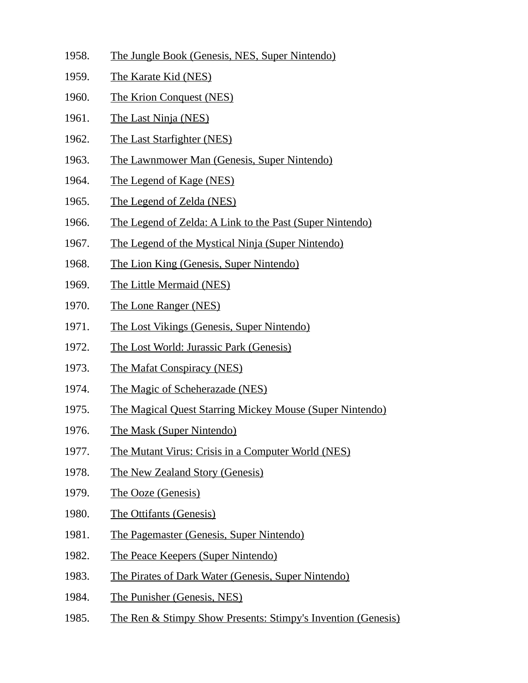- 1958. The Jungle Book (Genesis, NES, Super Nintendo)
- 1959. The Karate Kid (NES)
- 1960. The Krion Conquest (NES)
- 1961. The Last Ninja (NES)
- 1962. The Last Starfighter (NES)
- 1963. The Lawnmower Man (Genesis, Super Nintendo)
- 1964. The Legend of Kage (NES)
- 1965. The Legend of Zelda (NES)
- 1966. The Legend of Zelda: A Link to the Past (Super Nintendo)
- 1967. The Legend of the Mystical Ninja (Super Nintendo)
- 1968. The Lion King (Genesis, Super Nintendo)
- 1969. The Little Mermaid (NES)
- 1970. The Lone Ranger (NES)
- 1971. The Lost Vikings (Genesis, Super Nintendo)
- 1972. The Lost World: Jurassic Park (Genesis)
- 1973. The Mafat Conspiracy (NES)
- 1974. The Magic of Scheherazade (NES)
- 1975. The Magical Quest Starring Mickey Mouse (Super Nintendo)
- 1976. The Mask (Super Nintendo)
- 1977. The Mutant Virus: Crisis in a Computer World (NES)
- 1978. The New Zealand Story (Genesis)
- 1979. The Ooze (Genesis)
- 1980. The Ottifants (Genesis)
- 1981. The Pagemaster (Genesis, Super Nintendo)
- 1982. The Peace Keepers (Super Nintendo)
- 1983. The Pirates of Dark Water (Genesis, Super Nintendo)
- 1984. The Punisher (Genesis, NES)
- 1985. The Ren & Stimpy Show Presents: Stimpy's Invention (Genesis)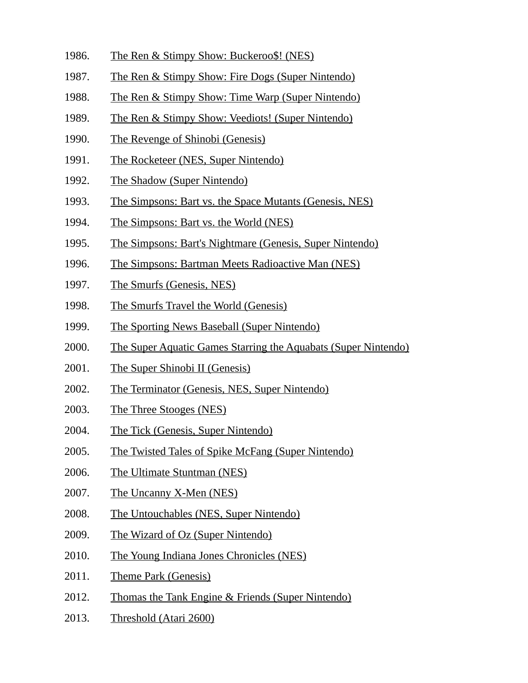- 1986. The Ren & Stimpy Show: Buckeroo\$! (NES)
- 1987. The Ren & Stimpy Show: Fire Dogs (Super Nintendo)
- 1988. The Ren & Stimpy Show: Time Warp (Super Nintendo)
- 1989. The Ren & Stimpy Show: Veediots! (Super Nintendo)
- 1990. The Revenge of Shinobi (Genesis)
- 1991. The Rocketeer (NES, Super Nintendo)
- 1992. The Shadow (Super Nintendo)
- 1993. The Simpsons: Bart vs. the Space Mutants (Genesis, NES)
- 1994. The Simpsons: Bart vs. the World (NES)
- 1995. The Simpsons: Bart's Nightmare (Genesis, Super Nintendo)
- 1996. The Simpsons: Bartman Meets Radioactive Man (NES)
- 1997. The Smurfs (Genesis, NES)
- 1998. The Smurfs Travel the World (Genesis)
- 1999. The Sporting News Baseball (Super Nintendo)
- 2000. The Super Aquatic Games Starring the Aquabats (Super Nintendo)
- 2001. The Super Shinobi II (Genesis)
- 2002. The Terminator (Genesis, NES, Super Nintendo)
- 2003. The Three Stooges (NES)
- 2004. The Tick (Genesis, Super Nintendo)
- 2005. The Twisted Tales of Spike McFang (Super Nintendo)
- 2006. The Ultimate Stuntman (NES)
- 2007. The Uncanny X-Men (NES)
- 2008. The Untouchables (NES, Super Nintendo)
- 2009. The Wizard of Oz (Super Nintendo)
- 2010. The Young Indiana Jones Chronicles (NES)
- 2011. Theme Park (Genesis)
- 2012. Thomas the Tank Engine & Friends (Super Nintendo)
- 2013. Threshold (Atari 2600)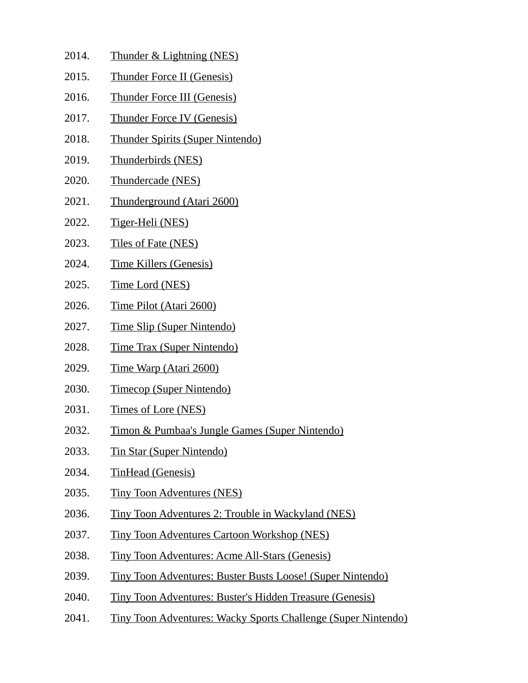- 2014. Thunder & Lightning (NES)
- 2015. Thunder Force II (Genesis)
- 2016. Thunder Force III (Genesis)
- 2017. Thunder Force IV (Genesis)
- 2018. Thunder Spirits (Super Nintendo)
- 2019. Thunderbirds (NES)
- 2020. Thundercade (NES)
- 2021. Thunderground (Atari 2600)
- 2022. Tiger-Heli (NES)
- 2023. Tiles of Fate (NES)
- 2024. Time Killers (Genesis)
- 2025. Time Lord (NES)
- 2026. Time Pilot (Atari 2600)
- 2027. Time Slip (Super Nintendo)
- 2028. Time Trax (Super Nintendo)
- 2029. Time Warp (Atari 2600)
- 2030. Timecop (Super Nintendo)
- 2031. Times of Lore (NES)
- 2032. Timon & Pumbaa's Jungle Games (Super Nintendo)
- 2033. Tin Star (Super Nintendo)
- 2034. TinHead (Genesis)
- 2035. Tiny Toon Adventures (NES)
- 2036. Tiny Toon Adventures 2: Trouble in Wackyland (NES)
- 2037. Tiny Toon Adventures Cartoon Workshop (NES)
- 2038. Tiny Toon Adventures: Acme All-Stars (Genesis)
- 2039. Tiny Toon Adventures: Buster Busts Loose! (Super Nintendo)
- 2040. Tiny Toon Adventures: Buster's Hidden Treasure (Genesis)
- 2041. Tiny Toon Adventures: Wacky Sports Challenge (Super Nintendo)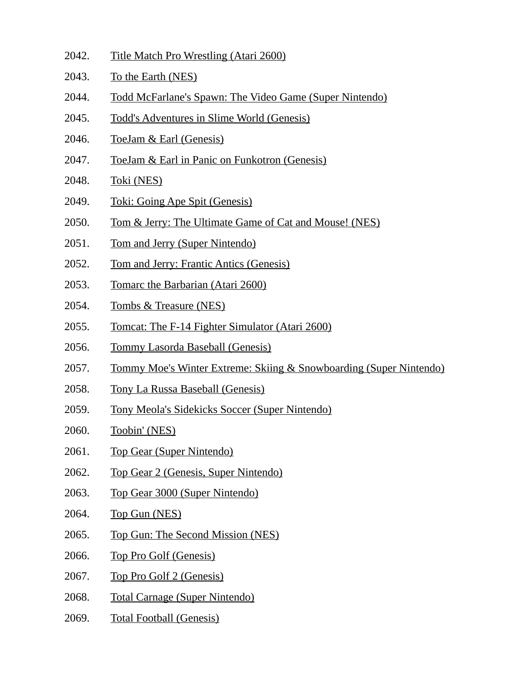- 2042. Title Match Pro Wrestling (Atari 2600)
- 2043. To the Earth (NES)
- 2044. Todd McFarlane's Spawn: The Video Game (Super Nintendo)
- 2045. Todd's Adventures in Slime World (Genesis)
- 2046. ToeJam & Earl (Genesis)
- 2047. ToeJam & Earl in Panic on Funkotron (Genesis)
- 2048. Toki (NES)
- 2049. Toki: Going Ape Spit (Genesis)
- 2050. Tom & Jerry: The Ultimate Game of Cat and Mouse! (NES)
- 2051. Tom and Jerry (Super Nintendo)
- 2052. Tom and Jerry: Frantic Antics (Genesis)
- 2053. Tomarc the Barbarian (Atari 2600)
- 2054. Tombs & Treasure (NES)
- 2055. Tomcat: The F-14 Fighter Simulator (Atari 2600)
- 2056. Tommy Lasorda Baseball (Genesis)
- 2057. Tommy Moe's Winter Extreme: Skiing & Snowboarding (Super Nintendo)
- 2058. Tony La Russa Baseball (Genesis)
- 2059. Tony Meola's Sidekicks Soccer (Super Nintendo)
- 2060. Toobin' (NES)
- 2061. Top Gear (Super Nintendo)
- 2062. Top Gear 2 (Genesis, Super Nintendo)
- 2063. Top Gear 3000 (Super Nintendo)
- 2064. Top Gun (NES)
- 2065. Top Gun: The Second Mission (NES)
- 2066. Top Pro Golf (Genesis)
- 2067. Top Pro Golf 2 (Genesis)
- 2068. Total Carnage (Super Nintendo)
- 2069. Total Football (Genesis)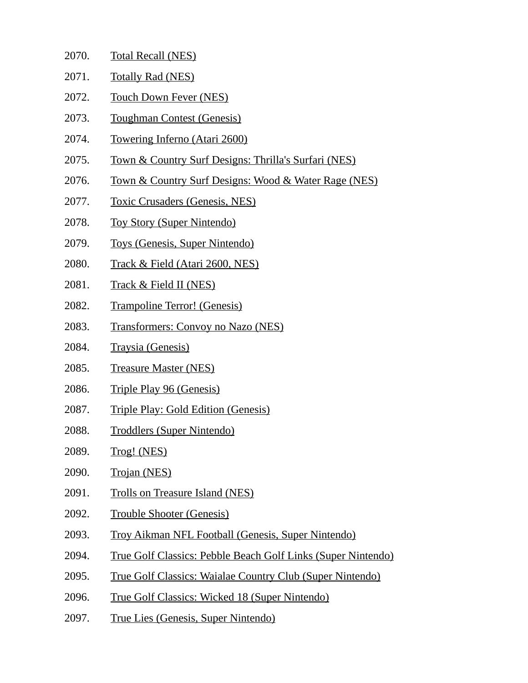| 2070. | <b>Total Recall (NES)</b> |  |
|-------|---------------------------|--|
|       |                           |  |

- 2071. Totally Rad (NES)
- 2072. Touch Down Fever (NES)
- 2073. Toughman Contest (Genesis)
- 2074. Towering Inferno (Atari 2600)
- 2075. Town & Country Surf Designs: Thrilla's Surfari (NES)
- 2076. Town & Country Surf Designs: Wood & Water Rage (NES)
- 2077. Toxic Crusaders (Genesis, NES)
- 2078. Toy Story (Super Nintendo)
- 2079. Toys (Genesis, Super Nintendo)
- 2080. Track & Field (Atari 2600, NES)
- 2081. Track & Field II (NES)
- 2082. Trampoline Terror! (Genesis)
- 2083. Transformers: Convoy no Nazo (NES)
- 2084. Traysia (Genesis)
- 2085. Treasure Master (NES)
- 2086. Triple Play 96 (Genesis)
- 2087. Triple Play: Gold Edition (Genesis)
- 2088. Troddlers (Super Nintendo)
- 2089. Trog! (NES)
- 2090. Trojan (NES)
- 2091. Trolls on Treasure Island (NES)
- 2092. Trouble Shooter (Genesis)
- 2093. Troy Aikman NFL Football (Genesis, Super Nintendo)
- 2094. True Golf Classics: Pebble Beach Golf Links (Super Nintendo)
- 2095. True Golf Classics: Waialae Country Club (Super Nintendo)
- 2096. True Golf Classics: Wicked 18 (Super Nintendo)
- 2097. True Lies (Genesis, Super Nintendo)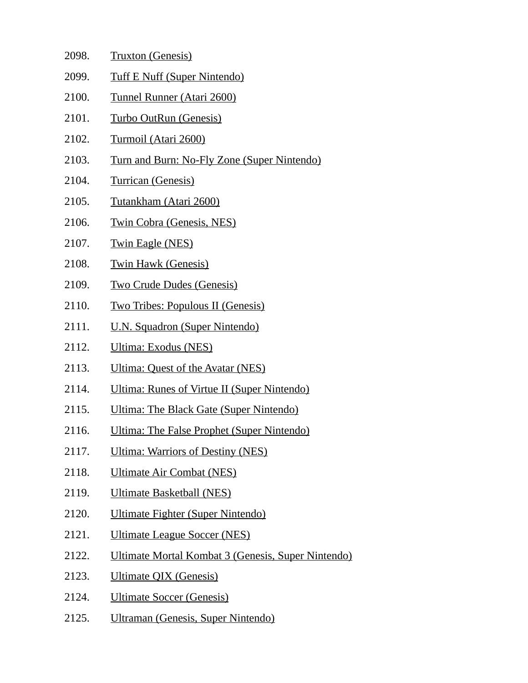| 2098. | <b>Truxton (Genesis)</b>                           |
|-------|----------------------------------------------------|
| 2099. | <b>Tuff E Nuff (Super Nintendo)</b>                |
| 2100. | <b>Tunnel Runner (Atari 2600)</b>                  |
| 2101. | Turbo OutRun (Genesis)                             |
| 2102. | <b>Turmoil (Atari 2600)</b>                        |
| 2103. | Turn and Burn: No-Fly Zone (Super Nintendo)        |
| 2104. | <b>Turrican (Genesis)</b>                          |
| 2105. | <u>Tutankham (Atari 2600)</u>                      |
| 2106. | <b>Twin Cobra (Genesis, NES)</b>                   |
| 2107. | <u>Twin Eagle (NES)</u>                            |
| 2108. | <b>Twin Hawk (Genesis)</b>                         |
| 2109. | <b>Two Crude Dudes (Genesis)</b>                   |
| 2110. | <b>Two Tribes: Populous II (Genesis)</b>           |
| 2111. | <u>U.N. Squadron (Super Nintendo)</u>              |
| 2112. | Ultima: Exodus (NES)                               |
| 2113. | Ultima: Quest of the Avatar (NES)                  |
| 2114. | Ultima: Runes of Virtue II (Super Nintendo)        |
| 2115. | Ultima: The Black Gate (Super Nintendo)            |
| 2116. | <b>Ultima: The False Prophet (Super Nintendo)</b>  |
| 2117. | <b>Ultima: Warriors of Destiny (NES)</b>           |
| 2118. | <b>Ultimate Air Combat (NES)</b>                   |
| 2119. | <b>Ultimate Basketball (NES)</b>                   |
| 2120. | Ultimate Fighter (Super Nintendo)                  |
| 2121. | Ultimate League Soccer (NES)                       |
| 2122. | Ultimate Mortal Kombat 3 (Genesis, Super Nintendo) |
| 2123. | <b>Ultimate QIX (Genesis)</b>                      |
| 2124. | <b>Ultimate Soccer (Genesis)</b>                   |
| 2125. | Ultraman (Genesis, Super Nintendo)                 |
|       |                                                    |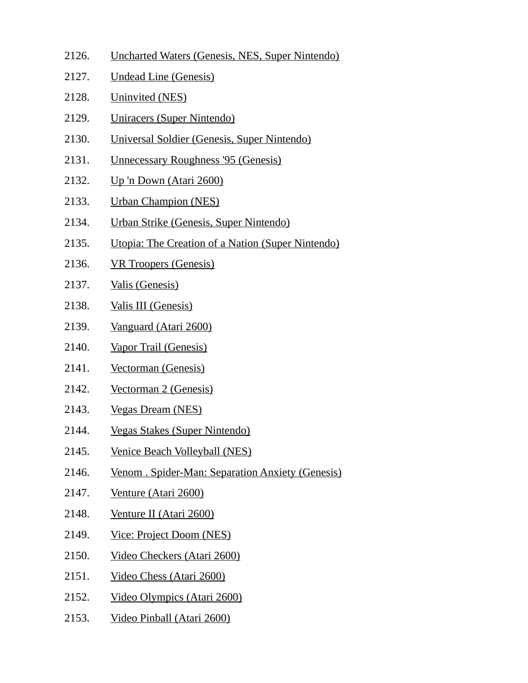- 2126. Uncharted Waters (Genesis, NES, Super Nintendo)
- 2127. Undead Line (Genesis)
- 2128. Uninvited (NES)
- 2129. Uniracers (Super Nintendo)
- 2130. Universal Soldier (Genesis, Super Nintendo)
- 2131. Unnecessary Roughness '95 (Genesis)
- 2132. Up 'n Down (Atari 2600)
- 2133. Urban Champion (NES)
- 2134. Urban Strike (Genesis, Super Nintendo)
- 2135. Utopia: The Creation of a Nation (Super Nintendo)
- 2136. VR Troopers (Genesis)
- 2137. Valis (Genesis)
- 2138. Valis III (Genesis)
- 2139. Vanguard (Atari 2600)
- 2140. Vapor Trail (Genesis)
- 2141. Vectorman (Genesis)
- 2142. Vectorman 2 (Genesis)
- 2143. Vegas Dream (NES)
- 2144. Vegas Stakes (Super Nintendo)
- 2145. Venice Beach Volleyball (NES)
- 2146. Venom . Spider-Man: Separation Anxiety (Genesis)
- 2147. Venture (Atari 2600)
- 2148. Venture II (Atari 2600)
- 2149. Vice: Project Doom (NES)
- 2150. Video Checkers (Atari 2600)
- 2151. Video Chess (Atari 2600)
- 2152. Video Olympics (Atari 2600)
- 2153. Video Pinball (Atari 2600)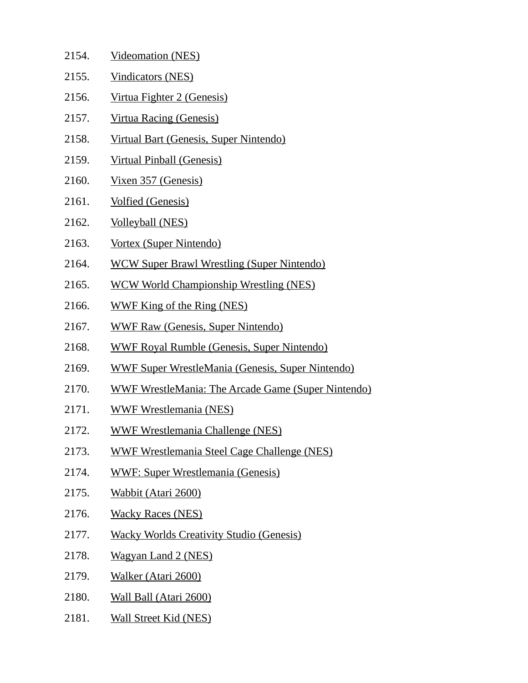| 2154. | <b>Videomation (NES)</b>                                  |
|-------|-----------------------------------------------------------|
| 2155. | <b>Vindicators (NES)</b>                                  |
| 2156. | Virtua Fighter 2 (Genesis)                                |
| 2157. | <b>Virtua Racing (Genesis)</b>                            |
| 2158. | Virtual Bart (Genesis, Super Nintendo)                    |
| 2159. | <u>Virtual Pinball (Genesis)</u>                          |
| 2160. | Vixen 357 (Genesis)                                       |
| 2161. | <b>Volfied (Genesis)</b>                                  |
| 2162. | <b>Volleyball (NES)</b>                                   |
| 2163. | Vortex (Super Nintendo)                                   |
| 2164. | <b>WCW Super Brawl Wrestling (Super Nintendo)</b>         |
| 2165. | <b>WCW World Championship Wrestling (NES)</b>             |
| 2166. | WWF King of the Ring (NES)                                |
| 2167. | <b>WWF Raw (Genesis, Super Nintendo)</b>                  |
| 2168. | <b>WWF Royal Rumble (Genesis, Super Nintendo)</b>         |
| 2169. | <b>WWF Super WrestleMania (Genesis, Super Nintendo)</b>   |
| 2170. | <b>WWF WrestleMania: The Arcade Game (Super Nintendo)</b> |
| 2171. | <b>WWF Wrestlemania (NES)</b>                             |
| 2172. | <b>WWF Wrestlemania Challenge (NES)</b>                   |
| 2173. | <b>WWF Wrestlemania Steel Cage Challenge (NES)</b>        |
| 2174. | <b>WWF: Super Wrestlemania (Genesis)</b>                  |
| 2175. | <b>Wabbit (Atari 2600)</b>                                |
| 2176. | <b>Wacky Races (NES)</b>                                  |
| 2177. | <b>Wacky Worlds Creativity Studio (Genesis)</b>           |
| 2178. | <b>Wagyan Land 2 (NES)</b>                                |
| 2179. | Walker (Atari 2600)                                       |
| 2180. | <b>Wall Ball (Atari 2600)</b>                             |
| 2181. | <b>Wall Street Kid (NES)</b>                              |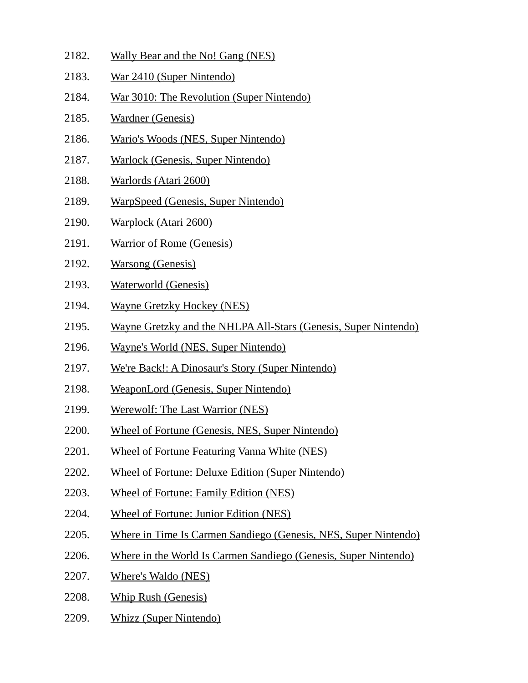2182. Wally Bear and the No! Gang (NES) 2183. War 2410 (Super Nintendo) 2184. War 3010: The Revolution (Super Nintendo) 2185. Wardner (Genesis) 2186. Wario's Woods (NES, Super Nintendo) 2187. Warlock (Genesis, Super Nintendo) 2188. Warlords (Atari 2600) 2189. WarpSpeed (Genesis, Super Nintendo) 2190. Warplock (Atari 2600) 2191. Warrior of Rome (Genesis) 2192. Warsong (Genesis) 2193. Waterworld (Genesis) 2194. Wayne Gretzky Hockey (NES) 2195. Wayne Gretzky and the NHLPA All-Stars (Genesis, Super Nintendo) 2196. Wayne's World (NES, Super Nintendo) 2197. We're Back!: A Dinosaur's Story (Super Nintendo) 2198. WeaponLord (Genesis, Super Nintendo) 2199. Werewolf: The Last Warrior (NES) 2200. Wheel of Fortune (Genesis, NES, Super Nintendo) 2201. Wheel of Fortune Featuring Vanna White (NES) 2202. Wheel of Fortune: Deluxe Edition (Super Nintendo) 2203. Wheel of Fortune: Family Edition (NES) 2204. Wheel of Fortune: Junior Edition (NES) 2205. Where in Time Is Carmen Sandiego (Genesis, NES, Super Nintendo) 2206. Where in the World Is Carmen Sandiego (Genesis, Super Nintendo) 2207. Where's Waldo (NES) 2208. Whip Rush (Genesis) 2209. Whizz (Super Nintendo)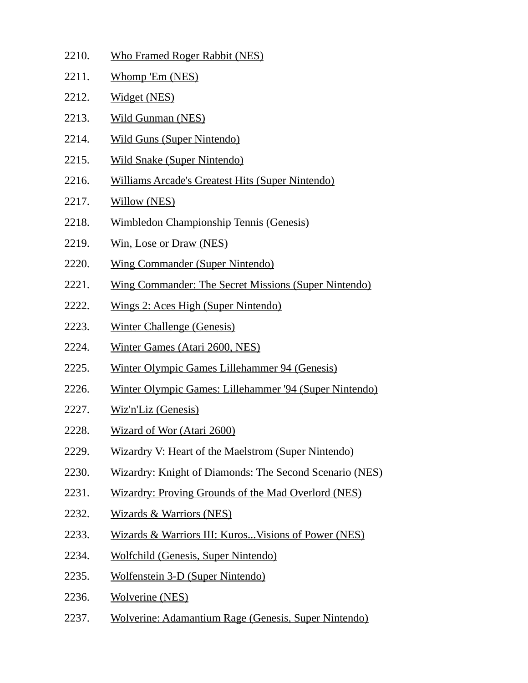| 2210. | <b>Who Framed Roger Rabbit (NES)</b>                        |
|-------|-------------------------------------------------------------|
| 2211. | Whomp 'Em (NES)                                             |
| 2212. | Widget (NES)                                                |
| 2213. | <b>Wild Gunman (NES)</b>                                    |
| 2214. | <b>Wild Guns (Super Nintendo)</b>                           |
| 2215. | <b>Wild Snake (Super Nintendo)</b>                          |
| 2216. | <b>Williams Arcade's Greatest Hits (Super Nintendo)</b>     |
| 2217. | <b>Willow (NES)</b>                                         |
| 2218. | <b>Wimbledon Championship Tennis (Genesis)</b>              |
| 2219. | Win, Lose or Draw (NES)                                     |
| 2220. | <b>Wing Commander (Super Nintendo)</b>                      |
| 2221. | <b>Wing Commander: The Secret Missions (Super Nintendo)</b> |
| 2222. | Wings 2: Aces High (Super Nintendo)                         |
| 2223. | <b>Winter Challenge (Genesis)</b>                           |
| 2224. | Winter Games (Atari 2600, NES)                              |
| 2225. | Winter Olympic Games Lillehammer 94 (Genesis)               |
| 2226. | Winter Olympic Games: Lillehammer '94 (Super Nintendo)      |
| 2227. | Wiz'n'Liz (Genesis)                                         |
| 2228. | Wizard of Wor (Atari 2600)                                  |
| 2229. | <b>Wizardry V: Heart of the Maelstrom (Super Nintendo)</b>  |
| 2230. | Wizardry: Knight of Diamonds: The Second Scenario (NES)     |
| 2231. | <b>Wizardry: Proving Grounds of the Mad Overlord (NES)</b>  |
| 2232. | <b>Wizards &amp; Warriors (NES)</b>                         |
| 2233. | Wizards & Warriors III: Kuros Visions of Power (NES)        |
| 2234. | <b>Wolfchild (Genesis, Super Nintendo)</b>                  |
| 2235. | <b>Wolfenstein 3-D (Super Nintendo)</b>                     |
| 2236. | <b>Wolverine (NES)</b>                                      |
| 2237. | <b>Wolverine: Adamantium Rage (Genesis, Super Nintendo)</b> |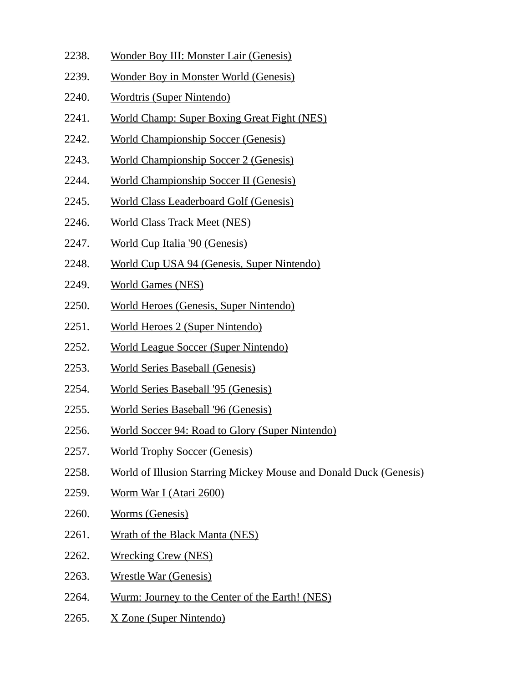- 2238. Wonder Boy III: Monster Lair (Genesis)
- 2239. Wonder Boy in Monster World (Genesis)
- 2240. Wordtris (Super Nintendo)
- 2241. World Champ: Super Boxing Great Fight (NES)
- 2242. World Championship Soccer (Genesis)
- 2243. World Championship Soccer 2 (Genesis)
- 2244. World Championship Soccer II (Genesis)
- 2245. World Class Leaderboard Golf (Genesis)
- 2246. World Class Track Meet (NES)
- 2247. World Cup Italia '90 (Genesis)
- 2248. World Cup USA 94 (Genesis, Super Nintendo)
- 2249. World Games (NES)
- 2250. World Heroes (Genesis, Super Nintendo)
- 2251. World Heroes 2 (Super Nintendo)
- 2252. World League Soccer (Super Nintendo)
- 2253. World Series Baseball (Genesis)
- 2254. World Series Baseball '95 (Genesis)
- 2255. World Series Baseball '96 (Genesis)
- 2256. World Soccer 94: Road to Glory (Super Nintendo)
- 2257. World Trophy Soccer (Genesis)
- 2258. World of Illusion Starring Mickey Mouse and Donald Duck (Genesis)
- 2259. Worm War I (Atari 2600)
- 2260. Worms (Genesis)
- 2261. Wrath of the Black Manta (NES)
- 2262. Wrecking Crew (NES)
- 2263. Wrestle War (Genesis)
- 2264. Wurm: Journey to the Center of the Earth! (NES)
- 2265. X Zone (Super Nintendo)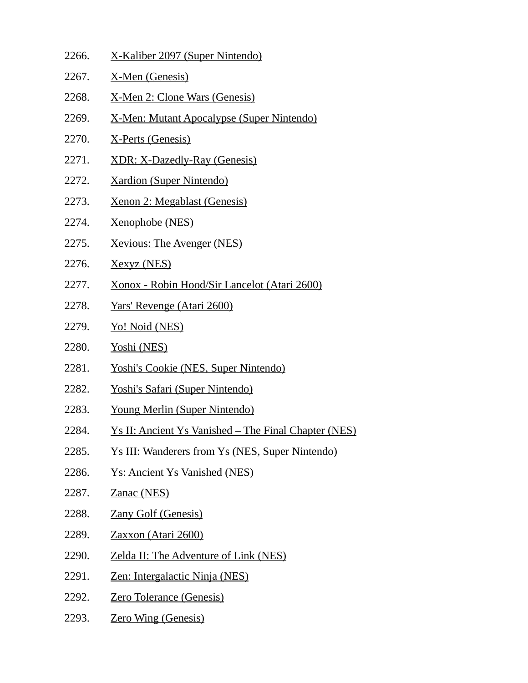| 2266. | X-Kaliber 2097 (Super Nintendo)                             |
|-------|-------------------------------------------------------------|
| 2267. | X-Men (Genesis)                                             |
| 2268. | <u>X-Men 2: Clone Wars (Genesis)</u>                        |
| 2269. | <u>X-Men: Mutant Apocalypse (Super Nintendo)</u>            |
| 2270. | X-Perts (Genesis)                                           |
| 2271. | XDR: X-Dazedly-Ray (Genesis)                                |
| 2272. | <b>Xardion (Super Nintendo)</b>                             |
| 2273. | <u> Xenon 2: Megablast (Genesis)</u>                        |
| 2274. | Xenophobe (NES)                                             |
| 2275. | <b>Xevious: The Avenger (NES)</b>                           |
| 2276. | <u>Xexyz (NES)</u>                                          |
| 2277. | <u> Xonox - Robin Hood/Sir Lancelot (Atari 2600)</u>        |
| 2278. | <u>Yars' Revenge (Atari 2600)</u>                           |
| 2279. | <u>Yo! Noid (NES)</u>                                       |
| 2280. | Yoshi (NES)                                                 |
| 2281. | <b>Yoshi's Cookie (NES, Super Nintendo)</b>                 |
| 2282. | <u>Yoshi's Safari (Super Nintendo)</u>                      |
| 2283. | <b>Young Merlin (Super Nintendo)</b>                        |
| 2284. | <u>Ys II: Ancient Ys Vanished – The Final Chapter (NES)</u> |
| 2285. | <b>Ys III: Wanderers from Ys (NES, Super Nintendo)</b>      |
| 2286. | <b>Ys: Ancient Ys Vanished (NES)</b>                        |
| 2287. | Zanac (NES)                                                 |
| 2288. | <b>Zany Golf (Genesis)</b>                                  |
| 2289. | Zaxxon (Atari 2600)                                         |
| 2290. | <b>Zelda II: The Adventure of Link (NES)</b>                |
| 2291. | <u> Zen: Intergalactic Ninja (NES)</u>                      |
| 2292. | <b>Zero Tolerance (Genesis)</b>                             |
| 2293. | <b>Zero Wing (Genesis)</b>                                  |
|       |                                                             |